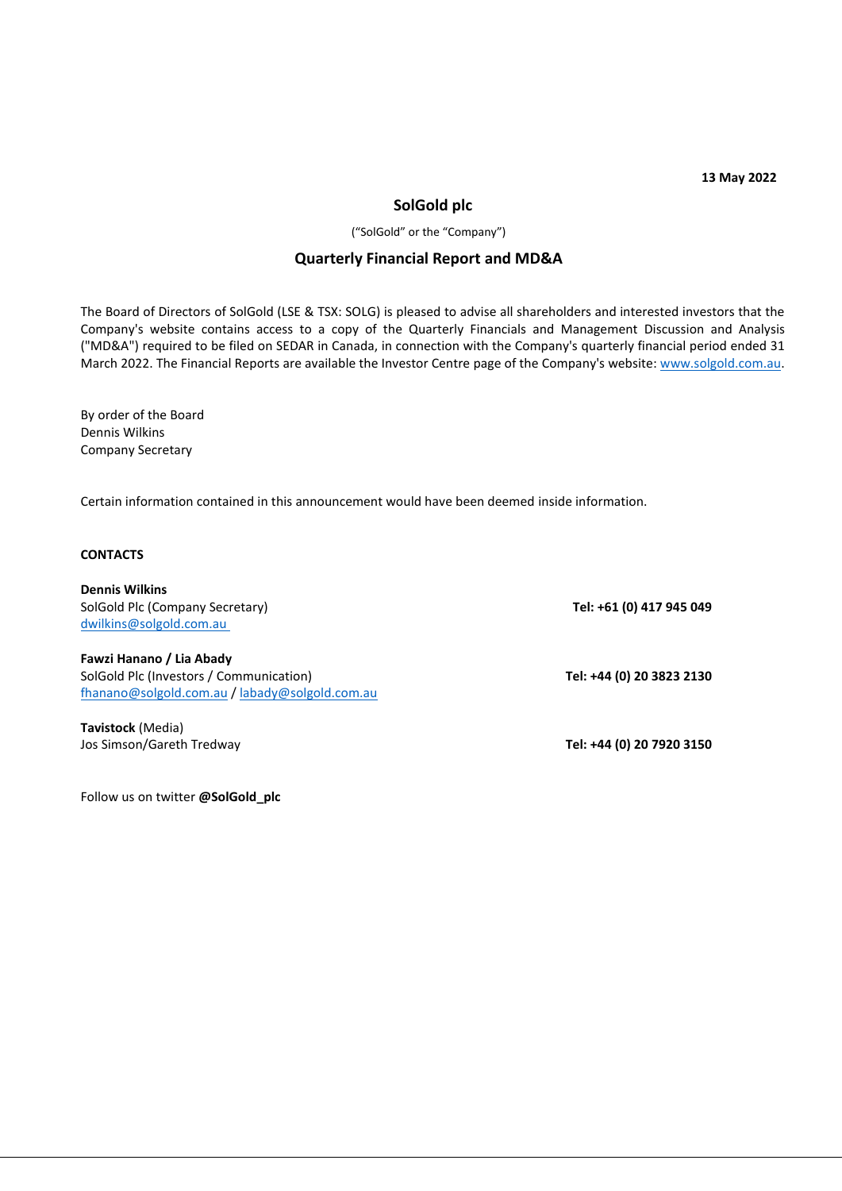**13 May 2022**

# **SolGold plc**

("SolGold" or the "Company")

# **Quarterly Financial Report and MD&A**

The Board of Directors of SolGold (LSE & TSX: SOLG) is pleased to advise all shareholders and interested investors that the Company's website contains access to a copy of the Quarterly Financials and Management Discussion and Analysis ("MD&A") required to be filed on SEDAR in Canada, in connection with the Company's quarterly financial period ended 31 March 2022. The Financial Reports are available the Investor Centre page of the Company's website: [www.solgold.com.au.](http://www.solgold.com.au/)

By order of the Board Dennis Wilkins Company Secretary

Certain information contained in this announcement would have been deemed inside information.

## **CONTACTS**

**Dennis Wilkins** SolGold Plc (Company Secretary) [dwilkins@solgold.com.au](mailto:dwilkins@solgold.com.au)

**Fawzi Hanano / Lia Abady** SolGold Plc (Investors / Communication) [fhanano@solgold.com.au](mailto:fhanano@solgold.com.au) [/ labady@solgold.com.au](mailto:labady@solgold.com.au) 

**Tavistock** (Media) Jos Simson/Gareth Tredway **Tel: +44 (0) 20 7920 3150**

Follow us on twitter **@SolGold\_plc**

**Tel: +61 (0) 417 945 049**

**Tel: +44 (0) 20 3823 2130**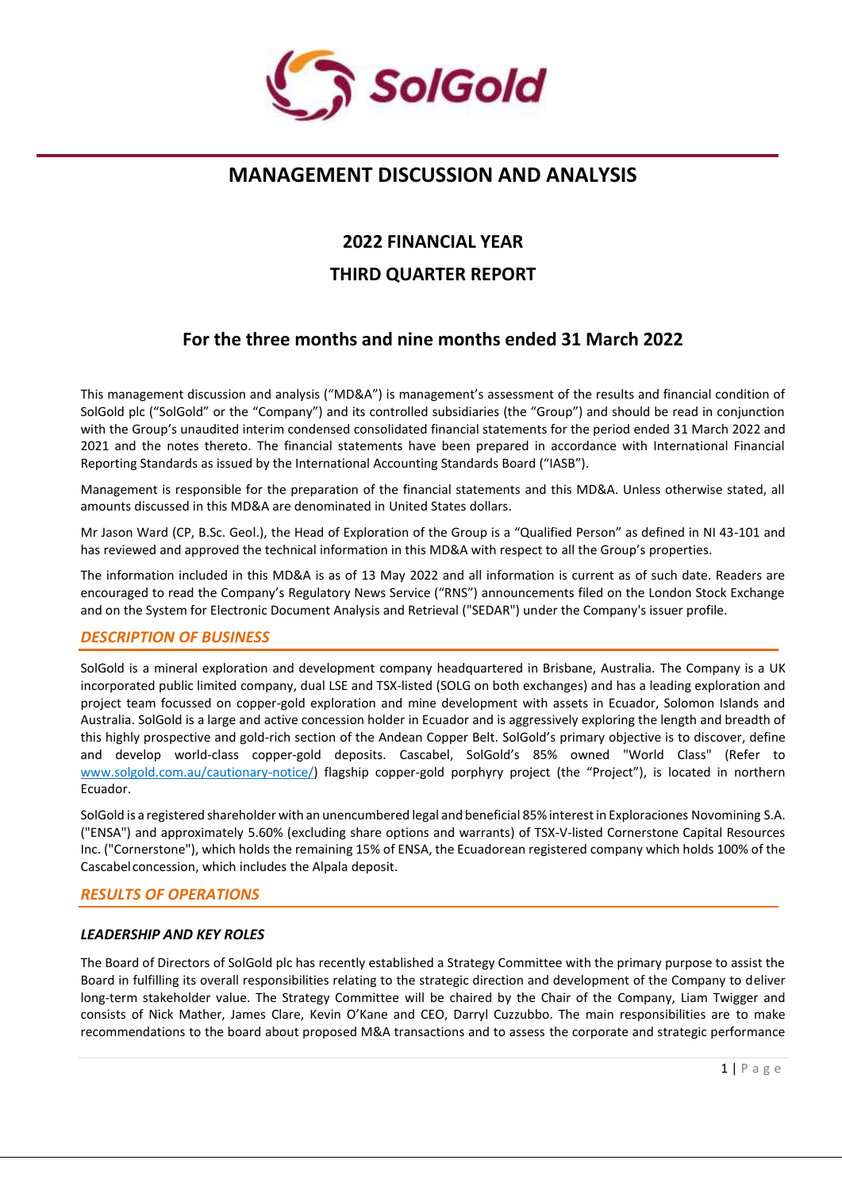

# **MANAGEMENT DISCUSSION AND ANALYSIS**

# **2022 FINANCIAL YEAR**

# **THIRD QUARTER REPORT**

# **For the three months and nine months ended 31 March 2022**

This management discussion and analysis ("MD&A") is management's assessment of the results and financial condition of SolGold plc ("SolGold" or the "Company") and its controlled subsidiaries (the "Group") and should be read in conjunction with the Group's unaudited interim condensed consolidated financial statements for the period ended 31 March 2022 and 2021 and the notes thereto. The financial statements have been prepared in accordance with International Financial Reporting Standards as issued by the International Accounting Standards Board ("IASB").

Management is responsible for the preparation of the financial statements and this MD&A. Unless otherwise stated, all amounts discussed in this MD&A are denominated in United States dollars.

Mr Jason Ward (CP, B.Sc. Geol.), the Head of Exploration of the Group is a "Qualified Person" as defined in NI 43-101 and has reviewed and approved the technical information in this MD&A with respect to all the Group's properties.

The information included in this MD&A is as of 13 May 2022 and all information is current as of such date. Readers are encouraged to read the Company's Regulatory News Service ("RNS") announcements filed on the London Stock Exchange and on the System for Electronic Document Analysis and Retrieval ("SEDAR") under the Company's issuer profile.

# *DESCRIPTION OF BUSINESS*

SolGold is a mineral exploration and development company headquartered in Brisbane, Australia. The Company is a UK incorporated public limited company, dual LSE and TSX-listed (SOLG on both exchanges) and has a leading exploration and project team focussed on copper-gold exploration and mine development with assets in Ecuador, Solomon Islands and Australia. SolGold is a large and active concession holder in Ecuador and is aggressively exploring the length and breadth of this highly prospective and gold-rich section of the Andean Copper Belt. SolGold's primary objective is to discover, define and develop world-class copper-gold deposits. Cascabel, SolGold's 85% owned "World Class" (Refer to [www.solgold.com.au/cautionary-notice/\) f](http://www.solgold.com.au/cautionary-notice/)lagship copper-gold porphyry project (the "Project"), is located in northern Ecuador.

SolGold is a registered shareholder with an unencumbered legal and beneficial 85%interestin Exploraciones Novomining S.A. ("ENSA") and approximately 5.60% (excluding share options and warrants) of TSX-V-listed Cornerstone Capital Resources Inc. ("Cornerstone"), which holds the remaining 15% of ENSA, the Ecuadorean registered company which holds 100% of the Cascabel concession, which includes the Alpala deposit.

# *RESULTS OF OPERATIONS*

# *LEADERSHIP AND KEY ROLES*

The Board of Directors of SolGold plc has recently established a Strategy Committee with the primary purpose to assist the Board in fulfilling its overall responsibilities relating to the strategic direction and development of the Company to deliver long-term stakeholder value. The Strategy Committee will be chaired by the Chair of the Company, Liam Twigger and consists of Nick Mather, James Clare, Kevin O'Kane and CEO, Darryl Cuzzubbo. The main responsibilities are to make recommendations to the board about proposed M&A transactions and to assess the corporate and strategic performance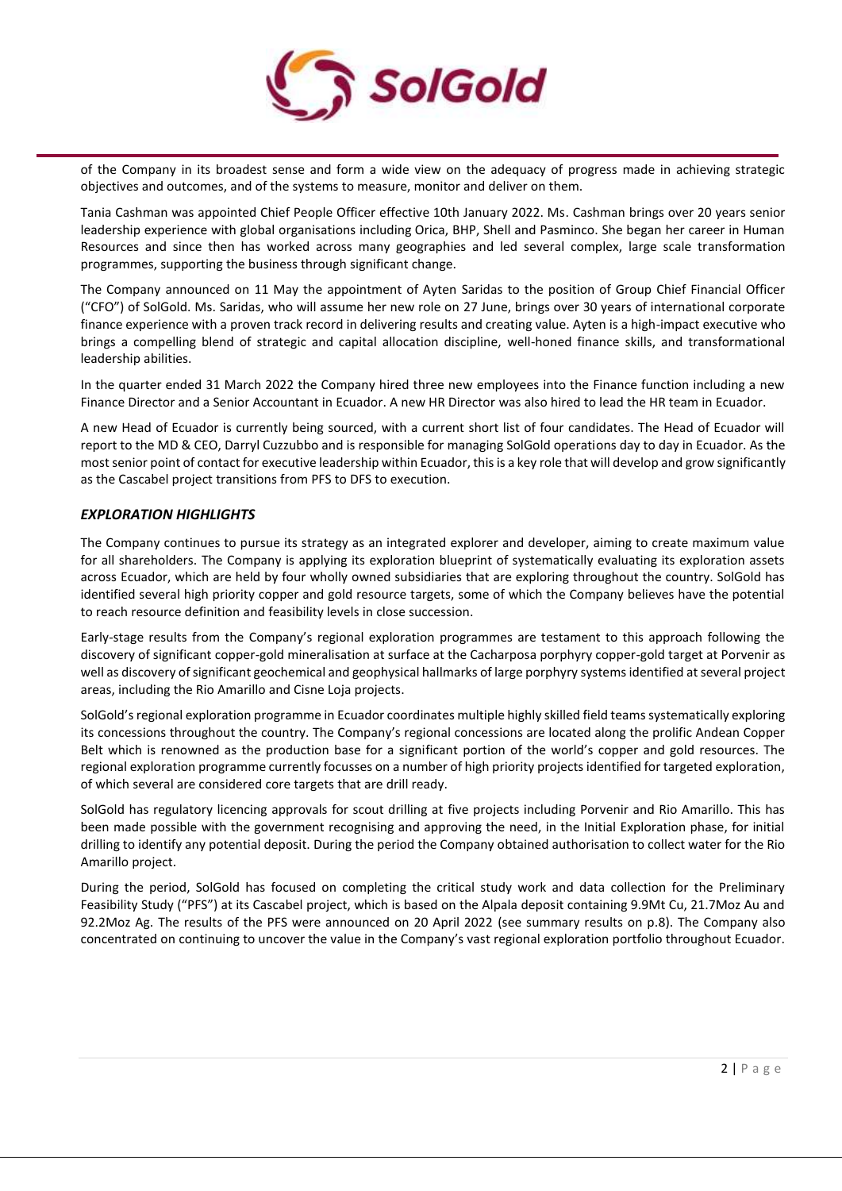

of the Company in its broadest sense and form a wide view on the adequacy of progress made in achieving strategic objectives and outcomes, and of the systems to measure, monitor and deliver on them.

Tania Cashman was appointed Chief People Officer effective 10th January 2022. Ms. Cashman brings over 20 years senior leadership experience with global organisations including Orica, BHP, Shell and Pasminco. She began her career in Human Resources and since then has worked across many geographies and led several complex, large scale transformation programmes, supporting the business through significant change.

The Company announced on 11 May the appointment of Ayten Saridas to the position of Group Chief Financial Officer ("CFO") of SolGold. Ms. Saridas, who will assume her new role on 27 June, brings over 30 years of international corporate finance experience with a proven track record in delivering results and creating value. Ayten is a high-impact executive who brings a compelling blend of strategic and capital allocation discipline, well-honed finance skills, and transformational leadership abilities.

In the quarter ended 31 March 2022 the Company hired three new employees into the Finance function including a new Finance Director and a Senior Accountant in Ecuador. A new HR Director was also hired to lead the HR team in Ecuador.

A new Head of Ecuador is currently being sourced, with a current short list of four candidates. The Head of Ecuador will report to the MD & CEO, Darryl Cuzzubbo and is responsible for managing SolGold operations day to day in Ecuador. As the most senior point of contact for executive leadership within Ecuador, this is a key role that will develop and grow significantly as the Cascabel project transitions from PFS to DFS to execution.

# *EXPLORATION HIGHLIGHTS*

The Company continues to pursue its strategy as an integrated explorer and developer, aiming to create maximum value for all shareholders. The Company is applying its exploration blueprint of systematically evaluating its exploration assets across Ecuador, which are held by four wholly owned subsidiaries that are exploring throughout the country. SolGold has identified several high priority copper and gold resource targets, some of which the Company believes have the potential to reach resource definition and feasibility levels in close succession.

Early-stage results from the Company's regional exploration programmes are testament to this approach following the discovery of significant copper-gold mineralisation at surface at the Cacharposa porphyry copper-gold target at Porvenir as well as discovery of significant geochemical and geophysical hallmarks of large porphyry systems identified at several project areas, including the Rio Amarillo and Cisne Loja projects.

SolGold's regional exploration programme in Ecuador coordinates multiple highly skilled field teams systematically exploring its concessions throughout the country. The Company's regional concessions are located along the prolific Andean Copper Belt which is renowned as the production base for a significant portion of the world's copper and gold resources. The regional exploration programme currently focusses on a number of high priority projects identified for targeted exploration, of which several are considered core targets that are drill ready.

SolGold has regulatory licencing approvals for scout drilling at five projects including Porvenir and Rio Amarillo. This has been made possible with the government recognising and approving the need, in the Initial Exploration phase, for initial drilling to identify any potential deposit. During the period the Company obtained authorisation to collect water for the Rio Amarillo project.

During the period, SolGold has focused on completing the critical study work and data collection for the Preliminary Feasibility Study ("PFS") at its Cascabel project, which is based on the Alpala deposit containing 9.9Mt Cu, 21.7Moz Au and 92.2Moz Ag. The results of the PFS were announced on 20 April 2022 (see summary results on p.8). The Company also concentrated on continuing to uncover the value in the Company's vast regional exploration portfolio throughout Ecuador.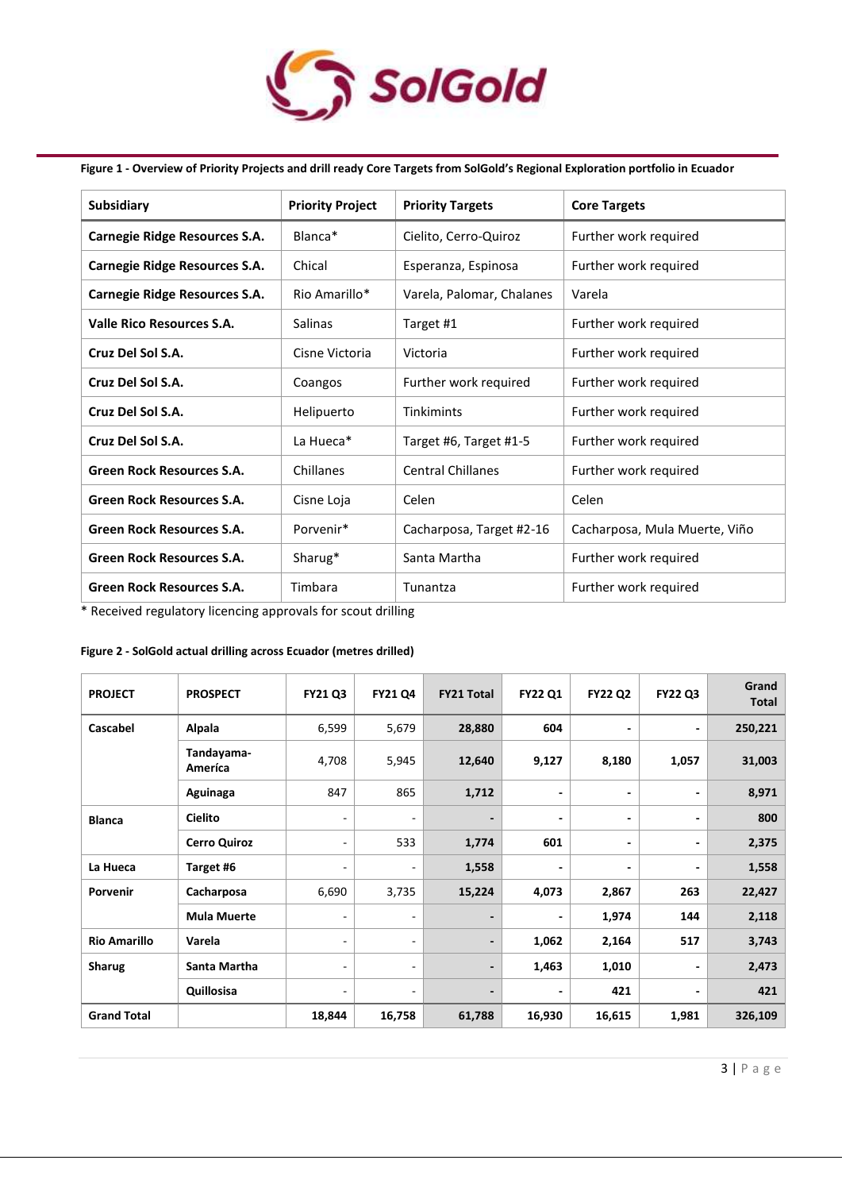

# **Figure 1 - Overview of Priority Projects and drill ready Core Targets from SolGold's Regional Exploration portfolio in Ecuador**

| <b>Subsidiary</b>                    | <b>Priority Project</b> | <b>Priority Targets</b>   | <b>Core Targets</b>           |
|--------------------------------------|-------------------------|---------------------------|-------------------------------|
| Carnegie Ridge Resources S.A.        | Blanca*                 | Cielito, Cerro-Quiroz     | Further work required         |
| <b>Carnegie Ridge Resources S.A.</b> | Chical                  | Esperanza, Espinosa       | Further work required         |
| <b>Carnegie Ridge Resources S.A.</b> | Rio Amarillo*           | Varela, Palomar, Chalanes | Varela                        |
| <b>Valle Rico Resources S.A.</b>     | Salinas                 | Target #1                 | Further work required         |
| Cruz Del Sol S.A.                    | Cisne Victoria          | Victoria                  | Further work required         |
| Cruz Del Sol S.A.                    | Coangos                 | Further work required     | Further work required         |
| Cruz Del Sol S.A.                    | Helipuerto              | Tinkimints                | Further work required         |
| Cruz Del Sol S.A.                    | La Hueca*               | Target #6, Target #1-5    | Further work required         |
| <b>Green Rock Resources S.A.</b>     | Chillanes               | <b>Central Chillanes</b>  | Further work required         |
| <b>Green Rock Resources S.A.</b>     | Cisne Loja              | Celen                     | Celen                         |
| <b>Green Rock Resources S.A.</b>     | Porvenir*               | Cacharposa, Target #2-16  | Cacharposa, Mula Muerte, Viño |
| <b>Green Rock Resources S.A.</b>     | Sharug*                 | Santa Martha              | Further work required         |
| <b>Green Rock Resources S.A.</b>     | Timbara                 | Tunantza                  | Further work required         |

\* Received regulatory licencing approvals for scout drilling

## **Figure 2 - SolGold actual drilling across Ecuador (metres drilled)**

| <b>PROJECT</b>      | <b>PROSPECT</b>       | <b>FY21 Q3</b>           | <b>FY21 Q4</b>           | <b>FY21 Total</b>        | <b>FY22 Q1</b> | <b>FY22 Q2</b>               | <b>FY22 Q3</b>           | Grand<br><b>Total</b> |
|---------------------|-----------------------|--------------------------|--------------------------|--------------------------|----------------|------------------------------|--------------------------|-----------------------|
| Cascabel            | Alpala                | 6,599                    | 5,679                    | 28,880                   | 604            | $\qquad \qquad \blacksquare$ |                          | 250,221               |
|                     | Tandayama-<br>Ameríca | 4,708                    | 5,945                    | 12,640                   | 9,127          | 8,180                        | 1,057                    | 31,003                |
|                     | Aguinaga              | 847                      | 865                      | 1,712                    |                | $\overline{\phantom{a}}$     |                          | 8,971                 |
| <b>Blanca</b>       | <b>Cielito</b>        | ٠                        | ٠                        |                          | ٠              |                              | $\overline{\phantom{0}}$ | 800                   |
|                     | <b>Cerro Quiroz</b>   | ۰                        | 533                      | 1,774                    | 601            | $\overline{\phantom{a}}$     |                          | 2,375                 |
| La Hueca            | Target #6             | $\overline{\phantom{a}}$ | $\overline{a}$           | 1,558                    | ٠              | $\overline{\phantom{a}}$     |                          | 1,558                 |
| Porvenir            | Cacharposa            | 6,690                    | 3,735                    | 15,224                   | 4,073          | 2,867                        | 263                      | 22,427                |
|                     | <b>Mula Muerte</b>    | ۰                        | $\overline{\phantom{a}}$ | $\overline{\phantom{a}}$ | ٠              | 1,974                        | 144                      | 2,118                 |
| <b>Rio Amarillo</b> | Varela                | ٠                        | ٠                        | $\overline{\phantom{a}}$ | 1,062          | 2,164                        | 517                      | 3,743                 |
| <b>Sharug</b>       | Santa Martha          | $\overline{\phantom{a}}$ | ٠                        | -                        | 1,463          | 1,010                        |                          | 2,473                 |
|                     | Quillosisa            | ٠                        | ٠                        | $\overline{\phantom{0}}$ | ٠              | 421                          |                          | 421                   |
| <b>Grand Total</b>  |                       | 18,844                   | 16,758                   | 61,788                   | 16,930         | 16,615                       | 1,981                    | 326,109               |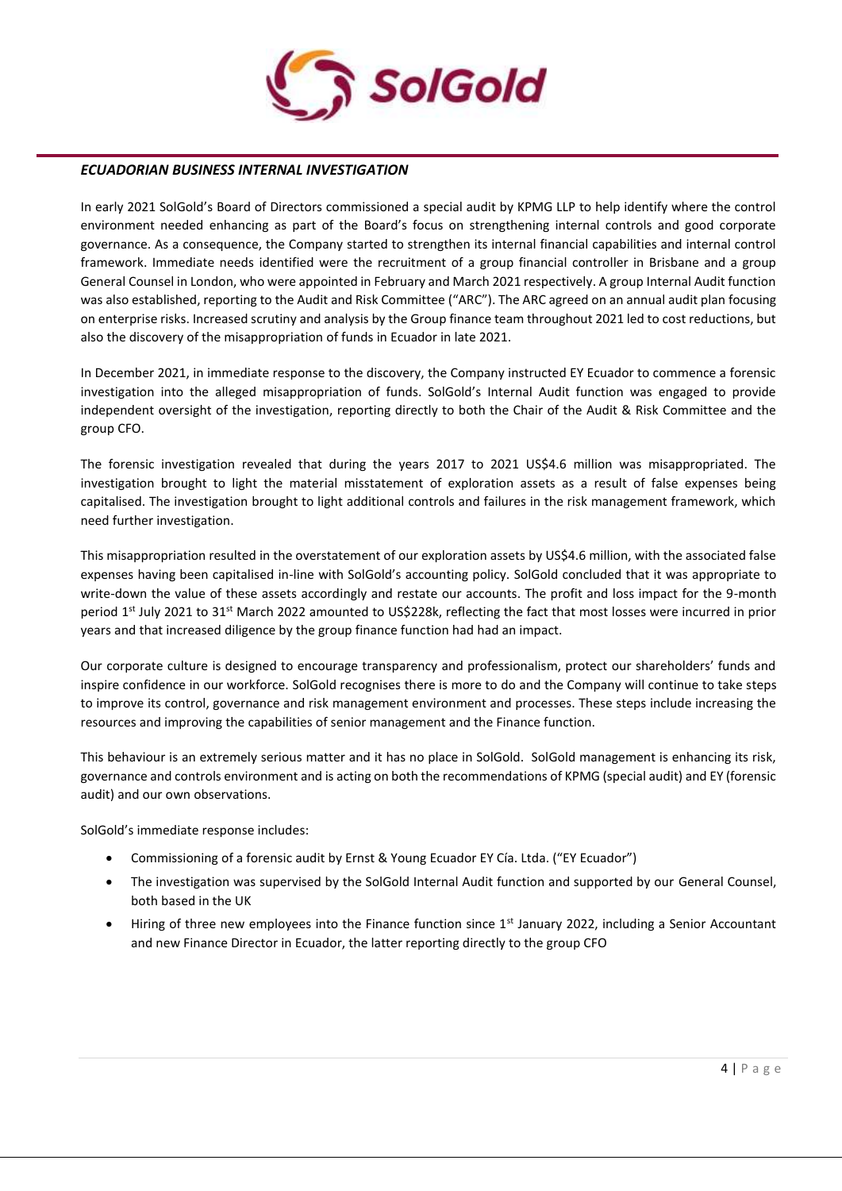

# *ECUADORIAN BUSINESS INTERNAL INVESTIGATION*

In early 2021 SolGold's Board of Directors commissioned a special audit by KPMG LLP to help identify where the control environment needed enhancing as part of the Board's focus on strengthening internal controls and good corporate governance. As a consequence, the Company started to strengthen its internal financial capabilities and internal control framework. Immediate needs identified were the recruitment of a group financial controller in Brisbane and a group General Counsel in London, who were appointed in February and March 2021 respectively. A group Internal Audit function was also established, reporting to the Audit and Risk Committee ("ARC"). The ARC agreed on an annual audit plan focusing on enterprise risks. Increased scrutiny and analysis by the Group finance team throughout 2021 led to cost reductions, but also the discovery of the misappropriation of funds in Ecuador in late 2021.

In December 2021, in immediate response to the discovery, the Company instructed EY Ecuador to commence a forensic investigation into the alleged misappropriation of funds. SolGold's Internal Audit function was engaged to provide independent oversight of the investigation, reporting directly to both the Chair of the Audit & Risk Committee and the group CFO.

The forensic investigation revealed that during the years 2017 to 2021 US\$4.6 million was misappropriated. The investigation brought to light the material misstatement of exploration assets as a result of false expenses being capitalised. The investigation brought to light additional controls and failures in the risk management framework, which need further investigation.

This misappropriation resulted in the overstatement of our exploration assets by US\$4.6 million, with the associated false expenses having been capitalised in-line with SolGold's accounting policy. SolGold concluded that it was appropriate to write-down the value of these assets accordingly and restate our accounts. The profit and loss impact for the 9-month period 1<sup>st</sup> July 2021 to 31<sup>st</sup> March 2022 amounted to US\$228k, reflecting the fact that most losses were incurred in prior years and that increased diligence by the group finance function had had an impact.

Our corporate culture is designed to encourage transparency and professionalism, protect our shareholders' funds and inspire confidence in our workforce. SolGold recognises there is more to do and the Company will continue to take steps to improve its control, governance and risk management environment and processes. These steps include increasing the resources and improving the capabilities of senior management and the Finance function.

This behaviour is an extremely serious matter and it has no place in SolGold. SolGold management is enhancing its risk, governance and controls environment and is acting on both the recommendations of KPMG (special audit) and EY (forensic audit) and our own observations.

SolGold's immediate response includes:

- Commissioning of a forensic audit by Ernst & Young Ecuador EY Cía. Ltda. ("EY Ecuador")
- The investigation was supervised by the SolGold Internal Audit function and supported by our General Counsel, both based in the UK
- Hiring of three new employees into the Finance function since  $1<sup>st</sup>$  January 2022, including a Senior Accountant and new Finance Director in Ecuador, the latter reporting directly to the group CFO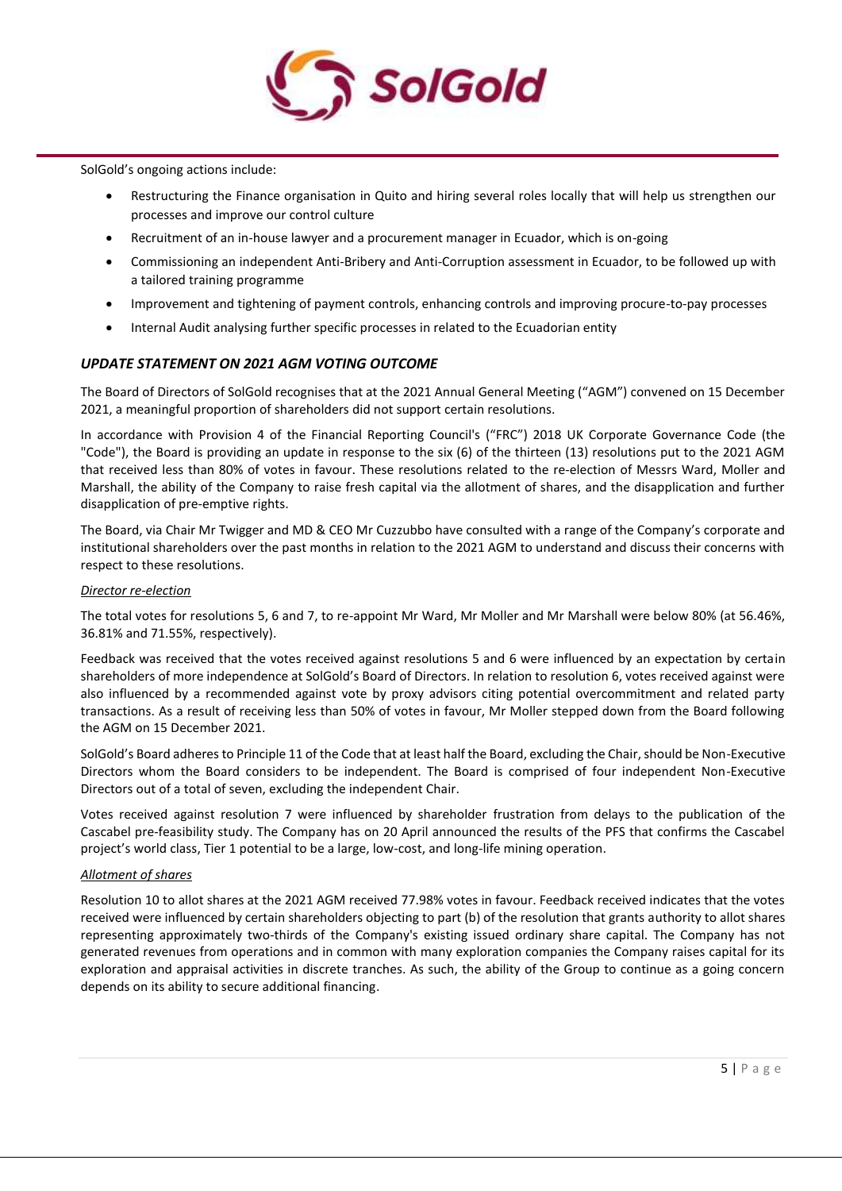

SolGold's ongoing actions include:

- Restructuring the Finance organisation in Quito and hiring several roles locally that will help us strengthen our processes and improve our control culture
- Recruitment of an in-house lawyer and a procurement manager in Ecuador, which is on-going
- Commissioning an independent Anti-Bribery and Anti-Corruption assessment in Ecuador, to be followed up with a tailored training programme
- Improvement and tightening of payment controls, enhancing controls and improving procure-to-pay processes
- Internal Audit analysing further specific processes in related to the Ecuadorian entity

# *UPDATE STATEMENT ON 2021 AGM VOTING OUTCOME*

The Board of Directors of SolGold recognises that at the 2021 Annual General Meeting ("AGM") convened on 15 December 2021, a meaningful proportion of shareholders did not support certain resolutions.

In accordance with Provision 4 of the Financial Reporting Council's ("FRC") 2018 UK Corporate Governance Code (the "Code"), the Board is providing an update in response to the six (6) of the thirteen (13) resolutions put to the 2021 AGM that received less than 80% of votes in favour. These resolutions related to the re-election of Messrs Ward, Moller and Marshall, the ability of the Company to raise fresh capital via the allotment of shares, and the disapplication and further disapplication of pre-emptive rights.

The Board, via Chair Mr Twigger and MD & CEO Mr Cuzzubbo have consulted with a range of the Company's corporate and institutional shareholders over the past months in relation to the 2021 AGM to understand and discuss their concerns with respect to these resolutions.

#### *Director re-election*

The total votes for resolutions 5, 6 and 7, to re-appoint Mr Ward, Mr Moller and Mr Marshall were below 80% (at 56.46%, 36.81% and 71.55%, respectively).

Feedback was received that the votes received against resolutions 5 and 6 were influenced by an expectation by certain shareholders of more independence at SolGold's Board of Directors. In relation to resolution 6, votes received against were also influenced by a recommended against vote by proxy advisors citing potential overcommitment and related party transactions. As a result of receiving less than 50% of votes in favour, Mr Moller stepped down from the Board following the AGM on 15 December 2021.

SolGold's Board adheres to Principle 11 of the Code that at least half the Board, excluding the Chair, should be Non-Executive Directors whom the Board considers to be independent. The Board is comprised of four independent Non-Executive Directors out of a total of seven, excluding the independent Chair.

Votes received against resolution 7 were influenced by shareholder frustration from delays to the publication of the Cascabel pre-feasibility study. The Company has on 20 April announced the results of the PFS that confirms the Cascabel project's world class, Tier 1 potential to be a large, low-cost, and long-life mining operation.

#### *Allotment of shares*

Resolution 10 to allot shares at the 2021 AGM received 77.98% votes in favour. Feedback received indicates that the votes received were influenced by certain shareholders objecting to part (b) of the resolution that grants authority to allot shares representing approximately two-thirds of the Company's existing issued ordinary share capital. The Company has not generated revenues from operations and in common with many exploration companies the Company raises capital for its exploration and appraisal activities in discrete tranches. As such, the ability of the Group to continue as a going concern depends on its ability to secure additional financing.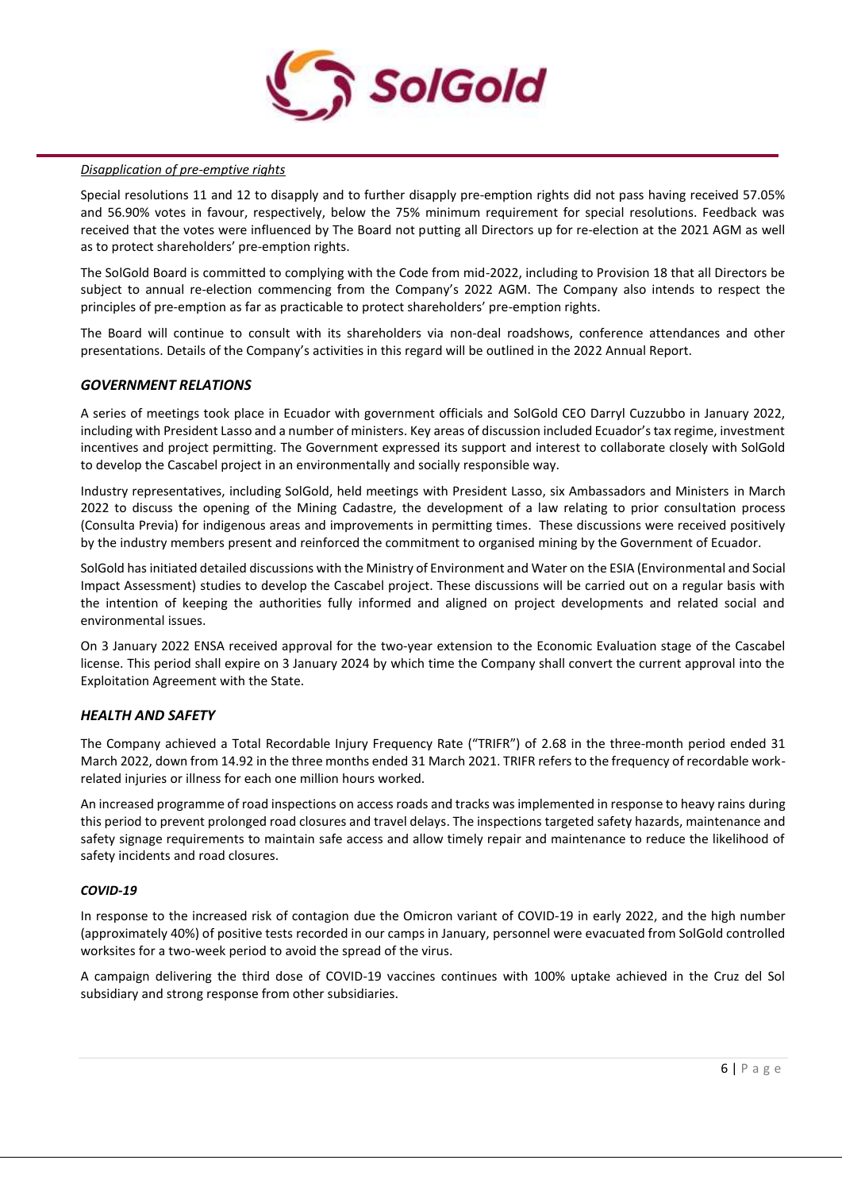

# *Disapplication of pre-emptive rights*

Special resolutions 11 and 12 to disapply and to further disapply pre-emption rights did not pass having received 57.05% and 56.90% votes in favour, respectively, below the 75% minimum requirement for special resolutions. Feedback was received that the votes were influenced by The Board not putting all Directors up for re-election at the 2021 AGM as well as to protect shareholders' pre-emption rights.

The SolGold Board is committed to complying with the Code from mid-2022, including to Provision 18 that all Directors be subject to annual re-election commencing from the Company's 2022 AGM. The Company also intends to respect the principles of pre-emption as far as practicable to protect shareholders' pre-emption rights.

The Board will continue to consult with its shareholders via non-deal roadshows, conference attendances and other presentations. Details of the Company's activities in this regard will be outlined in the 2022 Annual Report.

# *GOVERNMENT RELATIONS*

A series of meetings took place in Ecuador with government officials and SolGold CEO Darryl Cuzzubbo in January 2022, including with President Lasso and a number of ministers. Key areas of discussion included Ecuador's tax regime, investment incentives and project permitting. The Government expressed its support and interest to collaborate closely with SolGold to develop the Cascabel project in an environmentally and socially responsible way.

Industry representatives, including SolGold, held meetings with President Lasso, six Ambassadors and Ministers in March 2022 to discuss the opening of the Mining Cadastre, the development of a law relating to prior consultation process (Consulta Previa) for indigenous areas and improvements in permitting times. These discussions were received positively by the industry members present and reinforced the commitment to organised mining by the Government of Ecuador.

SolGold has initiated detailed discussions with the Ministry of Environment and Water on the ESIA (Environmental and Social Impact Assessment) studies to develop the Cascabel project. These discussions will be carried out on a regular basis with the intention of keeping the authorities fully informed and aligned on project developments and related social and environmental issues.

On 3 January 2022 ENSA received approval for the two-year extension to the Economic Evaluation stage of the Cascabel license. This period shall expire on 3 January 2024 by which time the Company shall convert the current approval into the Exploitation Agreement with the State.

# *HEALTH AND SAFETY*

The Company achieved a Total Recordable Injury Frequency Rate ("TRIFR") of 2.68 in the three-month period ended 31 March 2022, down from 14.92 in the three months ended 31 March 2021. TRIFR refers to the frequency of recordable workrelated injuries or illness for each one million hours worked.

An increased programme of road inspections on access roads and tracks was implemented in response to heavy rains during this period to prevent prolonged road closures and travel delays. The inspections targeted safety hazards, maintenance and safety signage requirements to maintain safe access and allow timely repair and maintenance to reduce the likelihood of safety incidents and road closures.

#### *COVID-19*

In response to the increased risk of contagion due the Omicron variant of COVID-19 in early 2022, and the high number (approximately 40%) of positive tests recorded in our camps in January, personnel were evacuated from SolGold controlled worksites for a two-week period to avoid the spread of the virus.

A campaign delivering the third dose of COVID-19 vaccines continues with 100% uptake achieved in the Cruz del Sol subsidiary and strong response from other subsidiaries.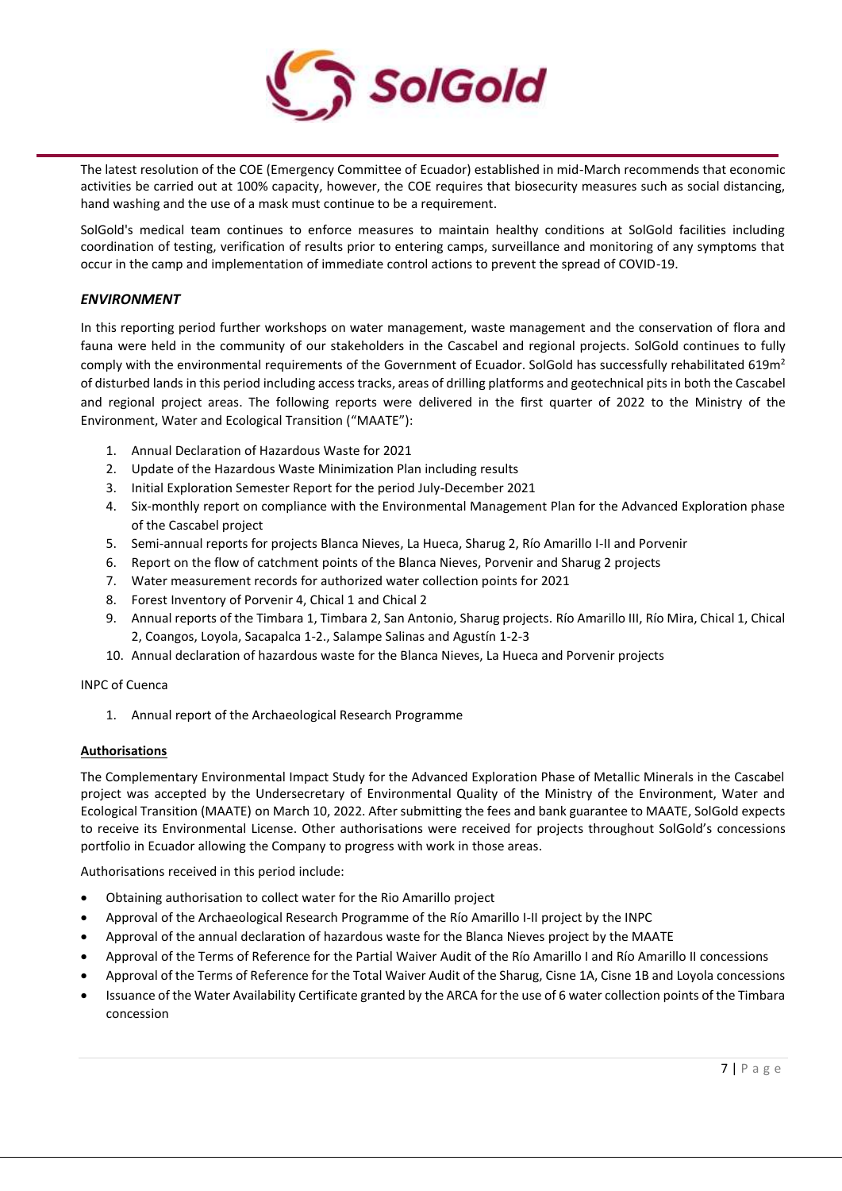

The latest resolution of the COE (Emergency Committee of Ecuador) established in mid-March recommends that economic activities be carried out at 100% capacity, however, the COE requires that biosecurity measures such as social distancing, hand washing and the use of a mask must continue to be a requirement.

SolGold's medical team continues to enforce measures to maintain healthy conditions at SolGold facilities including coordination of testing, verification of results prior to entering camps, surveillance and monitoring of any symptoms that occur in the camp and implementation of immediate control actions to prevent the spread of COVID-19.

# *ENVIRONMENT*

In this reporting period further workshops on water management, waste management and the conservation of flora and fauna were held in the community of our stakeholders in the Cascabel and regional projects. SolGold continues to fully comply with the environmental requirements of the Government of Ecuador. SolGold has successfully rehabilitated 619m<sup>2</sup> of disturbed lands in this period including access tracks, areas of drilling platforms and geotechnical pits in both the Cascabel and regional project areas. The following reports were delivered in the first quarter of 2022 to the Ministry of the Environment, Water and Ecological Transition ("MAATE"):

- 1. Annual Declaration of Hazardous Waste for 2021
- 2. Update of the Hazardous Waste Minimization Plan including results
- 3. Initial Exploration Semester Report for the period July-December 2021
- 4. Six-monthly report on compliance with the Environmental Management Plan for the Advanced Exploration phase of the Cascabel project
- 5. Semi-annual reports for projects Blanca Nieves, La Hueca, Sharug 2, Río Amarillo I-II and Porvenir
- 6. Report on the flow of catchment points of the Blanca Nieves, Porvenir and Sharug 2 projects
- 7. Water measurement records for authorized water collection points for 2021
- 8. Forest Inventory of Porvenir 4, Chical 1 and Chical 2
- 9. Annual reports of the Timbara 1, Timbara 2, San Antonio, Sharug projects. Río Amarillo III, Río Mira, Chical 1, Chical 2, Coangos, Loyola, Sacapalca 1-2., Salampe Salinas and Agustín 1-2-3
- 10. Annual declaration of hazardous waste for the Blanca Nieves, La Hueca and Porvenir projects

# INPC of Cuenca

1. Annual report of the Archaeological Research Programme

# **Authorisations**

The Complementary Environmental Impact Study for the Advanced Exploration Phase of Metallic Minerals in the Cascabel project was accepted by the Undersecretary of Environmental Quality of the Ministry of the Environment, Water and Ecological Transition (MAATE) on March 10, 2022. After submitting the fees and bank guarantee to MAATE, SolGold expects to receive its Environmental License. Other authorisations were received for projects throughout SolGold's concessions portfolio in Ecuador allowing the Company to progress with work in those areas.

Authorisations received in this period include:

- Obtaining authorisation to collect water for the Rio Amarillo project
- Approval of the Archaeological Research Programme of the Río Amarillo I-II project by the INPC
- Approval of the annual declaration of hazardous waste for the Blanca Nieves project by the MAATE
- Approval of the Terms of Reference for the Partial Waiver Audit of the Río Amarillo I and Río Amarillo II concessions
- Approval of the Terms of Reference for the Total Waiver Audit of the Sharug, Cisne 1A, Cisne 1B and Loyola concessions
- Issuance of the Water Availability Certificate granted by the ARCA for the use of 6 water collection points of the Timbara concession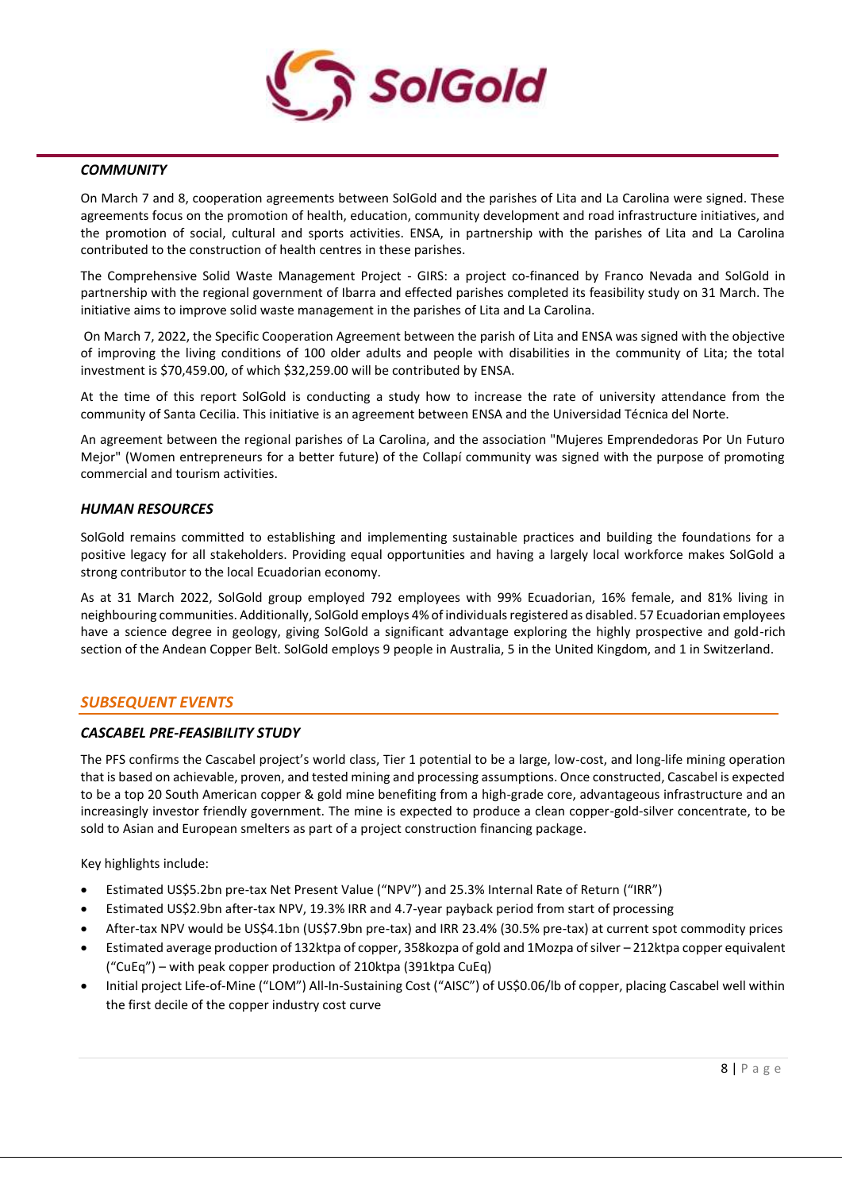

#### *COMMUNITY*

On March 7 and 8, cooperation agreements between SolGold and the parishes of Lita and La Carolina were signed. These agreements focus on the promotion of health, education, community development and road infrastructure initiatives, and the promotion of social, cultural and sports activities. ENSA, in partnership with the parishes of Lita and La Carolina contributed to the construction of health centres in these parishes.

The Comprehensive Solid Waste Management Project - GIRS: a project co-financed by Franco Nevada and SolGold in partnership with the regional government of Ibarra and effected parishes completed its feasibility study on 31 March. The initiative aims to improve solid waste management in the parishes of Lita and La Carolina.

On March 7, 2022, the Specific Cooperation Agreement between the parish of Lita and ENSA was signed with the objective of improving the living conditions of 100 older adults and people with disabilities in the community of Lita; the total investment is \$70,459.00, of which \$32,259.00 will be contributed by ENSA.

At the time of this report SolGold is conducting a study how to increase the rate of university attendance from the community of Santa Cecilia. This initiative is an agreement between ENSA and the Universidad Técnica del Norte.

An agreement between the regional parishes of La Carolina, and the association "Mujeres Emprendedoras Por Un Futuro Mejor" (Women entrepreneurs for a better future) of the Collapí community was signed with the purpose of promoting commercial and tourism activities.

# *HUMAN RESOURCES*

SolGold remains committed to establishing and implementing sustainable practices and building the foundations for a positive legacy for all stakeholders. Providing equal opportunities and having a largely local workforce makes SolGold a strong contributor to the local Ecuadorian economy.

As at 31 March 2022, SolGold group employed 792 employees with 99% Ecuadorian, 16% female, and 81% living in neighbouring communities. Additionally, SolGold employs 4% of individuals registered as disabled. 57 Ecuadorian employees have a science degree in geology, giving SolGold a significant advantage exploring the highly prospective and gold-rich section of the Andean Copper Belt. SolGold employs 9 people in Australia, 5 in the United Kingdom, and 1 in Switzerland.

# *SUBSEQUENT EVENTS*

# *CASCABEL PRE-FEASIBILITY STUDY*

The PFS confirms the Cascabel project's world class, Tier 1 potential to be a large, low-cost, and long-life mining operation that is based on achievable, proven, and tested mining and processing assumptions. Once constructed, Cascabel is expected to be a top 20 South American copper & gold mine benefiting from a high-grade core, advantageous infrastructure and an increasingly investor friendly government. The mine is expected to produce a clean copper-gold-silver concentrate, to be sold to Asian and European smelters as part of a project construction financing package.

Key highlights include:

- Estimated US\$5.2bn pre-tax Net Present Value ("NPV") and 25.3% Internal Rate of Return ("IRR")
- Estimated US\$2.9bn after-tax NPV, 19.3% IRR and 4.7-year payback period from start of processing
- After-tax NPV would be US\$4.1bn (US\$7.9bn pre-tax) and IRR 23.4% (30.5% pre-tax) at current spot commodity prices
- Estimated average production of 132ktpa of copper, 358kozpa of gold and 1Mozpa of silver 212ktpa copper equivalent ("CuEq") – with peak copper production of 210ktpa (391ktpa CuEq)
- Initial project Life-of-Mine ("LOM") All-In-Sustaining Cost ("AISC") of US\$0.06/lb of copper, placing Cascabel well within the first decile of the copper industry cost curve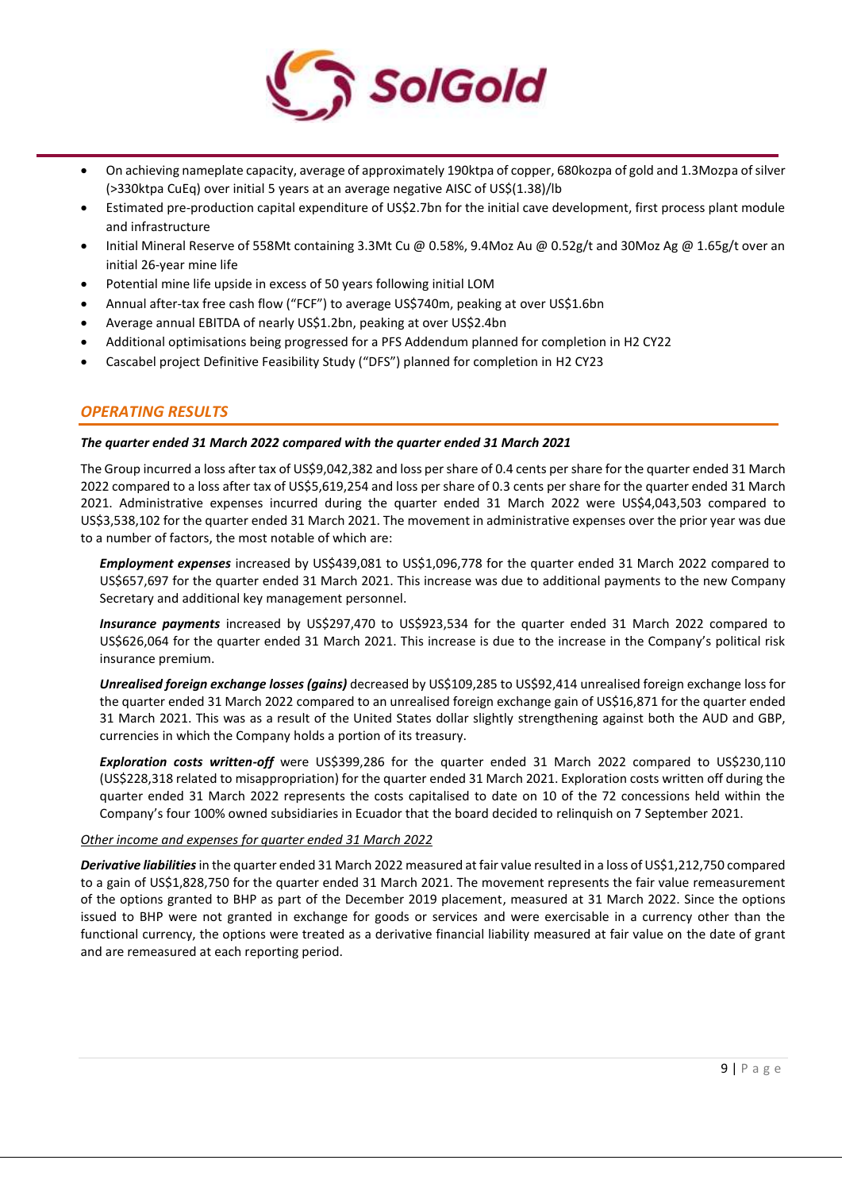

- On achieving nameplate capacity, average of approximately 190ktpa of copper, 680kozpa of gold and 1.3Mozpa of silver (>330ktpa CuEq) over initial 5 years at an average negative AISC of US\$(1.38)/lb
- Estimated pre-production capital expenditure of US\$2.7bn for the initial cave development, first process plant module and infrastructure
- Initial Mineral Reserve of 558Mt containing 3.3Mt Cu @ 0.58%, 9.4Moz Au @ 0.52g/t and 30Moz Ag @ 1.65g/t over an initial 26-year mine life
- Potential mine life upside in excess of 50 years following initial LOM
- Annual after-tax free cash flow ("FCF") to average US\$740m, peaking at over US\$1.6bn
- Average annual EBITDA of nearly US\$1.2bn, peaking at over US\$2.4bn
- Additional optimisations being progressed for a PFS Addendum planned for completion in H2 CY22
- Cascabel project Definitive Feasibility Study ("DFS") planned for completion in H2 CY23

# *OPERATING RESULTS*

#### *The quarter ended 31 March 2022 compared with the quarter ended 31 March 2021*

The Group incurred a loss after tax of US\$9,042,382 and loss per share of 0.4 cents per share for the quarter ended 31 March 2022 compared to a loss after tax of US\$5,619,254 and loss per share of 0.3 cents per share for the quarter ended 31 March 2021. Administrative expenses incurred during the quarter ended 31 March 2022 were US\$4,043,503 compared to US\$3,538,102 for the quarter ended 31 March 2021. The movement in administrative expenses over the prior year was due to a number of factors, the most notable of which are:

*Employment expenses* increased by US\$439,081 to US\$1,096,778 for the quarter ended 31 March 2022 compared to US\$657,697 for the quarter ended 31 March 2021. This increase was due to additional payments to the new Company Secretary and additional key management personnel.

*Insurance payments* increased by US\$297,470 to US\$923,534 for the quarter ended 31 March 2022 compared to US\$626,064 for the quarter ended 31 March 2021. This increase is due to the increase in the Company's political risk insurance premium.

*Unrealised foreign exchange losses (gains)* decreased by US\$109,285 to US\$92,414 unrealised foreign exchange loss for the quarter ended 31 March 2022 compared to an unrealised foreign exchange gain of US\$16,871 for the quarter ended 31 March 2021. This was as a result of the United States dollar slightly strengthening against both the AUD and GBP, currencies in which the Company holds a portion of its treasury.

*Exploration costs written-off* were US\$399,286 for the quarter ended 31 March 2022 compared to US\$230,110 (US\$228,318 related to misappropriation) for the quarter ended 31 March 2021. Exploration costs written off during the quarter ended 31 March 2022 represents the costs capitalised to date on 10 of the 72 concessions held within the Company's four 100% owned subsidiaries in Ecuador that the board decided to relinquish on 7 September 2021.

# *Other income and expenses for quarter ended 31 March 2022*

*Derivative liabilities*in the quarter ended 31 March 2022 measured at fair value resulted in a loss of US\$1,212,750 compared to a gain of US\$1,828,750 for the quarter ended 31 March 2021. The movement represents the fair value remeasurement of the options granted to BHP as part of the December 2019 placement, measured at 31 March 2022. Since the options issued to BHP were not granted in exchange for goods or services and were exercisable in a currency other than the functional currency, the options were treated as a derivative financial liability measured at fair value on the date of grant and are remeasured at each reporting period.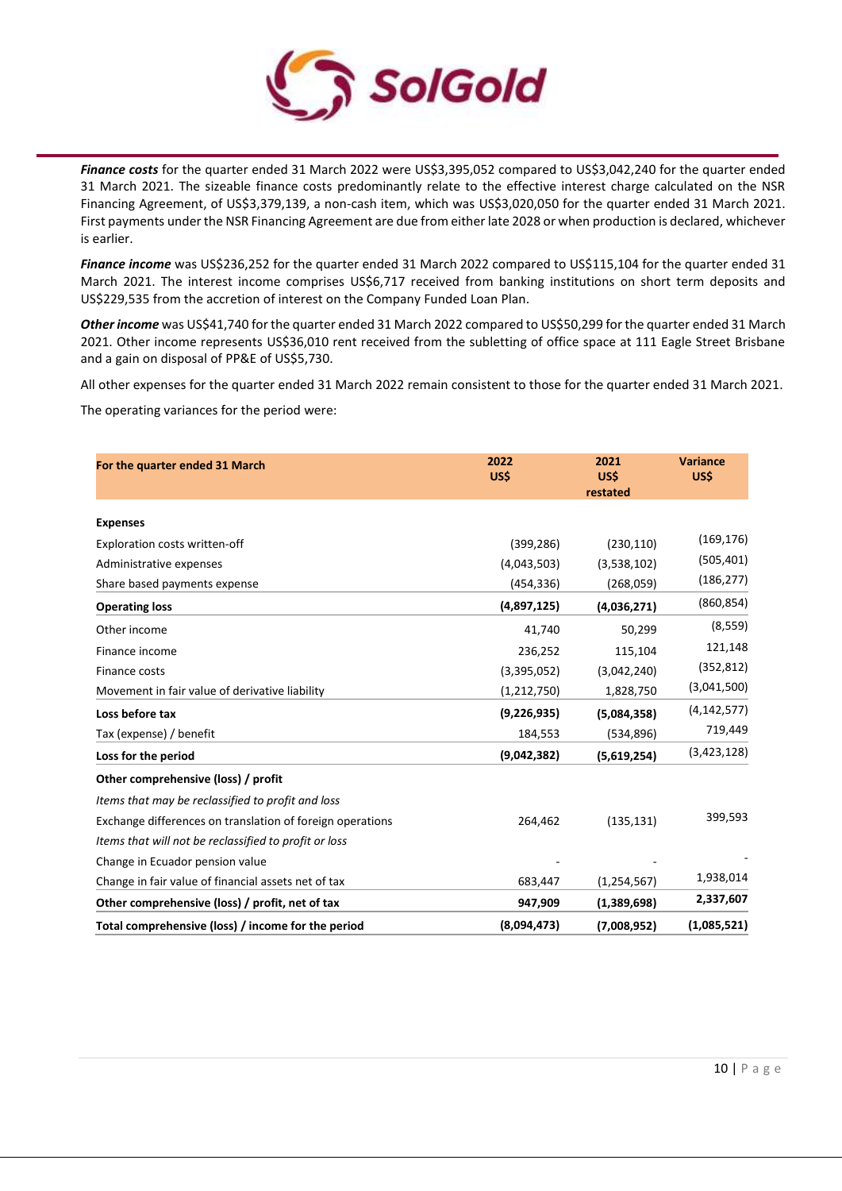

*Finance costs* for the quarter ended 31 March 2022 were US\$3,395,052 compared to US\$3,042,240 for the quarter ended 31 March 2021. The sizeable finance costs predominantly relate to the effective interest charge calculated on the NSR Financing Agreement, of US\$3,379,139, a non-cash item, which was US\$3,020,050 for the quarter ended 31 March 2021. First payments under the NSR Financing Agreement are due from either late 2028 or when production is declared, whichever is earlier.

*Finance income* was US\$236,252 for the quarter ended 31 March 2022 compared to US\$115,104 for the quarter ended 31 March 2021. The interest income comprises US\$6,717 received from banking institutions on short term deposits and US\$229,535 from the accretion of interest on the Company Funded Loan Plan.

*Other income* was US\$41,740 for the quarter ended 31 March 2022 compared to US\$50,299 for the quarter ended 31 March 2021. Other income represents US\$36,010 rent received from the subletting of office space at 111 Eagle Street Brisbane and a gain on disposal of PP&E of US\$5,730.

All other expenses for the quarter ended 31 March 2022 remain consistent to those for the quarter ended 31 March 2021.

The operating variances for the period were:

| For the quarter ended 31 March                            | 2022<br>US\$ | 2021<br>US\$<br>restated | <b>Variance</b><br>US\$ |
|-----------------------------------------------------------|--------------|--------------------------|-------------------------|
| <b>Expenses</b>                                           |              |                          |                         |
| Exploration costs written-off                             | (399, 286)   | (230, 110)               | (169, 176)              |
| Administrative expenses                                   | (4,043,503)  | (3,538,102)              | (505, 401)              |
| Share based payments expense                              | (454,336)    | (268,059)                | (186, 277)              |
| <b>Operating loss</b>                                     | (4,897,125)  | (4,036,271)              | (860, 854)              |
| Other income                                              | 41,740       | 50,299                   | (8, 559)                |
| Finance income                                            | 236,252      | 115,104                  | 121,148                 |
| Finance costs                                             | (3,395,052)  | (3,042,240)              | (352, 812)              |
| Movement in fair value of derivative liability            | (1,212,750)  | 1,828,750                | (3,041,500)             |
| Loss before tax                                           | (9,226,935)  | (5,084,358)              | (4, 142, 577)           |
| Tax (expense) / benefit                                   | 184,553      | (534, 896)               | 719,449                 |
| Loss for the period                                       | (9,042,382)  | (5,619,254)              | (3,423,128)             |
| Other comprehensive (loss) / profit                       |              |                          |                         |
| Items that may be reclassified to profit and loss         |              |                          |                         |
| Exchange differences on translation of foreign operations | 264,462      | (135, 131)               | 399,593                 |
| Items that will not be reclassified to profit or loss     |              |                          |                         |
| Change in Ecuador pension value                           |              |                          |                         |
| Change in fair value of financial assets net of tax       | 683,447      | (1, 254, 567)            | 1,938,014               |
| Other comprehensive (loss) / profit, net of tax           | 947,909      | (1,389,698)              | 2,337,607               |
| Total comprehensive (loss) / income for the period        | (8,094,473)  | (7,008,952)              | (1,085,521)             |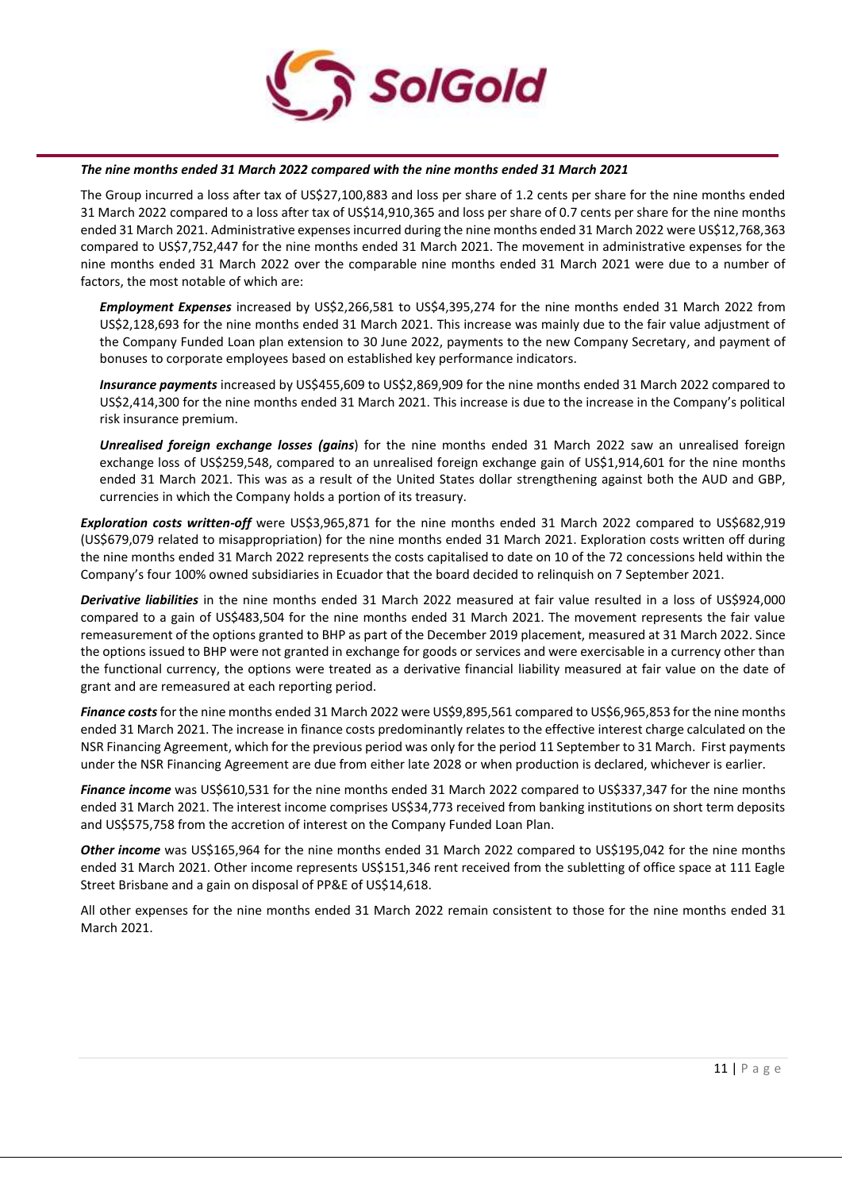

#### *The nine months ended 31 March 2022 compared with the nine months ended 31 March 2021*

The Group incurred a loss after tax of US\$27,100,883 and loss per share of 1.2 cents per share for the nine months ended 31 March 2022 compared to a loss after tax of US\$14,910,365 and loss per share of 0.7 cents per share for the nine months ended 31 March 2021. Administrative expenses incurred during the nine months ended 31 March 2022 were US\$12,768,363 compared to US\$7,752,447 for the nine months ended 31 March 2021. The movement in administrative expenses for the nine months ended 31 March 2022 over the comparable nine months ended 31 March 2021 were due to a number of factors, the most notable of which are:

*Employment Expenses* increased by US\$2,266,581 to US\$4,395,274 for the nine months ended 31 March 2022 from US\$2,128,693 for the nine months ended 31 March 2021. This increase was mainly due to the fair value adjustment of the Company Funded Loan plan extension to 30 June 2022, payments to the new Company Secretary, and payment of bonuses to corporate employees based on established key performance indicators.

*Insurance payments* increased by US\$455,609 to US\$2,869,909 for the nine months ended 31 March 2022 compared to US\$2,414,300 for the nine months ended 31 March 2021. This increase is due to the increase in the Company's political risk insurance premium.

*Unrealised foreign exchange losses (gains*) for the nine months ended 31 March 2022 saw an unrealised foreign exchange loss of US\$259,548, compared to an unrealised foreign exchange gain of US\$1,914,601 for the nine months ended 31 March 2021. This was as a result of the United States dollar strengthening against both the AUD and GBP, currencies in which the Company holds a portion of its treasury.

*Exploration costs written-off* were US\$3,965,871 for the nine months ended 31 March 2022 compared to US\$682,919 (US\$679,079 related to misappropriation) for the nine months ended 31 March 2021. Exploration costs written off during the nine months ended 31 March 2022 represents the costs capitalised to date on 10 of the 72 concessions held within the Company's four 100% owned subsidiaries in Ecuador that the board decided to relinquish on 7 September 2021.

*Derivative liabilities* in the nine months ended 31 March 2022 measured at fair value resulted in a loss of US\$924,000 compared to a gain of US\$483,504 for the nine months ended 31 March 2021. The movement represents the fair value remeasurement of the options granted to BHP as part of the December 2019 placement, measured at 31 March 2022. Since the options issued to BHP were not granted in exchange for goods or services and were exercisable in a currency other than the functional currency, the options were treated as a derivative financial liability measured at fair value on the date of grant and are remeasured at each reporting period.

*Finance costs*for the nine months ended 31 March 2022 were US\$9,895,561 compared to US\$6,965,853 for the nine months ended 31 March 2021. The increase in finance costs predominantly relates to the effective interest charge calculated on the NSR Financing Agreement, which for the previous period was only for the period 11 September to 31 March. First payments under the NSR Financing Agreement are due from either late 2028 or when production is declared, whichever is earlier.

*Finance income* was US\$610,531 for the nine months ended 31 March 2022 compared to US\$337,347 for the nine months ended 31 March 2021. The interest income comprises US\$34,773 received from banking institutions on short term deposits and US\$575,758 from the accretion of interest on the Company Funded Loan Plan.

*Other income* was US\$165,964 for the nine months ended 31 March 2022 compared to US\$195,042 for the nine months ended 31 March 2021. Other income represents US\$151,346 rent received from the subletting of office space at 111 Eagle Street Brisbane and a gain on disposal of PP&E of US\$14,618.

All other expenses for the nine months ended 31 March 2022 remain consistent to those for the nine months ended 31 March 2021.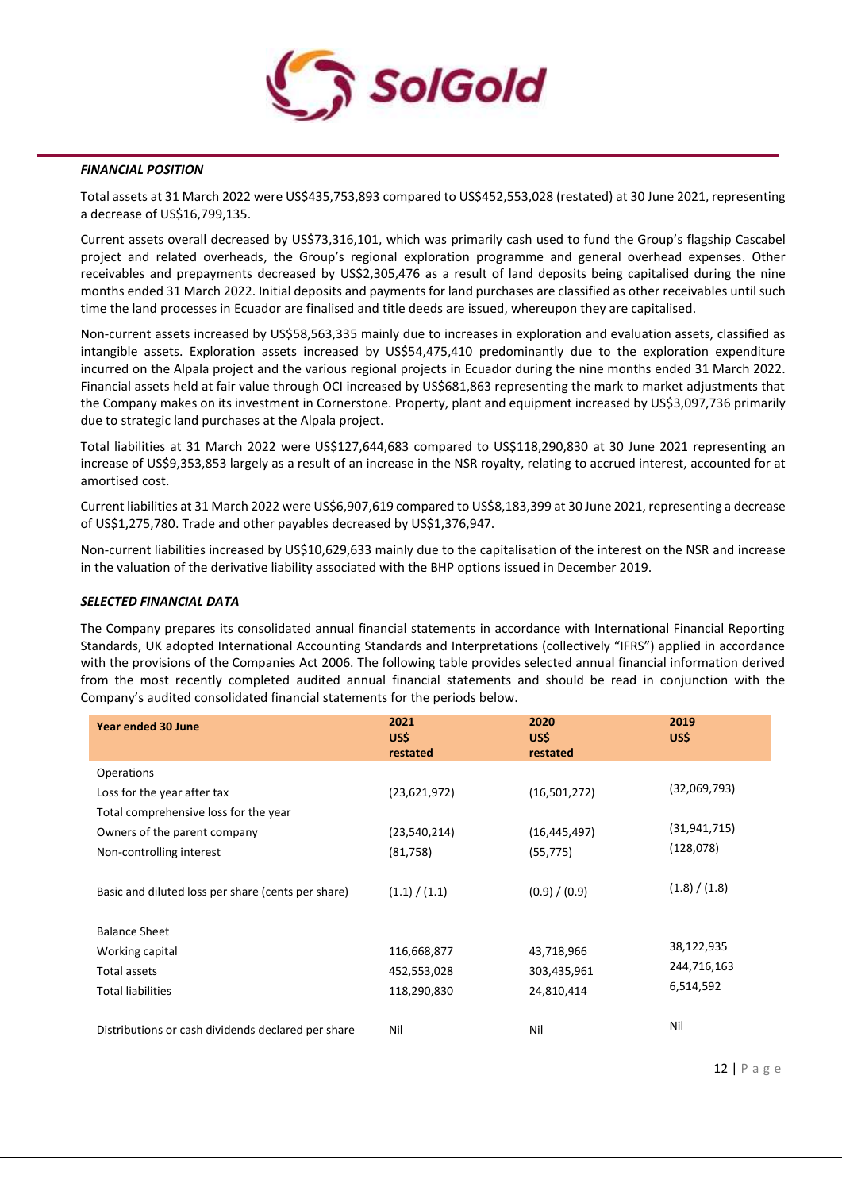

#### *FINANCIAL POSITION*

Total assets at 31 March 2022 were US\$435,753,893 compared to US\$452,553,028 (restated) at 30 June 2021, representing a decrease of US\$16,799,135.

Current assets overall decreased by US\$73,316,101, which was primarily cash used to fund the Group's flagship Cascabel project and related overheads, the Group's regional exploration programme and general overhead expenses. Other receivables and prepayments decreased by US\$2,305,476 as a result of land deposits being capitalised during the nine months ended 31 March 2022. Initial deposits and payments for land purchases are classified as other receivables until such time the land processes in Ecuador are finalised and title deeds are issued, whereupon they are capitalised.

Non-current assets increased by US\$58,563,335 mainly due to increases in exploration and evaluation assets, classified as intangible assets. Exploration assets increased by US\$54,475,410 predominantly due to the exploration expenditure incurred on the Alpala project and the various regional projects in Ecuador during the nine months ended 31 March 2022. Financial assets held at fair value through OCI increased by US\$681,863 representing the mark to market adjustments that the Company makes on its investment in Cornerstone. Property, plant and equipment increased by US\$3,097,736 primarily due to strategic land purchases at the Alpala project.

Total liabilities at 31 March 2022 were US\$127,644,683 compared to US\$118,290,830 at 30 June 2021 representing an increase of US\$9,353,853 largely as a result of an increase in the NSR royalty, relating to accrued interest, accounted for at amortised cost.

Current liabilities at 31 March 2022 were US\$6,907,619 compared to US\$8,183,399 at 30 June 2021, representing a decrease of US\$1,275,780. Trade and other payables decreased by US\$1,376,947.

Non-current liabilities increased by US\$10,629,633 mainly due to the capitalisation of the interest on the NSR and increase in the valuation of the derivative liability associated with the BHP options issued in December 2019.

#### *SELECTED FINANCIAL DATA*

The Company prepares its consolidated annual financial statements in accordance with International Financial Reporting Standards, UK adopted International Accounting Standards and Interpretations (collectively "IFRS") applied in accordance with the provisions of the Companies Act 2006. The following table provides selected annual financial information derived from the most recently completed audited annual financial statements and should be read in conjunction with the Company's audited consolidated financial statements for the periods below.

| Year ended 30 June                                 | 2021<br>US\$<br>restated | 2020<br>US\$<br>restated | 2019<br>US\$   |
|----------------------------------------------------|--------------------------|--------------------------|----------------|
| Operations                                         |                          |                          |                |
| Loss for the year after tax                        | (23,621,972)             | (16,501,272)             | (32,069,793)   |
| Total comprehensive loss for the year              |                          |                          |                |
| Owners of the parent company                       | (23, 540, 214)           | (16, 445, 497)           | (31, 941, 715) |
| Non-controlling interest                           | (81,758)                 | (55, 775)                | (128,078)      |
| Basic and diluted loss per share (cents per share) | (1.1) / (1.1)            | (0.9) / (0.9)            | (1.8) / (1.8)  |
| <b>Balance Sheet</b>                               |                          |                          |                |
| Working capital                                    | 116,668,877              | 43,718,966               | 38,122,935     |
| Total assets                                       | 452,553,028              | 303,435,961              | 244,716,163    |
| <b>Total liabilities</b>                           | 118,290,830              | 24,810,414               | 6,514,592      |
| Distributions or cash dividends declared per share | Nil                      | Nil                      | Nil            |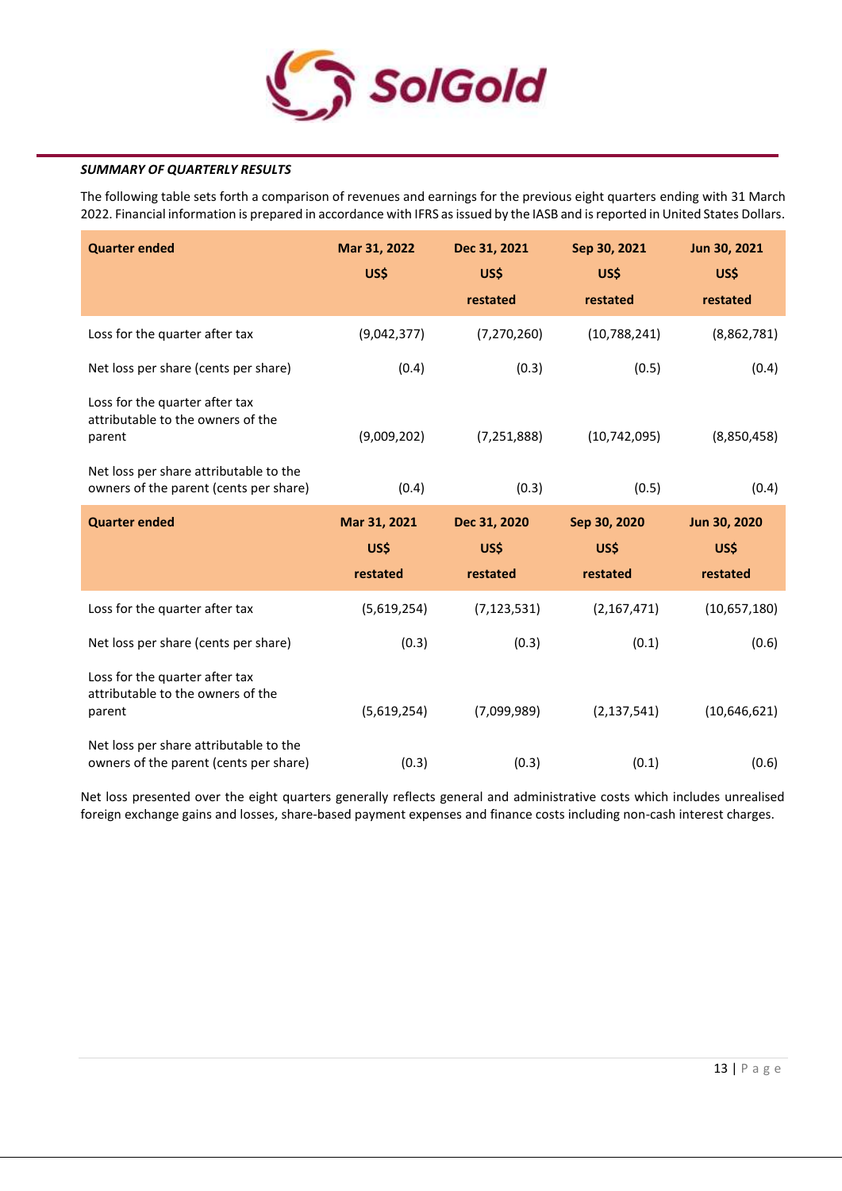

# *SUMMARY OF QUARTERLY RESULTS*

The following table sets forth a comparison of revenues and earnings for the previous eight quarters ending with 31 March 2022. Financial information is prepared in accordance with IFRS as issued by the IASB and is reported in United States Dollars.

| <b>Quarter ended</b>                                                             | Mar 31, 2022<br>US\$             | Dec 31, 2021<br>US\$<br>restated | Sep 30, 2021<br>US\$<br>restated | Jun 30, 2021<br>US\$<br>restated |
|----------------------------------------------------------------------------------|----------------------------------|----------------------------------|----------------------------------|----------------------------------|
| Loss for the quarter after tax                                                   | (9,042,377)                      | (7, 270, 260)                    | (10, 788, 241)                   | (8,862,781)                      |
| Net loss per share (cents per share)                                             | (0.4)                            | (0.3)                            | (0.5)                            | (0.4)                            |
| Loss for the quarter after tax<br>attributable to the owners of the<br>parent    | (9,009,202)                      | (7, 251, 888)                    | (10, 742, 095)                   | (8,850,458)                      |
| Net loss per share attributable to the<br>owners of the parent (cents per share) | (0.4)                            | (0.3)                            | (0.5)                            | (0.4)                            |
|                                                                                  |                                  |                                  |                                  |                                  |
| <b>Quarter ended</b>                                                             | Mar 31, 2021<br>US\$<br>restated | Dec 31, 2020<br>US\$<br>restated | Sep 30, 2020<br>US\$<br>restated | Jun 30, 2020<br>US\$<br>restated |
| Loss for the quarter after tax                                                   | (5,619,254)                      | (7, 123, 531)                    | (2, 167, 471)                    | (10,657,180)                     |
| Net loss per share (cents per share)                                             | (0.3)                            | (0.3)                            | (0.1)                            | (0.6)                            |
| Loss for the quarter after tax<br>attributable to the owners of the<br>parent    | (5,619,254)                      | (7,099,989)                      | (2, 137, 541)                    | (10,646,621)                     |

Net loss presented over the eight quarters generally reflects general and administrative costs which includes unrealised foreign exchange gains and losses, share-based payment expenses and finance costs including non-cash interest charges.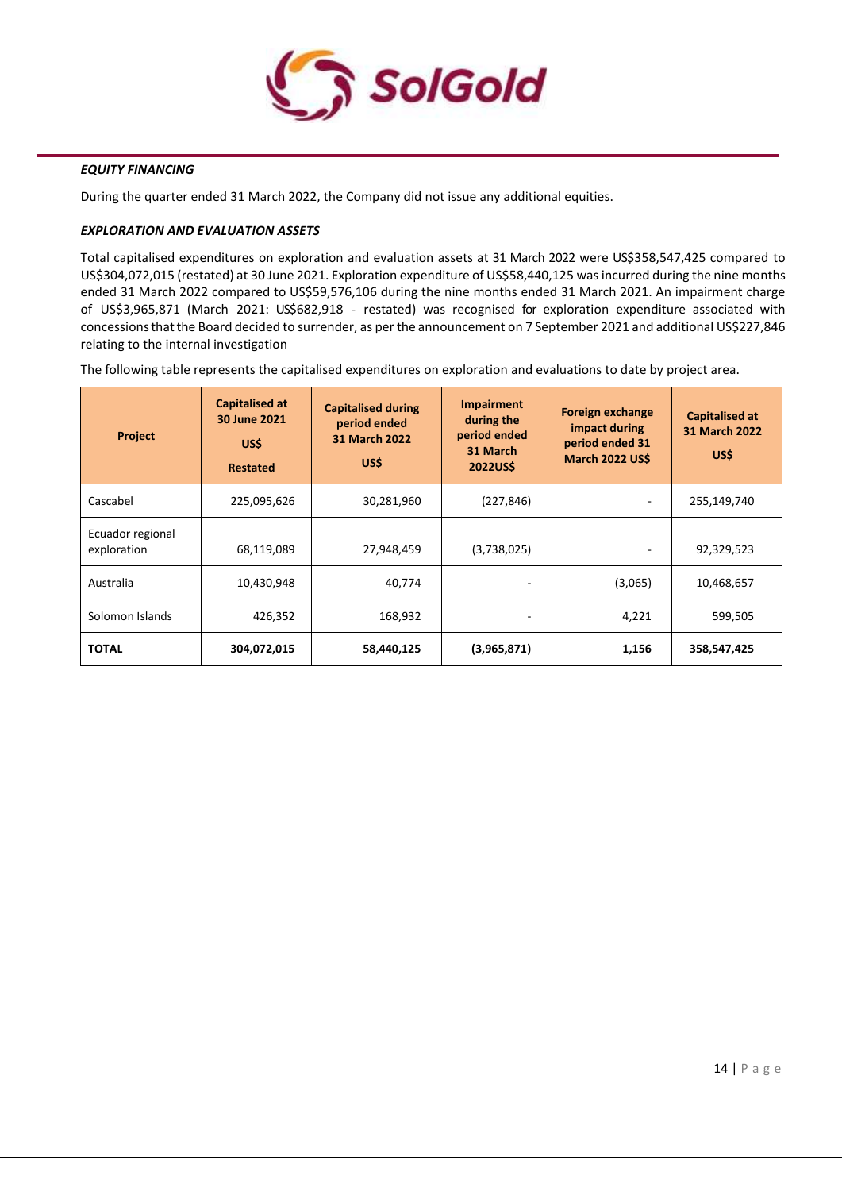

# *EQUITY FINANCING*

During the quarter ended 31 March 2022, the Company did not issue any additional equities.

## *EXPLORATION AND EVALUATION ASSETS*

Total capitalised expenditures on exploration and evaluation assets at 31 March 2022 were US\$358,547,425 compared to US\$304,072,015 (restated) at 30 June 2021. Exploration expenditure of US\$58,440,125 was incurred during the nine months ended 31 March 2022 compared to US\$59,576,106 during the nine months ended 31 March 2021. An impairment charge of US\$3,965,871 (March 2021: US\$682,918 - restated) was recognised for exploration expenditure associated with concessionsthatthe Board decided to surrender, as per the announcement on 7 September 2021 and additional US\$227,846 relating to the internal investigation

The following table represents the capitalised expenditures on exploration and evaluations to date by project area.

| <b>Project</b>                  | <b>Capitalised at</b><br>30 June 2021<br>US\$<br><b>Restated</b> | <b>Capitalised during</b><br>period ended<br>31 March 2022<br>US\$ | <b>Impairment</b><br>during the<br>period ended<br>31 March<br><b>2022USS</b> | <b>Foreign exchange</b><br>impact during<br>period ended 31<br><b>March 2022 US\$</b> | <b>Capitalised at</b><br>31 March 2022<br>US\$ |
|---------------------------------|------------------------------------------------------------------|--------------------------------------------------------------------|-------------------------------------------------------------------------------|---------------------------------------------------------------------------------------|------------------------------------------------|
| Cascabel                        | 225,095,626                                                      | 30,281,960                                                         | (227, 846)                                                                    |                                                                                       | 255,149,740                                    |
| Ecuador regional<br>exploration | 68,119,089                                                       | 27,948,459                                                         | (3,738,025)                                                                   |                                                                                       | 92,329,523                                     |
| Australia                       | 10,430,948                                                       | 40,774                                                             |                                                                               | (3,065)                                                                               | 10,468,657                                     |
| Solomon Islands                 | 426,352                                                          | 168,932                                                            |                                                                               | 4,221                                                                                 | 599,505                                        |
| <b>TOTAL</b>                    | 304,072,015                                                      | 58,440,125                                                         | (3,965,871)                                                                   | 1,156                                                                                 | 358,547,425                                    |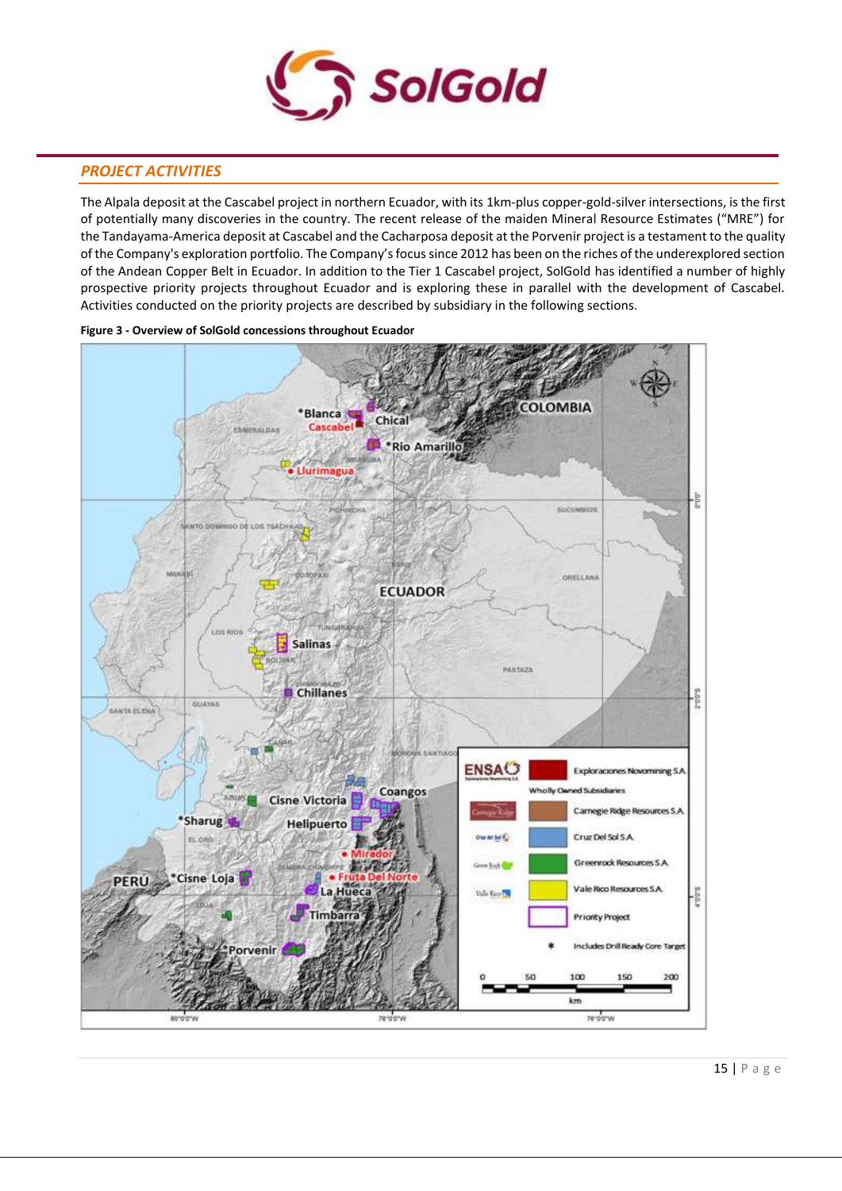

# *PROJECT ACTIVITIES*

The Alpala deposit at the Cascabel project in northern Ecuador, with its 1km-plus copper-gold-silver intersections, is the first of potentially many discoveries in the country. The recent release of the maiden Mineral Resource Estimates ("MRE") for the Tandayama-America deposit at Cascabel and the Cacharposa deposit at the Porvenir project is a testament to the quality of the Company's exploration portfolio. The Company's focus since 2012 has been on the riches of the underexplored section of the Andean Copper Belt in Ecuador. In addition to the Tier 1 Cascabel project, SolGold has identified a number of highly prospective priority projects throughout Ecuador and is exploring these in parallel with the development of Cascabel. Activities conducted on the priority projects are described by subsidiary in the following sections.



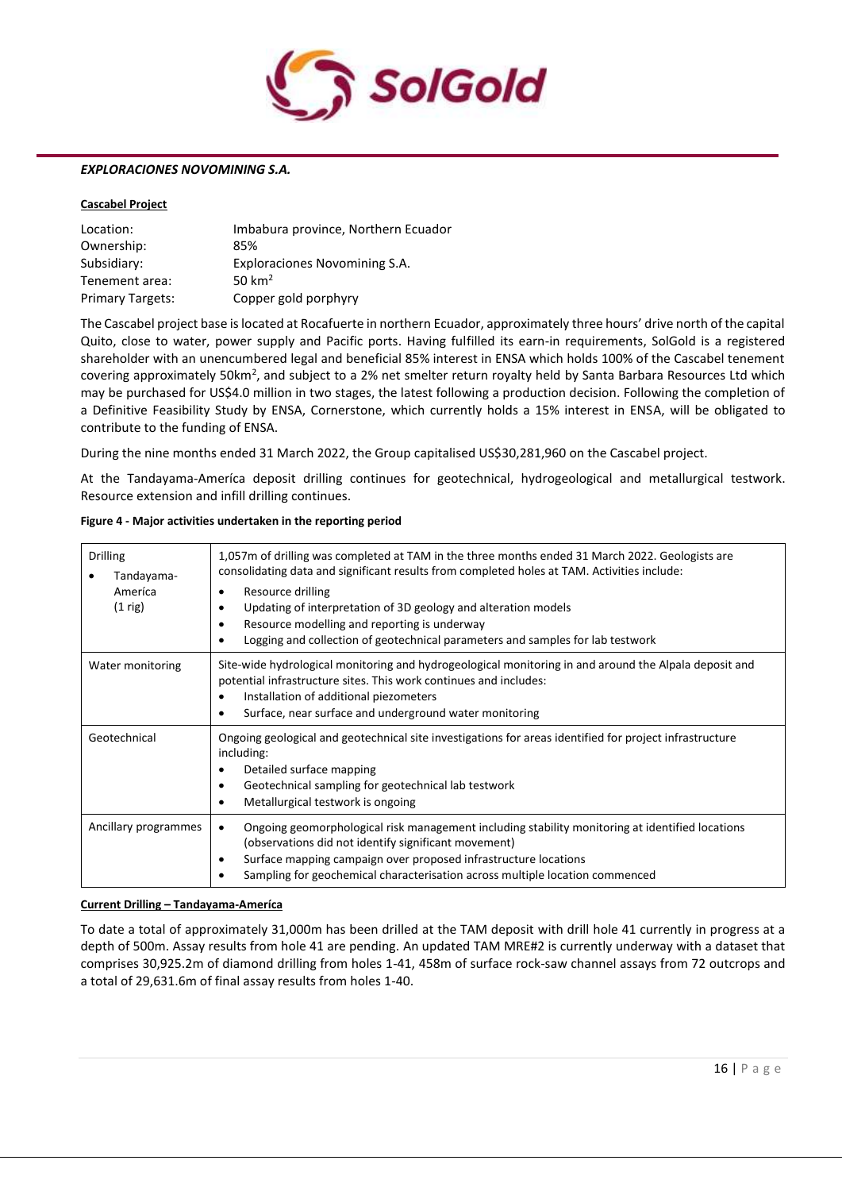

#### *EXPLORACIONES NOVOMINING S.A.*

#### **Cascabel Project**

| Location:               | Imbabura province, Northern Ecuador |
|-------------------------|-------------------------------------|
| Ownership:              | 85%                                 |
| Subsidiary:             | Exploraciones Novomining S.A.       |
| Tenement area:          | 50 $km2$                            |
| <b>Primary Targets:</b> | Copper gold porphyry                |

The Cascabel project base is located at Rocafuerte in northern Ecuador, approximately three hours' drive north of the capital Quito, close to water, power supply and Pacific ports. Having fulfilled its earn-in requirements, SolGold is a registered shareholder with an unencumbered legal and beneficial 85% interest in ENSA which holds 100% of the Cascabel tenement covering approximately 50km<sup>2</sup>, and subject to a 2% net smelter return royalty held by Santa Barbara Resources Ltd which may be purchased for US\$4.0 million in two stages, the latest following a production decision. Following the completion of a Definitive Feasibility Study by ENSA, Cornerstone, which currently holds a 15% interest in ENSA, will be obligated to contribute to the funding of ENSA.

During the nine months ended 31 March 2022, the Group capitalised US\$30,281,960 on the Cascabel project.

At the Tandayama-Ameríca deposit drilling continues for geotechnical, hydrogeological and metallurgical testwork. Resource extension and infill drilling continues.

| <b>Drilling</b><br>Tandayama-<br>Ameríca<br>$(1$ rig) | 1,057m of drilling was completed at TAM in the three months ended 31 March 2022. Geologists are<br>consolidating data and significant results from completed holes at TAM. Activities include:<br>Resource drilling<br>٠<br>Updating of interpretation of 3D geology and alteration models<br>Resource modelling and reporting is underway<br>٠<br>Logging and collection of geotechnical parameters and samples for lab testwork |
|-------------------------------------------------------|-----------------------------------------------------------------------------------------------------------------------------------------------------------------------------------------------------------------------------------------------------------------------------------------------------------------------------------------------------------------------------------------------------------------------------------|
| Water monitoring                                      | Site-wide hydrological monitoring and hydrogeological monitoring in and around the Alpala deposit and<br>potential infrastructure sites. This work continues and includes:<br>Installation of additional piezometers<br>Surface, near surface and underground water monitoring                                                                                                                                                    |
| Geotechnical                                          | Ongoing geological and geotechnical site investigations for areas identified for project infrastructure<br>including:<br>Detailed surface mapping<br>Geotechnical sampling for geotechnical lab testwork<br>Metallurgical testwork is ongoing                                                                                                                                                                                     |
| Ancillary programmes                                  | Ongoing geomorphological risk management including stability monitoring at identified locations<br>٠<br>(observations did not identify significant movement)<br>Surface mapping campaign over proposed infrastructure locations<br>٠<br>Sampling for geochemical characterisation across multiple location commenced                                                                                                              |

#### **Figure 4 - Major activities undertaken in the reporting period**

#### **Current Drilling – Tandayama-Ameríca**

To date a total of approximately 31,000m has been drilled at the TAM deposit with drill hole 41 currently in progress at a depth of 500m. Assay results from hole 41 are pending. An updated TAM MRE#2 is currently underway with a dataset that comprises 30,925.2m of diamond drilling from holes 1-41, 458m of surface rock-saw channel assays from 72 outcrops and a total of 29,631.6m of final assay results from holes 1-40.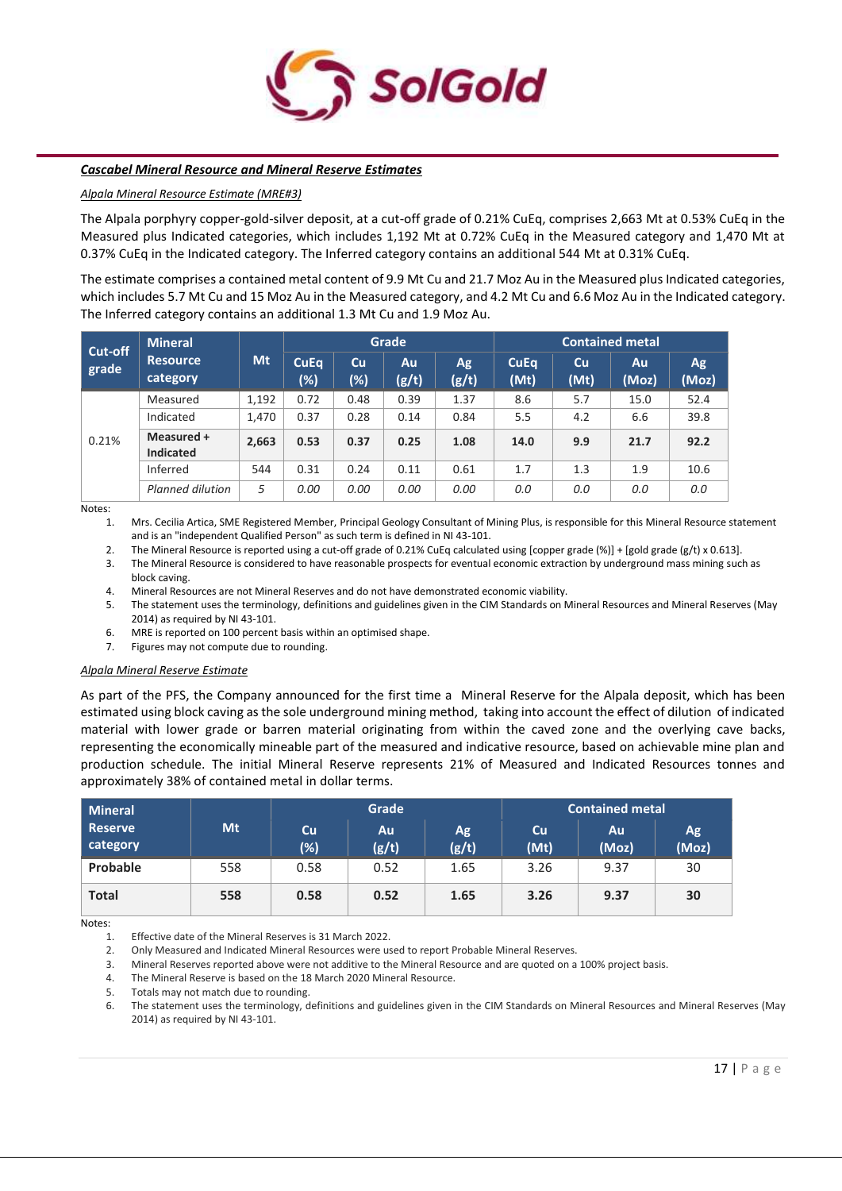

#### *Cascabel Mineral Resource and Mineral Reserve Estimates*

#### *Alpala Mineral Resource Estimate (MRE#3)*

The Alpala porphyry copper-gold-silver deposit, at a cut-off grade of 0.21% CuEq, comprises 2,663 Mt at 0.53% CuEq in the Measured plus Indicated categories, which includes 1,192 Mt at 0.72% CuEq in the Measured category and 1,470 Mt at 0.37% CuEq in the Indicated category. The Inferred category contains an additional 544 Mt at 0.31% CuEq.

The estimate comprises a contained metal content of 9.9 Mt Cu and 21.7 Moz Au in the Measured plus Indicated categories, which includes 5.7 Mt Cu and 15 Moz Au in the Measured category, and 4.2 Mt Cu and 6.6 Moz Au in the Indicated category. The Inferred category contains an additional 1.3 Mt Cu and 1.9 Moz Au.

| Cut-off | <b>Mineral</b>                 |       |                    |                     | Grade        |              |                     |            | <b>Contained metal</b> |             |
|---------|--------------------------------|-------|--------------------|---------------------|--------------|--------------|---------------------|------------|------------------------|-------------|
| grade   | <b>Resource</b><br>category    | Mt    | <b>CuEq</b><br>(%) | <b>Cu</b><br>$(\%)$ | Au.<br>(g/t) | Ag.<br>(g/t) | <b>CuEq</b><br>(Mt) | Cu<br>(Mt) | Au<br>(Moz)            | Ag<br>(Moz) |
|         | Measured                       | 1,192 | 0.72               | 0.48                | 0.39         | 1.37         | 8.6                 | 5.7        | 15.0                   | 52.4        |
|         | Indicated                      | 1,470 | 0.37               | 0.28                | 0.14         | 0.84         | 5.5                 | 4.2        | 6.6                    | 39.8        |
| 0.21%   | Measured +<br><b>Indicated</b> | 2,663 | 0.53               | 0.37                | 0.25         | 1.08         | 14.0                | 9.9        | 21.7                   | 92.2        |
|         | Inferred                       | 544   | 0.31               | 0.24                | 0.11         | 0.61         | 1.7                 | 1.3        | 1.9                    | 10.6        |
|         | Planned dilution               | 5     | 0.00               | 0.00                | 0.00         | 0.00         | 0.0                 | 0.0        | 0.0                    | 0.0         |

Notes:

1. Mrs. Cecilia Artica, SME Registered Member, Principal Geology Consultant of Mining Plus, is responsible for this Mineral Resource statement and is an "independent Qualified Person" as such term is defined in NI 43-101.

2. The Mineral Resource is reported using a cut-off grade of 0.21% CuEq calculated using [copper grade (%)] + [gold grade (g/t) x 0.613].<br>3. The Mineral Resource is considered to have reasonable prospects for eventual econ

3. The Mineral Resource is considered to have reasonable prospects for eventual economic extraction by underground mass mining such as block caving.

4. Mineral Resources are not Mineral Reserves and do not have demonstrated economic viability.

5. The statement uses the terminology, definitions and guidelines given in the CIM Standards on Mineral Resources and Mineral Reserves (May 2014) as required by NI 43-101.

6. MRE is reported on 100 percent basis within an optimised shape.

7. Figures may not compute due to rounding.

#### *Alpala Mineral Reserve Estimate*

As part of the PFS, the Company announced for the first time a Mineral Reserve for the Alpala deposit, which has been estimated using block caving as the sole underground mining method, taking into account the effect of dilution of indicated material with lower grade or barren material originating from within the caved zone and the overlying cave backs, representing the economically mineable part of the measured and indicative resource, based on achievable mine plan and production schedule. The initial Mineral Reserve represents 21% of Measured and Indicated Resources tonnes and approximately 38% of contained metal in dollar terms.

| Mineral               |     |           | Grade       |             |            | <b>Contained metal</b> |             |
|-----------------------|-----|-----------|-------------|-------------|------------|------------------------|-------------|
| l Reserve<br>category | Mt  | Cu<br>(%) | Au<br>(g/t) | Ag<br>(g/t) | Cu<br>(Mt) | <b>Au</b><br>(Moz)     | Ag<br>(Moz) |
| Probable              | 558 | 0.58      | 0.52        | 1.65        | 3.26       | 9.37                   | 30          |
| <b>Total</b>          | 558 | 0.58      | 0.52        | 1.65        | 3.26       | 9.37                   | 30          |

Notes:

1. Effective date of the Mineral Reserves is 31 March 2022.

2. Only Measured and Indicated Mineral Resources were used to report Probable Mineral Reserves.

3. Mineral Reserves reported above were not additive to the Mineral Resource and are quoted on a 100% project basis.

4. The Mineral Reserve is based on the 18 March 2020 Mineral Resource.

5. Totals may not match due to rounding.

6. The statement uses the terminology, definitions and guidelines given in the CIM Standards on Mineral Resources and Mineral Reserves (May 2014) as required by NI 43-101.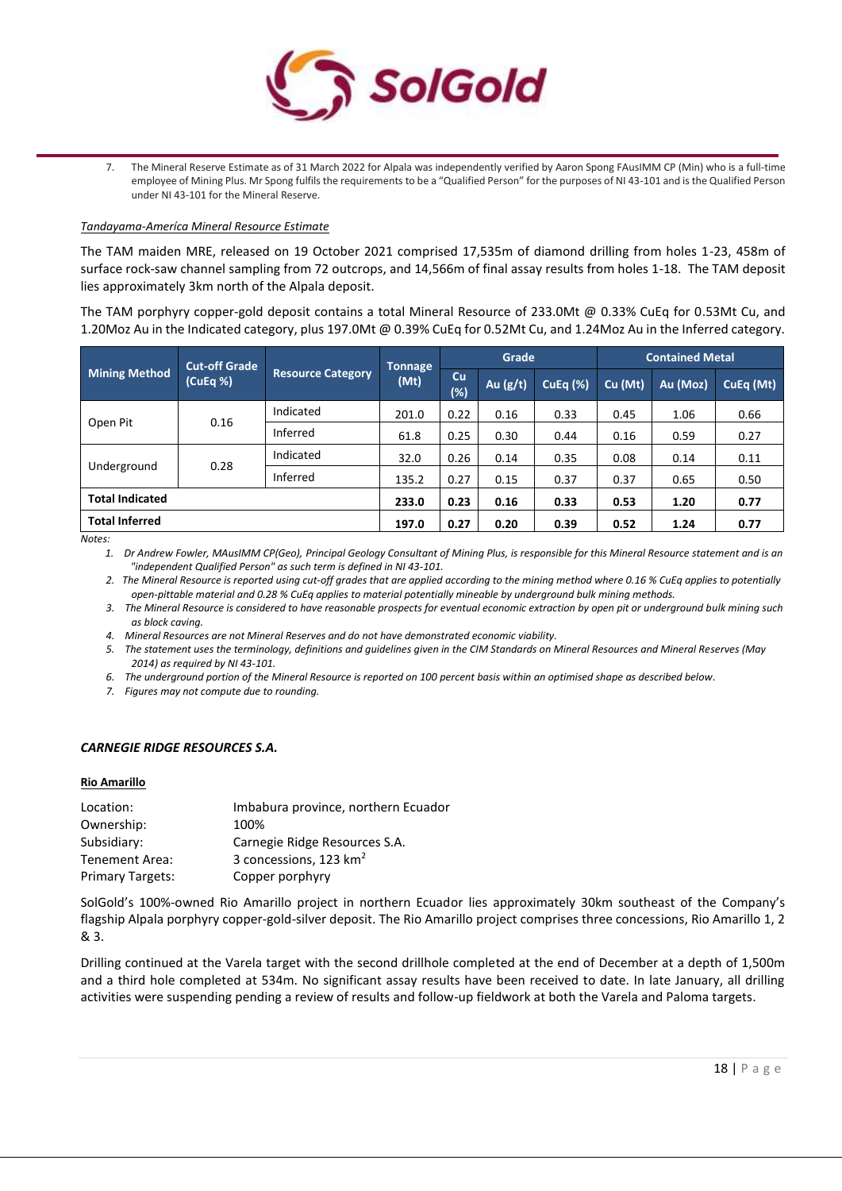

7. The Mineral Reserve Estimate as of 31 March 2022 for Alpala was independently verified by Aaron Spong FAusIMM CP (Min) who is a full-time employee of Mining Plus. Mr Spong fulfils the requirements to be a "Qualified Person" for the purposes of NI 43-101 and is the Qualified Person under NI 43-101 for the Mineral Reserve.

#### *Tandayama-Ameríca Mineral Resource Estimate*

The TAM maiden MRE, released on 19 October 2021 comprised 17,535m of diamond drilling from holes 1-23, 458m of surface rock-saw channel sampling from 72 outcrops, and 14,566m of final assay results from holes 1-18. The TAM deposit lies approximately 3km north of the Alpala deposit.

The TAM porphyry copper-gold deposit contains a total Mineral Resource of 233.0Mt @ 0.33% CuEq for 0.53Mt Cu, and 1.20Moz Au in the Indicated category, plus 197.0Mt @ 0.39% CuEq for 0.52Mt Cu, and 1.24Moz Au in the Inferred category.

|                        | <b>Cut-off Grade</b> |                          | <b>Tonnage</b> |              | Grade      |                 |         | <b>Contained Metal</b> |           |  |
|------------------------|----------------------|--------------------------|----------------|--------------|------------|-----------------|---------|------------------------|-----------|--|
| <b>Mining Method</b>   | (CuEq %)             | <b>Resource Category</b> | (Mt)           | Cu<br>$(\%)$ | Au $(g/t)$ | <b>CuEq (%)</b> | Cu (Mt) | Au (Moz)               | CuEq (Mt) |  |
| Open Pit               | 0.16                 | Indicated                | 201.0          | 0.22         | 0.16       | 0.33            | 0.45    | 1.06                   | 0.66      |  |
|                        |                      | Inferred                 | 61.8           | 0.25         | 0.30       | 0.44            | 0.16    | 0.59                   | 0.27      |  |
|                        | 0.28                 | Indicated                | 32.0           | 0.26         | 0.14       | 0.35            | 0.08    | 0.14                   | 0.11      |  |
| Underground            |                      | Inferred                 | 135.2          | 0.27         | 0.15       | 0.37            | 0.37    | 0.65                   | 0.50      |  |
| <b>Total Indicated</b> |                      |                          | 233.0          | 0.23         | 0.16       | 0.33            | 0.53    | 1.20                   | 0.77      |  |
| <b>Total Inferred</b>  |                      |                          | 197.0          | 0.27         | 0.20       | 0.39            | 0.52    | 1.24                   | 0.77      |  |

*Notes:*

*1. Dr Andrew Fowler, MAusIMM CP(Geo), Principal Geology Consultant of Mining Plus, is responsible for this Mineral Resource statement and is an "independent Qualified Person" as such term is defined in NI 43-101.*

*2. The Mineral Resource is reported using cut-off grades that are applied according to the mining method where 0.16 % CuEq applies to potentially open-pittable material and 0.28 % CuEq applies to material potentially mineable by underground bulk mining methods.*

*3. The Mineral Resource is considered to have reasonable prospects for eventual economic extraction by open pit or underground bulk mining such as block caving.*

*4. Mineral Resources are not Mineral Reserves and do not have demonstrated economic viability.*

*5. The statement uses the terminology, definitions and guidelines given in the CIM Standards on Mineral Resources and Mineral Reserves (May 2014) as required by NI 43-101.*

*6. The underground portion of the Mineral Resource is reported on 100 percent basis within an optimised shape as described below.*

*7. Figures may not compute due to rounding.*

#### *CARNEGIE RIDGE RESOURCES S.A.*

#### **Rio Amarillo**

| Location:               | Imbabura province, northern Ecuador |
|-------------------------|-------------------------------------|
| Ownership:              | 100%                                |
| Subsidiary:             | Carnegie Ridge Resources S.A.       |
| Tenement Area:          | 3 concessions, 123 km <sup>2</sup>  |
| <b>Primary Targets:</b> | Copper porphyry                     |

SolGold's 100%-owned Rio Amarillo project in northern Ecuador lies approximately 30km southeast of the Company's flagship Alpala porphyry copper-gold-silver deposit. The Rio Amarillo project comprises three concessions, Rio Amarillo 1, 2 & 3.

Drilling continued at the Varela target with the second drillhole completed at the end of December at a depth of 1,500m and a third hole completed at 534m. No significant assay results have been received to date. In late January, all drilling activities were suspending pending a review of results and follow-up fieldwork at both the Varela and Paloma targets.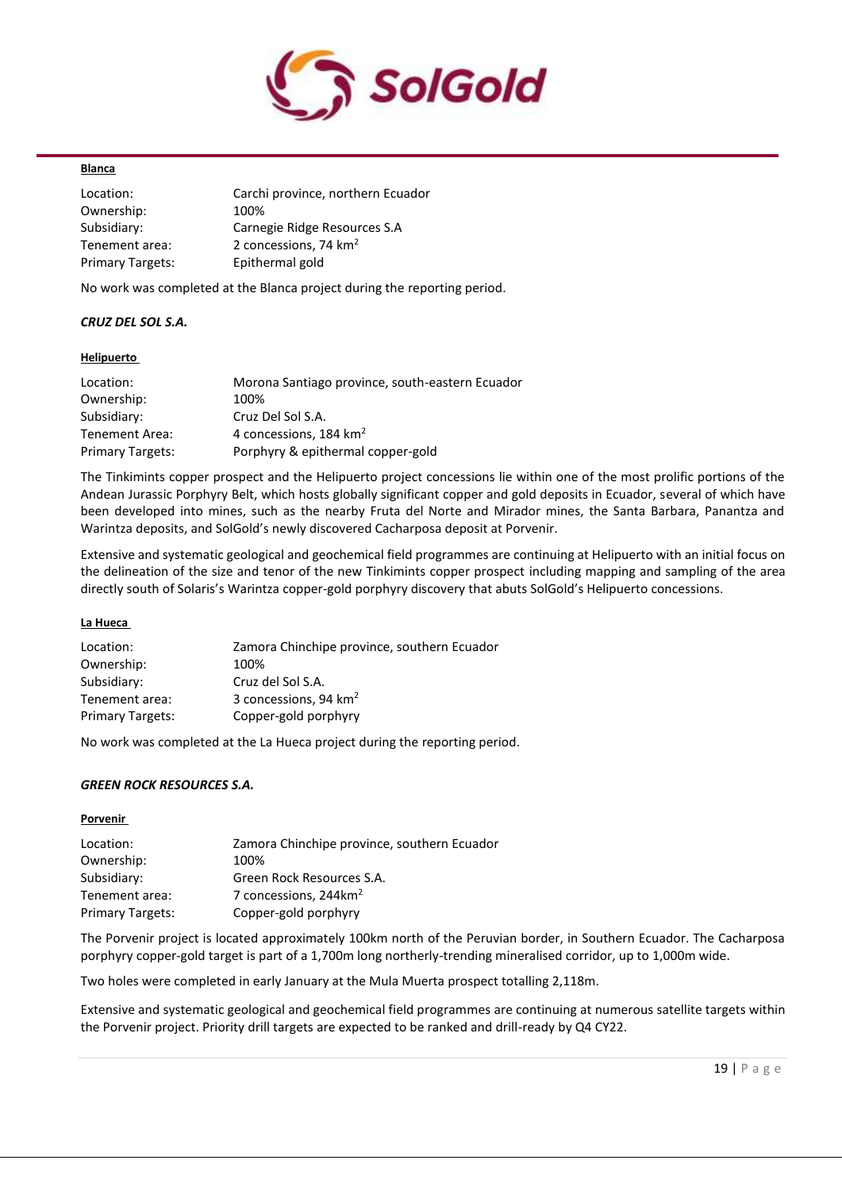

#### **Blanca**

| Location:               | Carchi province, northern Ecuador |
|-------------------------|-----------------------------------|
| Ownership:              | 100%                              |
| Subsidiary:             | Carnegie Ridge Resources S.A      |
| Tenement area:          | 2 concessions, 74 km <sup>2</sup> |
| <b>Primary Targets:</b> | Epithermal gold                   |

No work was completed at the Blanca project during the reporting period.

# *CRUZ DEL SOL S.A.*

#### **Helipuerto**

| Location:               | Morona Santiago province, south-eastern Ecuador |
|-------------------------|-------------------------------------------------|
| Ownership:              | 100%                                            |
| Subsidiary:             | Cruz Del Sol S.A.                               |
| Tenement Area:          | 4 concessions, 184 km <sup>2</sup>              |
| <b>Primary Targets:</b> | Porphyry & epithermal copper-gold               |

The Tinkimints copper prospect and the Helipuerto project concessions lie within one of the most prolific portions of the Andean Jurassic Porphyry Belt, which hosts globally significant copper and gold deposits in Ecuador, several of which have been developed into mines, such as the nearby Fruta del Norte and Mirador mines, the Santa Barbara, Panantza and Warintza deposits, and SolGold's newly discovered Cacharposa deposit at Porvenir.

Extensive and systematic geological and geochemical field programmes are continuing at Helipuerto with an initial focus on the delineation of the size and tenor of the new Tinkimints copper prospect including mapping and sampling of the area directly south of Solaris's Warintza copper-gold porphyry discovery that abuts SolGold's Helipuerto concessions.

#### **La Hueca**

| Location:               | Zamora Chinchipe province, southern Ecuador |
|-------------------------|---------------------------------------------|
| Ownership:              | 100%                                        |
| Subsidiary:             | Cruz del Sol S.A.                           |
| Tenement area:          | 3 concessions, 94 km <sup>2</sup>           |
| <b>Primary Targets:</b> | Copper-gold porphyry                        |

No work was completed at the La Hueca project during the reporting period.

# *GREEN ROCK RESOURCES S.A.*

# **Porvenir**

| Location:               | Zamora Chinchipe province, southern Ecuador |
|-------------------------|---------------------------------------------|
| Ownership:              | 100%                                        |
| Subsidiary:             | Green Rock Resources S.A.                   |
| Tenement area:          | 7 concessions, 244km <sup>2</sup>           |
| <b>Primary Targets:</b> | Copper-gold porphyry                        |

The Porvenir project is located approximately 100km north of the Peruvian border, in Southern Ecuador. The Cacharposa porphyry copper-gold target is part of a 1,700m long northerly-trending mineralised corridor, up to 1,000m wide.

Two holes were completed in early January at the Mula Muerta prospect totalling 2,118m.

Extensive and systematic geological and geochemical field programmes are continuing at numerous satellite targets within the Porvenir project. Priority drill targets are expected to be ranked and drill-ready by Q4 CY22.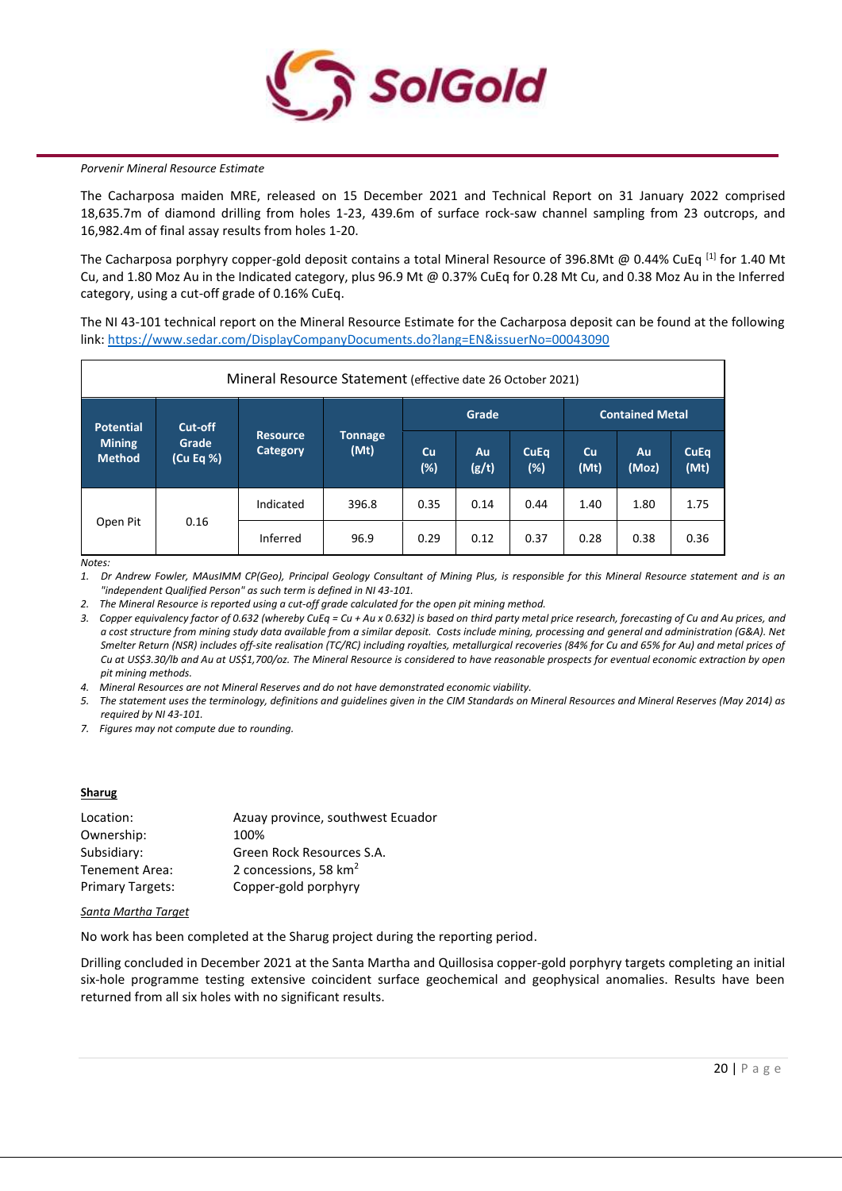

#### *Porvenir Mineral Resource Estimate*

The Cacharposa maiden MRE, released on 15 December 2021 and Technical Report on 31 January 2022 comprised 18,635.7m of diamond drilling from holes 1-23, 439.6m of surface rock-saw channel sampling from 23 outcrops, and 16,982.4m of final assay results from holes 1-20.

The Cacharposa porphyry copper-gold deposit contains a total Mineral Resource of 396.8Mt @ 0.44% CuEq <sup>[1]</sup> for 1.40 Mt Cu, and 1.80 Moz Au in the Indicated category, plus 96.9 Mt @ 0.37% CuEq for 0.28 Mt Cu, and 0.38 Moz Au in the Inferred category, using a cut-off grade of 0.16% CuEq.

The NI 43-101 technical report on the Mineral Resource Estimate for the Cacharposa deposit can be found at the following link[: https://www.sedar.com/DisplayCompanyDocuments.do?lang=EN&issuerNo=00043090](https://www.sedar.com/DisplayCompanyDocuments.do?lang=EN&issuerNo=00043090)

| Mineral Resource Statement (effective date 26 October 2021) |           |                                    |                        |           |             |                        |                   |             |                     |
|-------------------------------------------------------------|-----------|------------------------------------|------------------------|-----------|-------------|------------------------|-------------------|-------------|---------------------|
| Cut-off<br>Potential                                        |           |                                    | Grade                  |           |             | <b>Contained Metal</b> |                   |             |                     |
| <b>Mining</b><br>Grade<br><b>Method</b>                     | (Cu Eq %) | <b>Resource</b><br><b>Category</b> | <b>Tonnage</b><br>(Mt) | Cu<br>(%) | Au<br>(g/t) | <b>CuEq</b><br>$(\%)$  | <b>Cu</b><br>(Mt) | Au<br>(Moz) | <b>CuEq</b><br>(Mt) |
|                                                             |           | Indicated                          | 396.8                  | 0.35      | 0.14        | 0.44                   | 1.40              | 1.80        | 1.75                |
| 0.16<br>Open Pit                                            | Inferred  | 96.9                               | 0.29                   | 0.12      | 0.37        | 0.28                   | 0.38              | 0.36        |                     |

*Notes:*

*1. Dr Andrew Fowler, MAusIMM CP(Geo), Principal Geology Consultant of Mining Plus, is responsible for this Mineral Resource statement and is an "independent Qualified Person" as such term is defined in NI 43-101.*

*2. The Mineral Resource is reported using a cut-off grade calculated for the open pit mining method.* 

*3. Copper equivalency factor of 0.632 (whereby CuEq = Cu + Au x 0.632) is based on third party metal price research, forecasting of Cu and Au prices, and a cost structure from mining study data available from a similar deposit. Costs include mining, processing and general and administration (G&A). Net Smelter Return (NSR) includes off-site realisation (TC/RC) including royalties, metallurgical recoveries (84% for Cu and 65% for Au) and metal prices of Cu at US\$3.30/lb and Au at US\$1,700/oz. The Mineral Resource is considered to have reasonable prospects for eventual economic extraction by open pit mining methods.*

*4. Mineral Resources are not Mineral Reserves and do not have demonstrated economic viability.*

*5. The statement uses the terminology, definitions and guidelines given in the CIM Standards on Mineral Resources and Mineral Reserves (May 2014) as required by NI 43-101.*

*7. Figures may not compute due to rounding.*

#### **Sharug**

| Azuay province, southwest Ecuador |
|-----------------------------------|
| 100%                              |
| Green Rock Resources S.A.         |
| 2 concessions, 58 km <sup>2</sup> |
| Copper-gold porphyry              |
|                                   |

#### *Santa Martha Target*

No work has been completed at the Sharug project during the reporting period.

Drilling concluded in December 2021 at the Santa Martha and Quillosisa copper-gold porphyry targets completing an initial six-hole programme testing extensive coincident surface geochemical and geophysical anomalies. Results have been returned from all six holes with no significant results.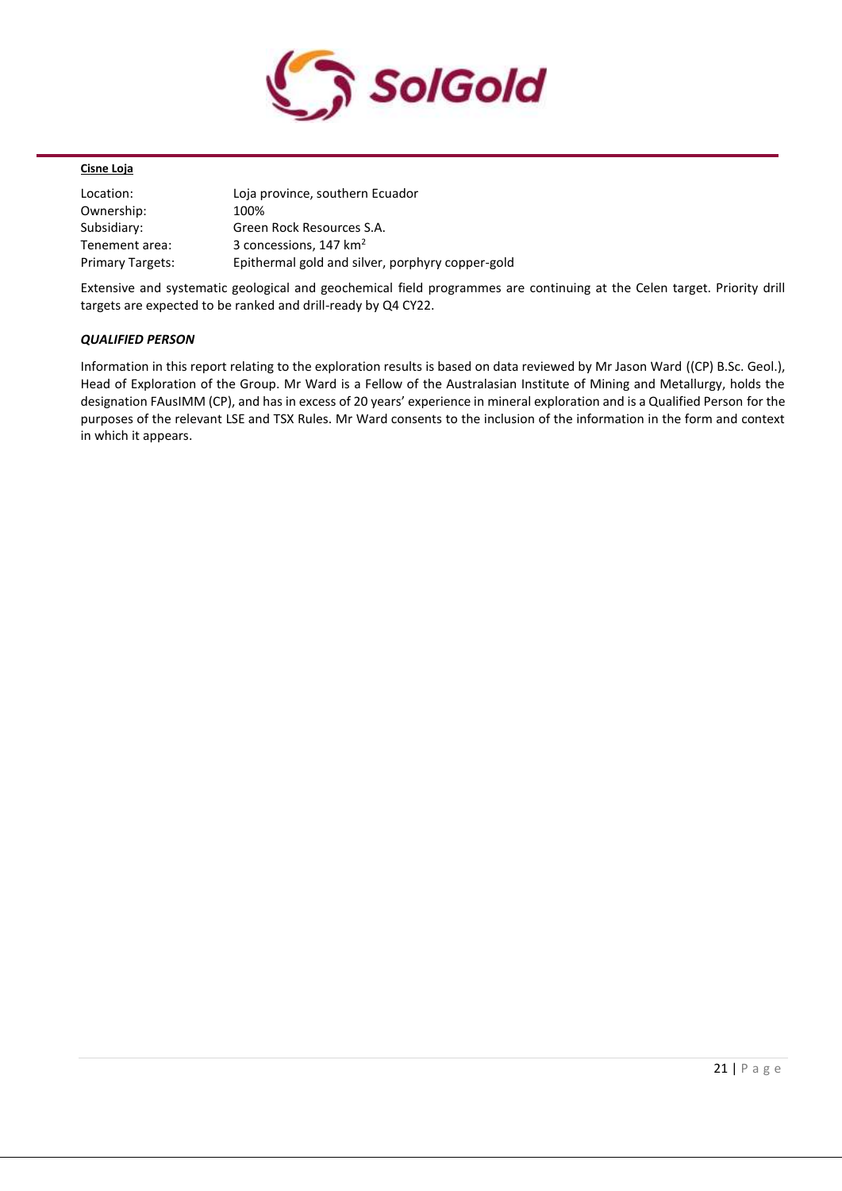

# **Cisne Loja**

| Location:               | Loja province, southern Ecuador                  |
|-------------------------|--------------------------------------------------|
| Ownership:              | 100%                                             |
| Subsidiary:             | Green Rock Resources S.A.                        |
| Tenement area:          | 3 concessions, 147 km <sup>2</sup>               |
| <b>Primary Targets:</b> | Epithermal gold and silver, porphyry copper-gold |

Extensive and systematic geological and geochemical field programmes are continuing at the Celen target. Priority drill targets are expected to be ranked and drill-ready by Q4 CY22.

## *QUALIFIED PERSON*

Information in this report relating to the exploration results is based on data reviewed by Mr Jason Ward ((CP) B.Sc. Geol.), Head of Exploration of the Group. Mr Ward is a Fellow of the Australasian Institute of Mining and Metallurgy, holds the designation FAusIMM (CP), and has in excess of 20 years' experience in mineral exploration and is a Qualified Person for the purposes of the relevant LSE and TSX Rules. Mr Ward consents to the inclusion of the information in the form and context in which it appears.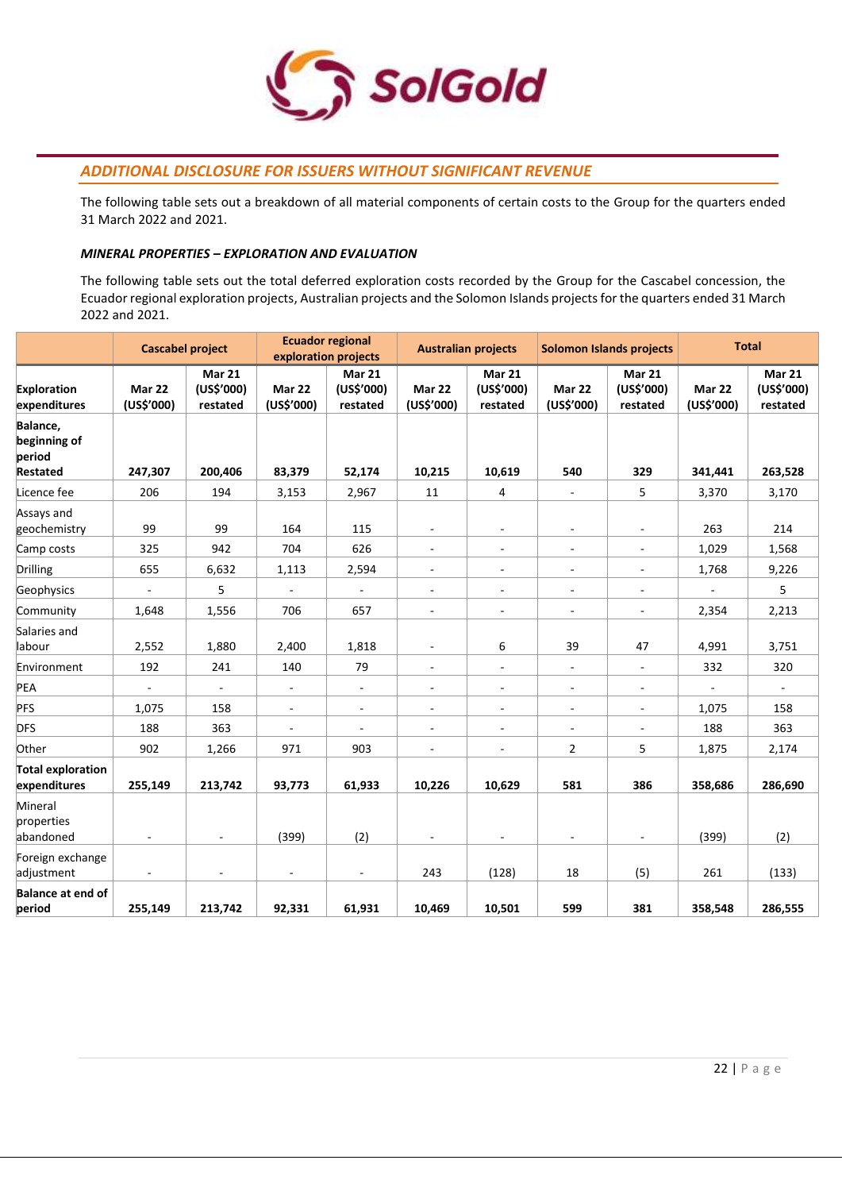

# *ADDITIONAL DISCLOSURE FOR ISSUERS WITHOUT SIGNIFICANT REVENUE*

The following table sets out a breakdown of all material components of certain costs to the Group for the quarters ended 31 March 2022 and 2021.

## *MINERAL PROPERTIES – EXPLORATION AND EVALUATION*

The following table sets out the total deferred exploration costs recorded by the Group for the Cascabel concession, the Ecuador regional exploration projects, Australian projects and the Solomon Islands projects for the quarters ended 31 March 2022 and 2021.

|                                                       | <b>Cascabel project</b>  |                                         | <b>Ecuador regional</b><br>exploration projects |                                  | <b>Australian projects</b> |                                         | <b>Solomon Islands projects</b> |                                  | <b>Total</b>             |                                  |
|-------------------------------------------------------|--------------------------|-----------------------------------------|-------------------------------------------------|----------------------------------|----------------------------|-----------------------------------------|---------------------------------|----------------------------------|--------------------------|----------------------------------|
| <b>Exploration</b><br>expenditures                    | Mar 22<br>(US\$'000)     | <b>Mar 21</b><br>(US\$'000)<br>restated | Mar 22<br>(US\$'000)                            | Mar 21<br>(US\$'000)<br>restated | Mar 22<br>(US\$'000)       | <b>Mar 21</b><br>(US\$'000)<br>restated | Mar 22<br>(US\$'000)            | Mar 21<br>(US\$'000)<br>restated | Mar 22<br>(US\$'000)     | Mar 21<br>(US\$'000)<br>restated |
| Balance,<br>beginning of<br>period<br><b>Restated</b> | 247,307                  | 200,406                                 | 83,379                                          | 52,174                           | 10,215                     | 10,619                                  | 540                             | 329                              | 341,441                  | 263,528                          |
| Licence fee                                           | 206                      | 194                                     | 3,153                                           | 2,967                            | 11                         | 4                                       | $\overline{\phantom{a}}$        | 5                                | 3,370                    | 3,170                            |
| Assays and<br>geochemistry                            | 99                       | 99                                      | 164                                             | 115                              | $\overline{\phantom{a}}$   | $\overline{\phantom{a}}$                |                                 |                                  | 263                      | 214                              |
| Camp costs                                            | 325                      | 942                                     | 704                                             | 626                              | $\blacksquare$             | $\sim$                                  | $\overline{\phantom{a}}$        |                                  | 1,029                    | 1,568                            |
| Drilling                                              | 655                      | 6,632                                   | 1,113                                           | 2,594                            | $\overline{\phantom{a}}$   | $\overline{\phantom{a}}$                | $\overline{\phantom{a}}$        | $\overline{\phantom{a}}$         | 1,768                    | 9,226                            |
| Geophysics                                            | $\sim$                   | 5                                       | $\overline{\phantom{a}}$                        | $\overline{\phantom{a}}$         | $\overline{\phantom{a}}$   | $\overline{\phantom{a}}$                | ÷.                              | $\overline{\phantom{a}}$         |                          | 5                                |
| Community                                             | 1,648                    | 1,556                                   | 706                                             | 657                              | $\blacksquare$             | $\overline{\phantom{a}}$                | $\sim$                          | $\mathcal{L}_{\mathcal{A}}$      | 2,354                    | 2,213                            |
| Salaries and<br>labour                                | 2,552                    | 1,880                                   | 2,400                                           | 1,818                            | $\overline{\phantom{a}}$   | 6                                       | 39                              | 47                               | 4,991                    | 3,751                            |
| Environment                                           | 192                      | 241                                     | 140                                             | 79                               | $\blacksquare$             | $\overline{\phantom{a}}$                | $\overline{\phantom{a}}$        | $\blacksquare$                   | 332                      | 320                              |
| PEA                                                   | $\overline{\phantom{a}}$ | $\overline{\phantom{a}}$                | $\blacksquare$                                  | $\blacksquare$                   | $\overline{\phantom{a}}$   | $\overline{\phantom{a}}$                | $\blacksquare$                  | $\overline{\phantom{a}}$         | $\overline{\phantom{a}}$ | $\blacksquare$                   |
| PFS                                                   | 1,075                    | 158                                     | $\overline{\phantom{a}}$                        | $\sim$                           | $\overline{\phantom{a}}$   | $\overline{\phantom{a}}$                | $\overline{\phantom{a}}$        | ۰                                | 1,075                    | 158                              |
| <b>DFS</b>                                            | 188                      | 363                                     | $\blacksquare$                                  | $\blacksquare$                   | $\blacksquare$             | $\bar{a}$                               | $\blacksquare$                  | ÷,                               | 188                      | 363                              |
| Other                                                 | 902                      | 1,266                                   | 971                                             | 903                              | $\blacksquare$             | $\overline{\phantom{a}}$                | $\overline{2}$                  | 5                                | 1,875                    | 2,174                            |
| <b>Total exploration</b><br>expenditures              | 255,149                  | 213,742                                 | 93,773                                          | 61,933                           | 10,226                     | 10,629                                  | 581                             | 386                              | 358,686                  | 286,690                          |
| Mineral<br>properties<br>abandoned                    | $\blacksquare$           | $\blacksquare$                          | (399)                                           | (2)                              | $\overline{\phantom{a}}$   | $\overline{\phantom{a}}$                | $\overline{\phantom{a}}$        | $\overline{\phantom{m}}$         | (399)                    | (2)                              |
| Foreign exchange<br>adjustment                        | ä,                       | $\overline{\phantom{a}}$                | $\blacksquare$                                  | $\overline{\phantom{a}}$         | 243                        | (128)                                   | 18                              | (5)                              | 261                      | (133)                            |
| <b>Balance at end of</b><br>period                    | 255,149                  | 213,742                                 | 92,331                                          | 61,931                           | 10,469                     | 10,501                                  | 599                             | 381                              | 358,548                  | 286,555                          |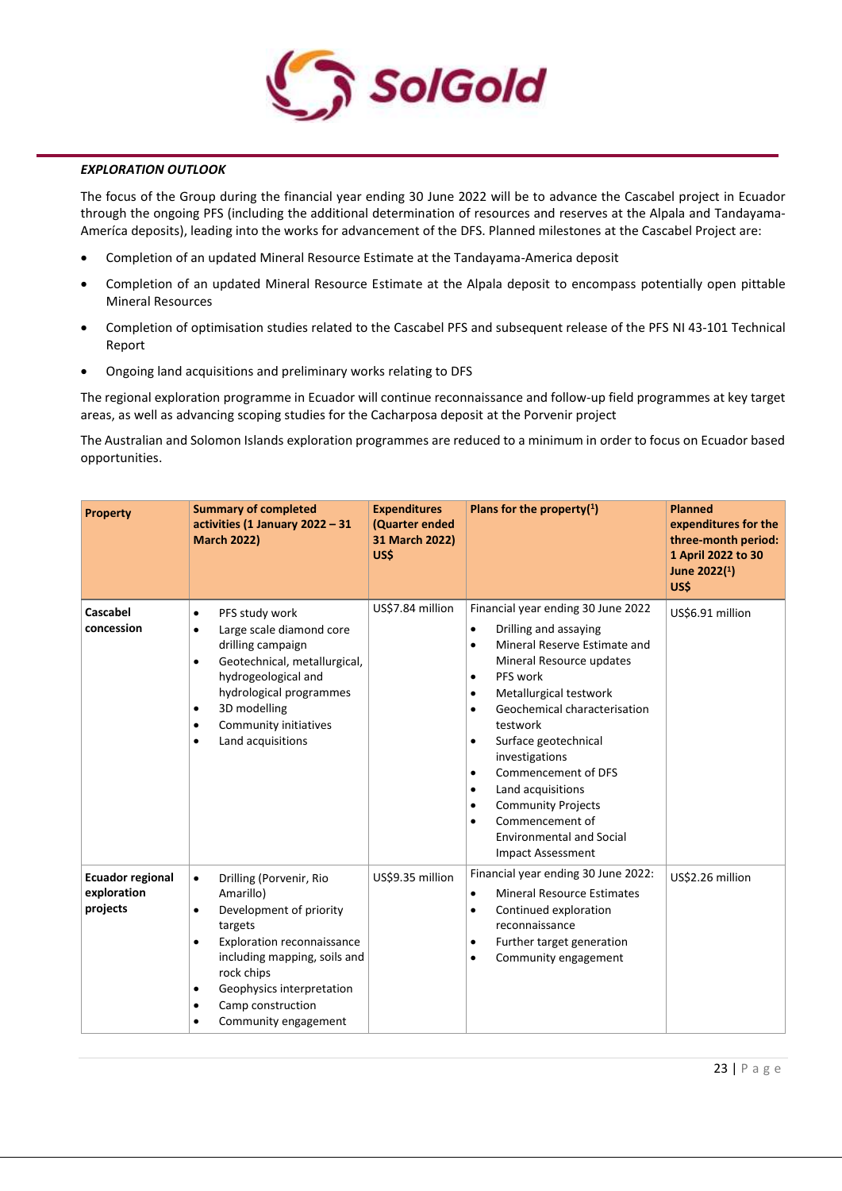

#### *EXPLORATION OUTLOOK*

The focus of the Group during the financial year ending 30 June 2022 will be to advance the Cascabel project in Ecuador through the ongoing PFS (including the additional determination of resources and reserves at the Alpala and Tandayama-Ameríca deposits), leading into the works for advancement of the DFS. Planned milestones at the Cascabel Project are:

- Completion of an updated Mineral Resource Estimate at the Tandayama-America deposit
- Completion of an updated Mineral Resource Estimate at the Alpala deposit to encompass potentially open pittable Mineral Resources
- Completion of optimisation studies related to the Cascabel PFS and subsequent release of the PFS NI 43-101 Technical Report
- Ongoing land acquisitions and preliminary works relating to DFS

The regional exploration programme in Ecuador will continue reconnaissance and follow-up field programmes at key target areas, as well as advancing scoping studies for the Cacharposa deposit at the Porvenir project

The Australian and Solomon Islands exploration programmes are reduced to a minimum in order to focus on Ecuador based opportunities.

| <b>Property</b>                                    | <b>Summary of completed</b><br>activities (1 January 2022 - 31<br><b>March 2022)</b>                                                                                                                                                                                                   | <b>Expenditures</b><br>(Quarter ended<br>31 March 2022)<br>US\$ | Plans for the property $(1)$                                                                                                                                                                                                                                                                                                                                                                                                                                                                                                                     | <b>Planned</b><br>expenditures for the<br>three-month period:<br>1 April 2022 to 30<br>June 2022(1)<br>US\$ |
|----------------------------------------------------|----------------------------------------------------------------------------------------------------------------------------------------------------------------------------------------------------------------------------------------------------------------------------------------|-----------------------------------------------------------------|--------------------------------------------------------------------------------------------------------------------------------------------------------------------------------------------------------------------------------------------------------------------------------------------------------------------------------------------------------------------------------------------------------------------------------------------------------------------------------------------------------------------------------------------------|-------------------------------------------------------------------------------------------------------------|
| Cascabel<br>concession                             | PFS study work<br>$\bullet$<br>Large scale diamond core<br>٠<br>drilling campaign<br>Geotechnical, metallurgical,<br>$\bullet$<br>hydrogeological and<br>hydrological programmes<br>3D modelling<br>٠<br>Community initiatives<br>٠<br>Land acquisitions<br>٠                          | US\$7.84 million                                                | Financial year ending 30 June 2022<br>Drilling and assaying<br>$\bullet$<br>Mineral Reserve Estimate and<br>$\bullet$<br>Mineral Resource updates<br>PFS work<br>$\bullet$<br>Metallurgical testwork<br>$\bullet$<br>Geochemical characterisation<br>$\bullet$<br>testwork<br>Surface geotechnical<br>$\bullet$<br>investigations<br>Commencement of DFS<br>$\bullet$<br>Land acquisitions<br>$\bullet$<br><b>Community Projects</b><br>$\bullet$<br>Commencement of<br>$\bullet$<br><b>Environmental and Social</b><br><b>Impact Assessment</b> | US\$6.91 million                                                                                            |
| <b>Ecuador regional</b><br>exploration<br>projects | Drilling (Porvenir, Rio<br>$\bullet$<br>Amarillo)<br>Development of priority<br>$\bullet$<br>targets<br>Exploration reconnaissance<br>$\bullet$<br>including mapping, soils and<br>rock chips<br>Geophysics interpretation<br>٠<br>Camp construction<br>٠<br>Community engagement<br>٠ | US\$9.35 million                                                | Financial year ending 30 June 2022:<br><b>Mineral Resource Estimates</b><br>$\bullet$<br>Continued exploration<br>$\bullet$<br>reconnaissance<br>Further target generation<br>$\bullet$<br>Community engagement<br>$\bullet$                                                                                                                                                                                                                                                                                                                     | US\$2.26 million                                                                                            |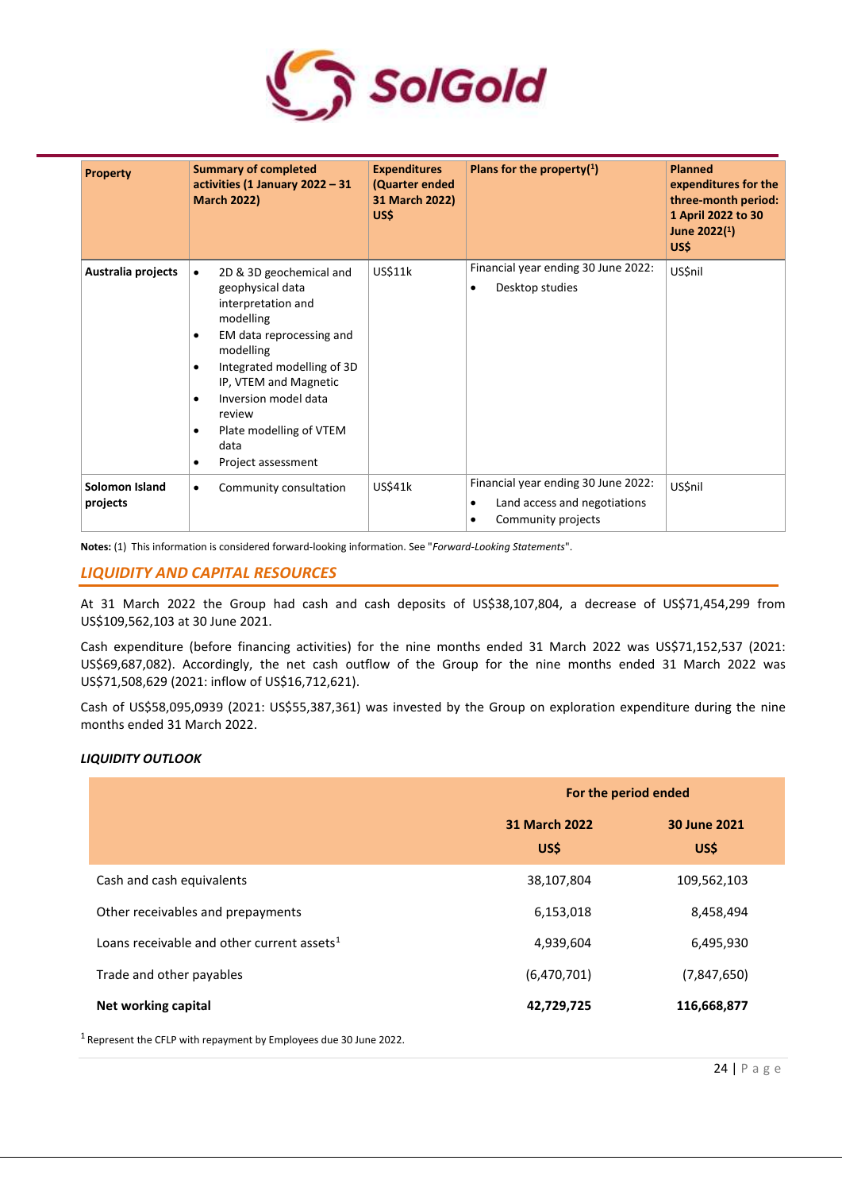

| <b>Property</b>            | <b>Summary of completed</b><br>activities (1 January 2022 - 31<br><b>March 2022)</b>                                                                                                                                                                                      | <b>Expenditures</b><br>(Quarter ended<br>31 March 2022)<br>US\$ | Plans for the property $(1)$                                                                                        | <b>Planned</b><br>expenditures for the<br>three-month period:<br>1 April 2022 to 30<br>June 2022(1)<br>US\$ |
|----------------------------|---------------------------------------------------------------------------------------------------------------------------------------------------------------------------------------------------------------------------------------------------------------------------|-----------------------------------------------------------------|---------------------------------------------------------------------------------------------------------------------|-------------------------------------------------------------------------------------------------------------|
| Australia projects         | 2D & 3D geochemical and<br>geophysical data<br>interpretation and<br>modelling<br>EM data reprocessing and<br>modelling<br>Integrated modelling of 3D<br>IP, VTEM and Magnetic<br>Inversion model data<br>review<br>Plate modelling of VTEM<br>data<br>Project assessment | US\$11k                                                         | Financial year ending 30 June 2022:<br>Desktop studies<br>$\bullet$                                                 | US\$nil                                                                                                     |
| Solomon Island<br>projects | Community consultation<br>$\bullet$                                                                                                                                                                                                                                       | <b>US\$41k</b>                                                  | Financial year ending 30 June 2022:<br>Land access and negotiations<br>$\bullet$<br>Community projects<br>$\bullet$ | <b>US\$nil</b>                                                                                              |

**Notes:** (1) This information is considered forward-looking information. See "*Forward-Looking Statements*".

# *LIQUIDITY AND CAPITAL RESOURCES*

At 31 March 2022 the Group had cash and cash deposits of US\$38,107,804, a decrease of US\$71,454,299 from US\$109,562,103 at 30 June 2021.

Cash expenditure (before financing activities) for the nine months ended 31 March 2022 was US\$71,152,537 (2021: US\$69,687,082). Accordingly, the net cash outflow of the Group for the nine months ended 31 March 2022 was US\$71,508,629 (2021: inflow of US\$16,712,621).

Cash of US\$58,095,0939 (2021: US\$55,387,361) was invested by the Group on exploration expenditure during the nine months ended 31 March 2022.

#### *LIQUIDITY OUTLOOK*

|                                               | For the period ended         |                      |  |
|-----------------------------------------------|------------------------------|----------------------|--|
|                                               | <b>31 March 2022</b><br>US\$ | 30 June 2021<br>US\$ |  |
| Cash and cash equivalents                     | 38,107,804                   | 109,562,103          |  |
| Other receivables and prepayments             | 6,153,018                    | 8,458,494            |  |
| Loans receivable and other current assets $1$ | 4,939,604                    | 6,495,930            |  |
| Trade and other payables                      | (6,470,701)                  | (7,847,650)          |  |
| Net working capital                           | 42,729,725                   | 116,668,877          |  |

<sup>1</sup>Represent the CFLP with repayment by Employees due 30 June 2022.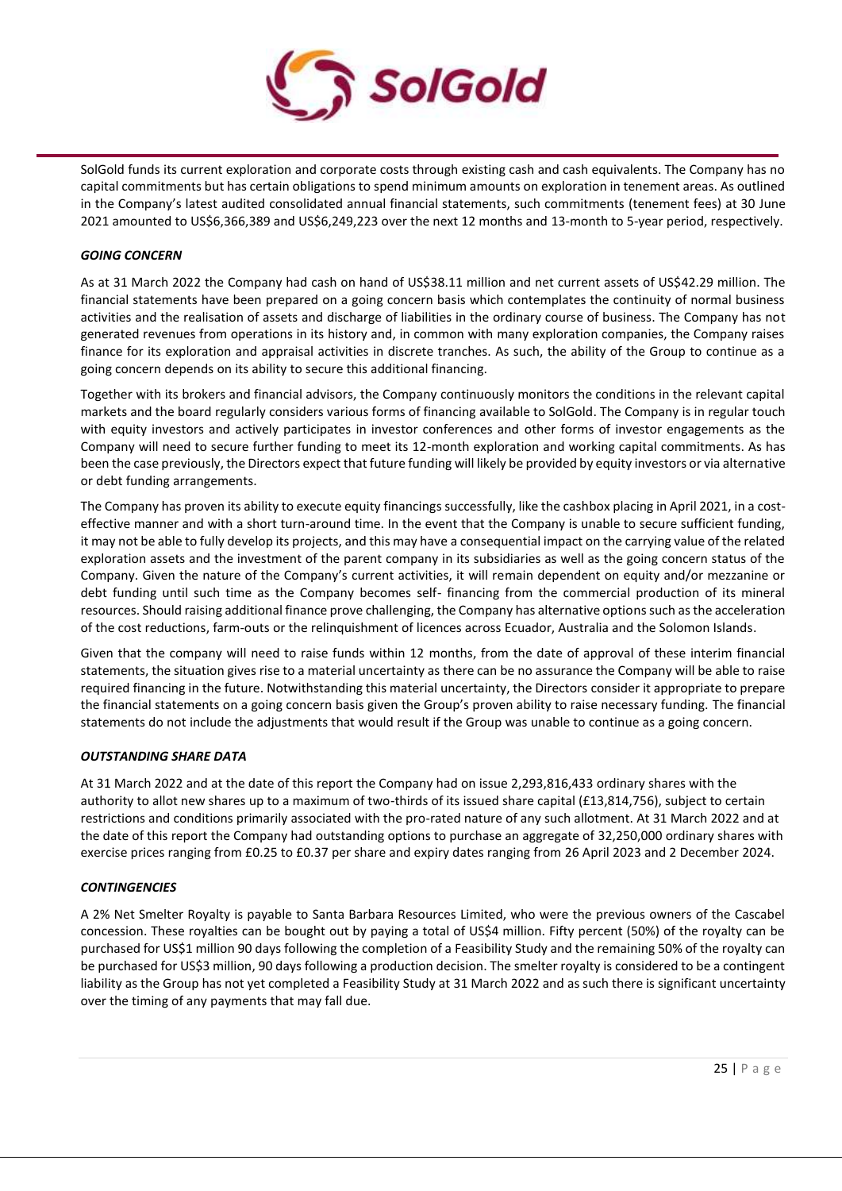

SolGold funds its current exploration and corporate costs through existing cash and cash equivalents. The Company has no capital commitments but has certain obligations to spend minimum amounts on exploration in tenement areas. As outlined in the Company's latest audited consolidated annual financial statements, such commitments (tenement fees) at 30 June 2021 amounted to US\$6,366,389 and US\$6,249,223 over the next 12 months and 13-month to 5-year period, respectively.

## *GOING CONCERN*

As at 31 March 2022 the Company had cash on hand of US\$38.11 million and net current assets of US\$42.29 million. The financial statements have been prepared on a going concern basis which contemplates the continuity of normal business activities and the realisation of assets and discharge of liabilities in the ordinary course of business. The Company has not generated revenues from operations in its history and, in common with many exploration companies, the Company raises finance for its exploration and appraisal activities in discrete tranches. As such, the ability of the Group to continue as a going concern depends on its ability to secure this additional financing.

Together with its brokers and financial advisors, the Company continuously monitors the conditions in the relevant capital markets and the board regularly considers various forms of financing available to SolGold. The Company is in regular touch with equity investors and actively participates in investor conferences and other forms of investor engagements as the Company will need to secure further funding to meet its 12-month exploration and working capital commitments. As has been the case previously, the Directors expect that future funding will likely be provided by equity investors or via alternative or debt funding arrangements.

The Company has proven its ability to execute equity financings successfully, like the cashbox placing in April 2021, in a costeffective manner and with a short turn-around time. In the event that the Company is unable to secure sufficient funding, it may not be able to fully develop its projects, and this may have a consequential impact on the carrying value of the related exploration assets and the investment of the parent company in its subsidiaries as well as the going concern status of the Company. Given the nature of the Company's current activities, it will remain dependent on equity and/or mezzanine or debt funding until such time as the Company becomes self- financing from the commercial production of its mineral resources. Should raising additional finance prove challenging, the Company has alternative options such as the acceleration of the cost reductions, farm-outs or the relinquishment of licences across Ecuador, Australia and the Solomon Islands.

Given that the company will need to raise funds within 12 months, from the date of approval of these interim financial statements, the situation gives rise to a material uncertainty as there can be no assurance the Company will be able to raise required financing in the future. Notwithstanding this material uncertainty, the Directors consider it appropriate to prepare the financial statements on a going concern basis given the Group's proven ability to raise necessary funding. The financial statements do not include the adjustments that would result if the Group was unable to continue as a going concern.

# *OUTSTANDING SHARE DATA*

At 31 March 2022 and at the date of this report the Company had on issue 2,293,816,433 ordinary shares with the authority to allot new shares up to a maximum of two-thirds of its issued share capital (£13,814,756), subject to certain restrictions and conditions primarily associated with the pro-rated nature of any such allotment. At 31 March 2022 and at the date of this report the Company had outstanding options to purchase an aggregate of 32,250,000 ordinary shares with exercise prices ranging from £0.25 to £0.37 per share and expiry dates ranging from 26 April 2023 and 2 December 2024.

# *CONTINGENCIES*

A 2% Net Smelter Royalty is payable to Santa Barbara Resources Limited, who were the previous owners of the Cascabel concession. These royalties can be bought out by paying a total of US\$4 million. Fifty percent (50%) of the royalty can be purchased for US\$1 million 90 days following the completion of a Feasibility Study and the remaining 50% of the royalty can be purchased for US\$3 million, 90 days following a production decision. The smelter royalty is considered to be a contingent liability as the Group has not yet completed a Feasibility Study at 31 March 2022 and as such there is significant uncertainty over the timing of any payments that may fall due.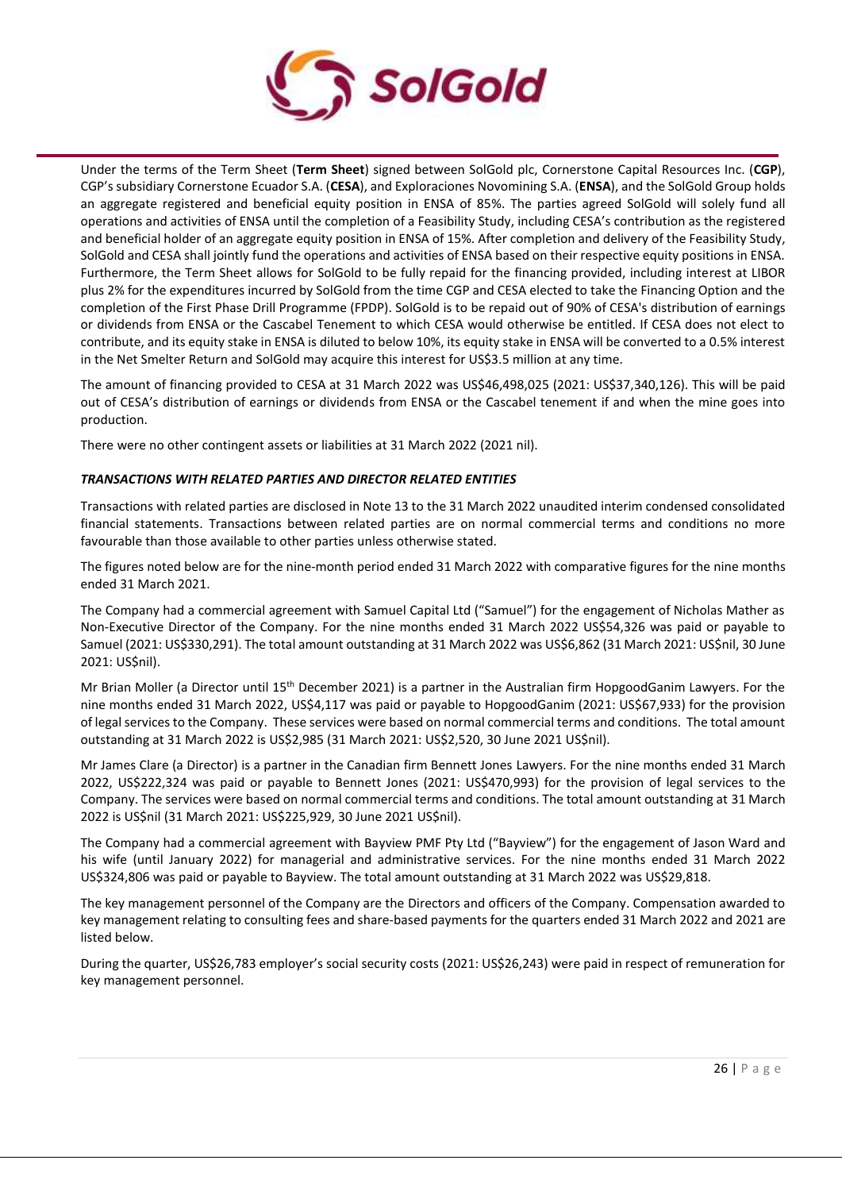

Under the terms of the Term Sheet (**Term Sheet**) signed between SolGold plc, Cornerstone Capital Resources Inc. (**CGP**), CGP's subsidiary Cornerstone Ecuador S.A. (**CESA**), and Exploraciones Novomining S.A. (**ENSA**), and the SolGold Group holds an aggregate registered and beneficial equity position in ENSA of 85%. The parties agreed SolGold will solely fund all operations and activities of ENSA until the completion of a Feasibility Study, including CESA's contribution as the registered and beneficial holder of an aggregate equity position in ENSA of 15%. After completion and delivery of the Feasibility Study, SolGold and CESA shall jointly fund the operations and activities of ENSA based on their respective equity positions in ENSA. Furthermore, the Term Sheet allows for SolGold to be fully repaid for the financing provided, including interest at LIBOR plus 2% for the expenditures incurred by SolGold from the time CGP and CESA elected to take the Financing Option and the completion of the First Phase Drill Programme (FPDP). SolGold is to be repaid out of 90% of CESA's distribution of earnings or dividends from ENSA or the Cascabel Tenement to which CESA would otherwise be entitled. If CESA does not elect to contribute, and its equity stake in ENSA is diluted to below 10%, its equity stake in ENSA will be converted to a 0.5% interest in the Net Smelter Return and SolGold may acquire this interest for US\$3.5 million at any time.

The amount of financing provided to CESA at 31 March 2022 was US\$46,498,025 (2021: US\$37,340,126). This will be paid out of CESA's distribution of earnings or dividends from ENSA or the Cascabel tenement if and when the mine goes into production.

There were no other contingent assets or liabilities at 31 March 2022 (2021 nil).

# *TRANSACTIONS WITH RELATED PARTIES AND DIRECTOR RELATED ENTITIES*

Transactions with related parties are disclosed in Note 13 to the 31 March 2022 unaudited interim condensed consolidated financial statements. Transactions between related parties are on normal commercial terms and conditions no more favourable than those available to other parties unless otherwise stated.

The figures noted below are for the nine-month period ended 31 March 2022 with comparative figures for the nine months ended 31 March 2021.

The Company had a commercial agreement with Samuel Capital Ltd ("Samuel") for the engagement of Nicholas Mather as Non-Executive Director of the Company. For the nine months ended 31 March 2022 US\$54,326 was paid or payable to Samuel (2021: US\$330,291). The total amount outstanding at 31 March 2022 was US\$6,862 (31 March 2021: US\$nil, 30 June 2021: US\$nil).

Mr Brian Moller (a Director until 15th December 2021) is a partner in the Australian firm HopgoodGanim Lawyers. For the nine months ended 31 March 2022, US\$4,117 was paid or payable to HopgoodGanim (2021: US\$67,933) for the provision of legal services to the Company. These services were based on normal commercial terms and conditions. The total amount outstanding at 31 March 2022 is US\$2,985 (31 March 2021: US\$2,520, 30 June 2021 US\$nil).

Mr James Clare (a Director) is a partner in the Canadian firm Bennett Jones Lawyers. For the nine months ended 31 March 2022, US\$222,324 was paid or payable to Bennett Jones (2021: US\$470,993) for the provision of legal services to the Company. The services were based on normal commercial terms and conditions. The total amount outstanding at 31 March 2022 is US\$nil (31 March 2021: US\$225,929, 30 June 2021 US\$nil).

The Company had a commercial agreement with Bayview PMF Pty Ltd ("Bayview") for the engagement of Jason Ward and his wife (until January 2022) for managerial and administrative services. For the nine months ended 31 March 2022 US\$324,806 was paid or payable to Bayview. The total amount outstanding at 31 March 2022 was US\$29,818.

The key management personnel of the Company are the Directors and officers of the Company. Compensation awarded to key management relating to consulting fees and share-based payments for the quarters ended 31 March 2022 and 2021 are listed below.

During the quarter, US\$26,783 employer's social security costs (2021: US\$26,243) were paid in respect of remuneration for key management personnel.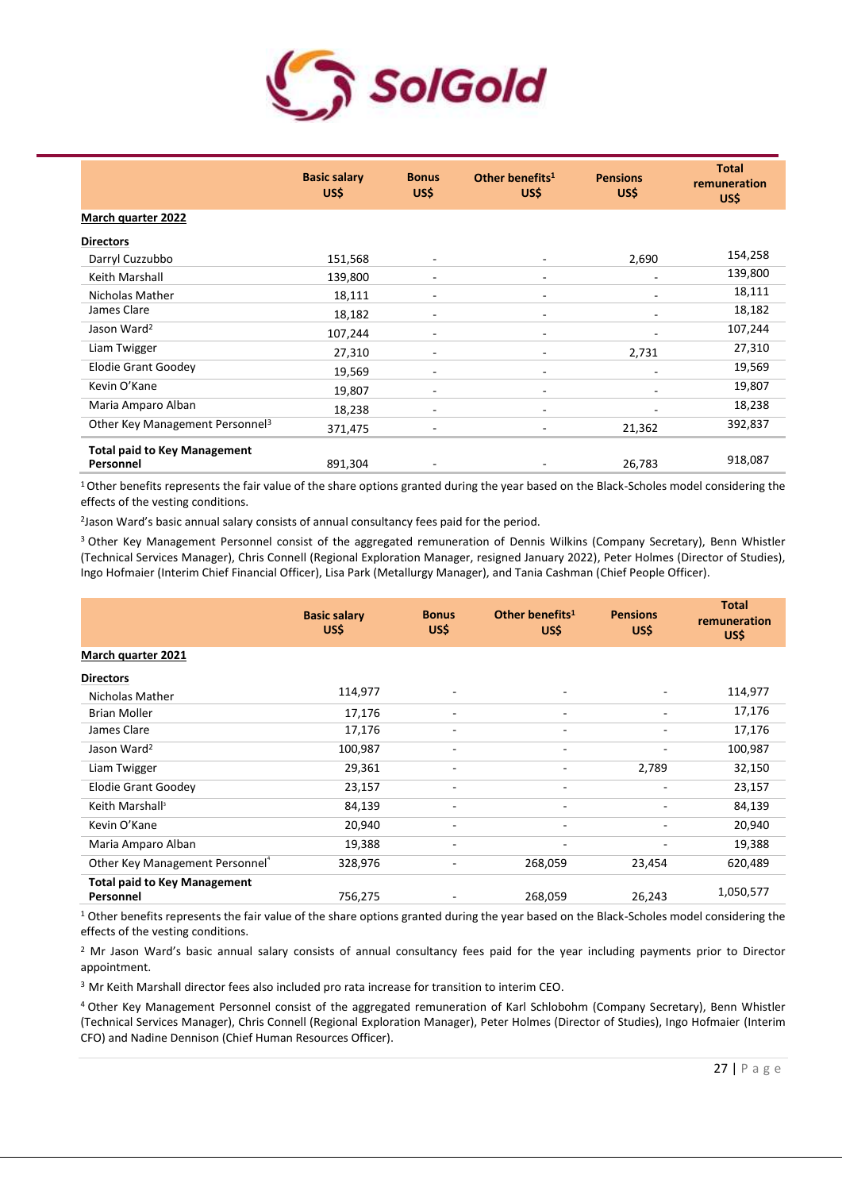

|                                                  | <b>Basic salary</b><br>US\$ | <b>Bonus</b><br>US\$     | Other benefits <sup>1</sup><br>US\$ | <b>Pensions</b><br>US\$ | <b>Total</b><br>remuneration<br>US\$ |
|--------------------------------------------------|-----------------------------|--------------------------|-------------------------------------|-------------------------|--------------------------------------|
| <b>March quarter 2022</b>                        |                             |                          |                                     |                         |                                      |
| <b>Directors</b>                                 |                             |                          |                                     |                         |                                      |
| Darryl Cuzzubbo                                  | 151,568                     |                          | ٠                                   | 2,690                   | 154,258                              |
| Keith Marshall                                   | 139,800                     |                          | ٠                                   |                         | 139,800                              |
| Nicholas Mather                                  | 18,111                      | ۰                        | ۰                                   |                         | 18,111                               |
| James Clare                                      | 18,182                      |                          | ۰                                   |                         | 18,182                               |
| Jason Ward <sup>2</sup>                          | 107,244                     | $\overline{\phantom{a}}$ | $\overline{\phantom{a}}$            |                         | 107,244                              |
| Liam Twigger                                     | 27,310                      |                          | $\overline{\phantom{a}}$            | 2,731                   | 27,310                               |
| <b>Elodie Grant Goodey</b>                       | 19,569                      |                          | ۰                                   |                         | 19,569                               |
| Kevin O'Kane                                     | 19,807                      | -                        | $\overline{\phantom{a}}$            |                         | 19,807                               |
| Maria Amparo Alban                               | 18,238                      | ۰                        | ٠                                   |                         | 18,238                               |
| Other Key Management Personnel <sup>3</sup>      | 371,475                     |                          |                                     | 21,362                  | 392,837                              |
| <b>Total paid to Key Management</b><br>Personnel | 891,304                     |                          |                                     | 26,783                  | 918,087                              |

<sup>1</sup> Other benefits represents the fair value of the share options granted during the year based on the Black-Scholes model considering the effects of the vesting conditions.

2 Jason Ward's basic annual salary consists of annual consultancy fees paid for the period.

<sup>3</sup> Other Key Management Personnel consist of the aggregated remuneration of Dennis Wilkins (Company Secretary), Benn Whistler (Technical Services Manager), Chris Connell (Regional Exploration Manager, resigned January 2022), Peter Holmes (Director of Studies), Ingo Hofmaier (Interim Chief Financial Officer), Lisa Park (Metallurgy Manager), and Tania Cashman (Chief People Officer).

|                                                  | <b>Basic salary</b><br>US\$ | <b>Bonus</b><br>US\$     | Other benefits <sup>1</sup><br>US\$ | <b>Pensions</b><br>US\$  | <b>Total</b><br>remuneration<br>US\$ |
|--------------------------------------------------|-----------------------------|--------------------------|-------------------------------------|--------------------------|--------------------------------------|
| <b>March quarter 2021</b>                        |                             |                          |                                     |                          |                                      |
| <b>Directors</b>                                 |                             |                          |                                     |                          |                                      |
| Nicholas Mather                                  | 114,977                     |                          | ٠                                   |                          | 114,977                              |
| <b>Brian Moller</b>                              | 17,176                      | $\overline{\phantom{a}}$ | $\overline{\phantom{a}}$            | ٠                        | 17,176                               |
| James Clare                                      | 17,176                      | ۰                        | ٠                                   | ۰                        | 17,176                               |
| Jason Ward <sup>2</sup>                          | 100,987                     | $\overline{\phantom{a}}$ | $\overline{\phantom{a}}$            | ٠                        | 100,987                              |
| Liam Twigger                                     | 29,361                      | ٠                        | ٠                                   | 2,789                    | 32,150                               |
| <b>Elodie Grant Goodey</b>                       | 23,157                      |                          | ٠                                   | $\overline{a}$           | 23,157                               |
| Keith Marshall <sup>3</sup>                      | 84,139                      | $\overline{\phantom{a}}$ | $\overline{\phantom{a}}$            | $\overline{\phantom{a}}$ | 84,139                               |
| Kevin O'Kane                                     | 20,940                      | $\overline{\phantom{a}}$ | $\overline{\phantom{a}}$            | ٠                        | 20,940                               |
| Maria Amparo Alban                               | 19,388                      |                          | -                                   |                          | 19,388                               |
| Other Key Management Personnel <sup>4</sup>      | 328,976                     | $\overline{\phantom{a}}$ | 268,059                             | 23,454                   | 620,489                              |
| <b>Total paid to Key Management</b><br>Personnel | 756,275                     |                          | 268,059                             | 26,243                   | 1,050,577                            |

<sup>1</sup> Other benefits represents the fair value of the share options granted during the year based on the Black-Scholes model considering the effects of the vesting conditions.

<sup>2</sup> Mr Jason Ward's basic annual salary consists of annual consultancy fees paid for the year including payments prior to Director appointment.

<sup>3</sup> Mr Keith Marshall director fees also included pro rata increase for transition to interim CEO.

<sup>4</sup>Other Key Management Personnel consist of the aggregated remuneration of Karl Schlobohm (Company Secretary), Benn Whistler (Technical Services Manager), Chris Connell (Regional Exploration Manager), Peter Holmes (Director of Studies), Ingo Hofmaier (Interim CFO) and Nadine Dennison (Chief Human Resources Officer).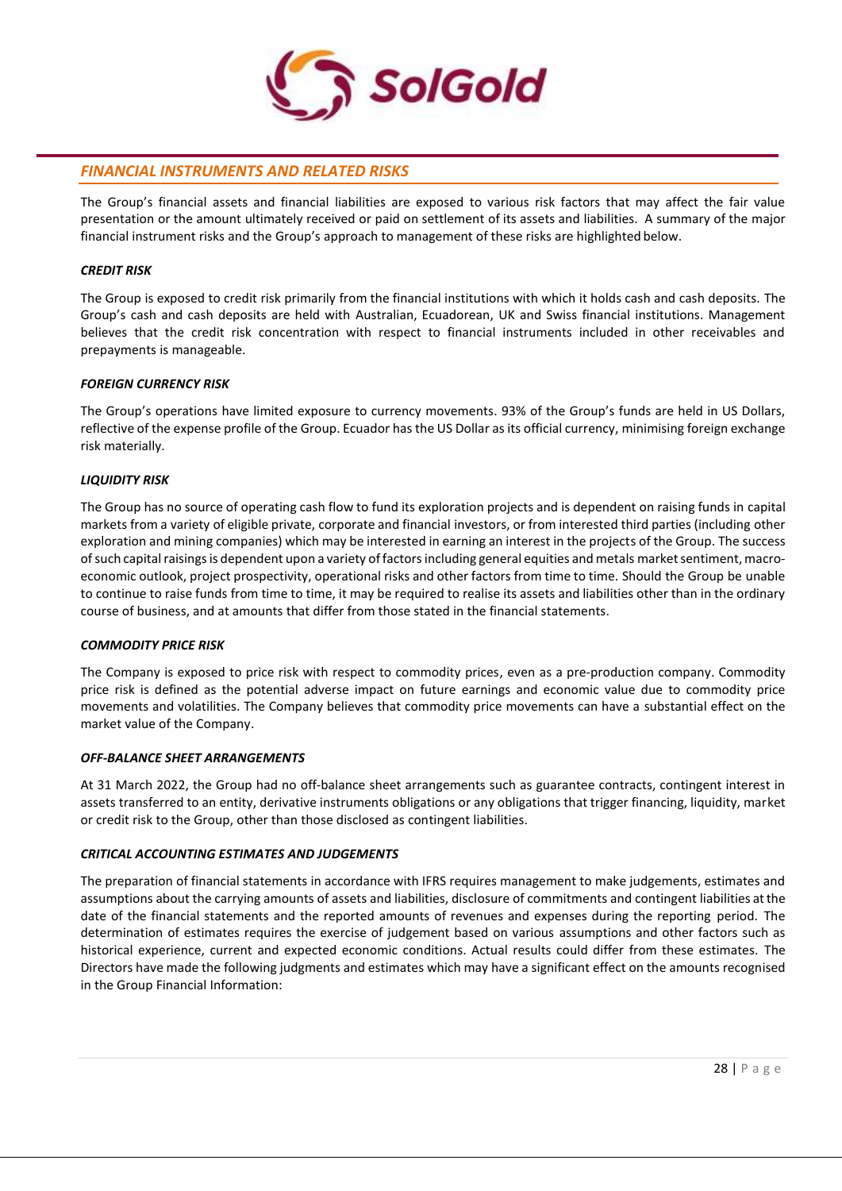

# *FINANCIAL INSTRUMENTS AND RELATED RISKS*

The Group's financial assets and financial liabilities are exposed to various risk factors that may affect the fair value presentation or the amount ultimately received or paid on settlement of its assets and liabilities. A summary of the major financial instrument risks and the Group's approach to management of these risks are highlighted below.

# *CREDIT RISK*

The Group is exposed to credit risk primarily from the financial institutions with which it holds cash and cash deposits. The Group's cash and cash deposits are held with Australian, Ecuadorean, UK and Swiss financial institutions. Management believes that the credit risk concentration with respect to financial instruments included in other receivables and prepayments is manageable.

# *FOREIGN CURRENCY RISK*

The Group's operations have limited exposure to currency movements. 93% of the Group's funds are held in US Dollars, reflective of the expense profile of the Group. Ecuador has the US Dollar as its official currency, minimising foreign exchange risk materially.

# *LIQUIDITY RISK*

The Group has no source of operating cash flow to fund its exploration projects and is dependent on raising funds in capital markets from a variety of eligible private, corporate and financial investors, or from interested third parties (including other exploration and mining companies) which may be interested in earning an interest in the projects of the Group. The success of such capital raisings is dependent upon a variety of factors including general equities and metals market sentiment, macroeconomic outlook, project prospectivity, operational risks and other factors from time to time. Should the Group be unable to continue to raise funds from time to time, it may be required to realise its assets and liabilities other than in the ordinary course of business, and at amounts that differ from those stated in the financial statements.

# *COMMODITY PRICE RISK*

The Company is exposed to price risk with respect to commodity prices, even as a pre-production company. Commodity price risk is defined as the potential adverse impact on future earnings and economic value due to commodity price movements and volatilities. The Company believes that commodity price movements can have a substantial effect on the market value of the Company.

# *OFF-BALANCE SHEET ARRANGEMENTS*

At 31 March 2022, the Group had no off-balance sheet arrangements such as guarantee contracts, contingent interest in assets transferred to an entity, derivative instruments obligations or any obligations that trigger financing, liquidity, market or credit risk to the Group, other than those disclosed as contingent liabilities.

# *CRITICAL ACCOUNTING ESTIMATES AND JUDGEMENTS*

The preparation of financial statements in accordance with IFRS requires management to make judgements, estimates and assumptions about the carrying amounts of assets and liabilities, disclosure of commitments and contingent liabilities atthe date of the financial statements and the reported amounts of revenues and expenses during the reporting period. The determination of estimates requires the exercise of judgement based on various assumptions and other factors such as historical experience, current and expected economic conditions. Actual results could differ from these estimates. The Directors have made the following judgments and estimates which may have a significant effect on the amounts recognised in the Group Financial Information: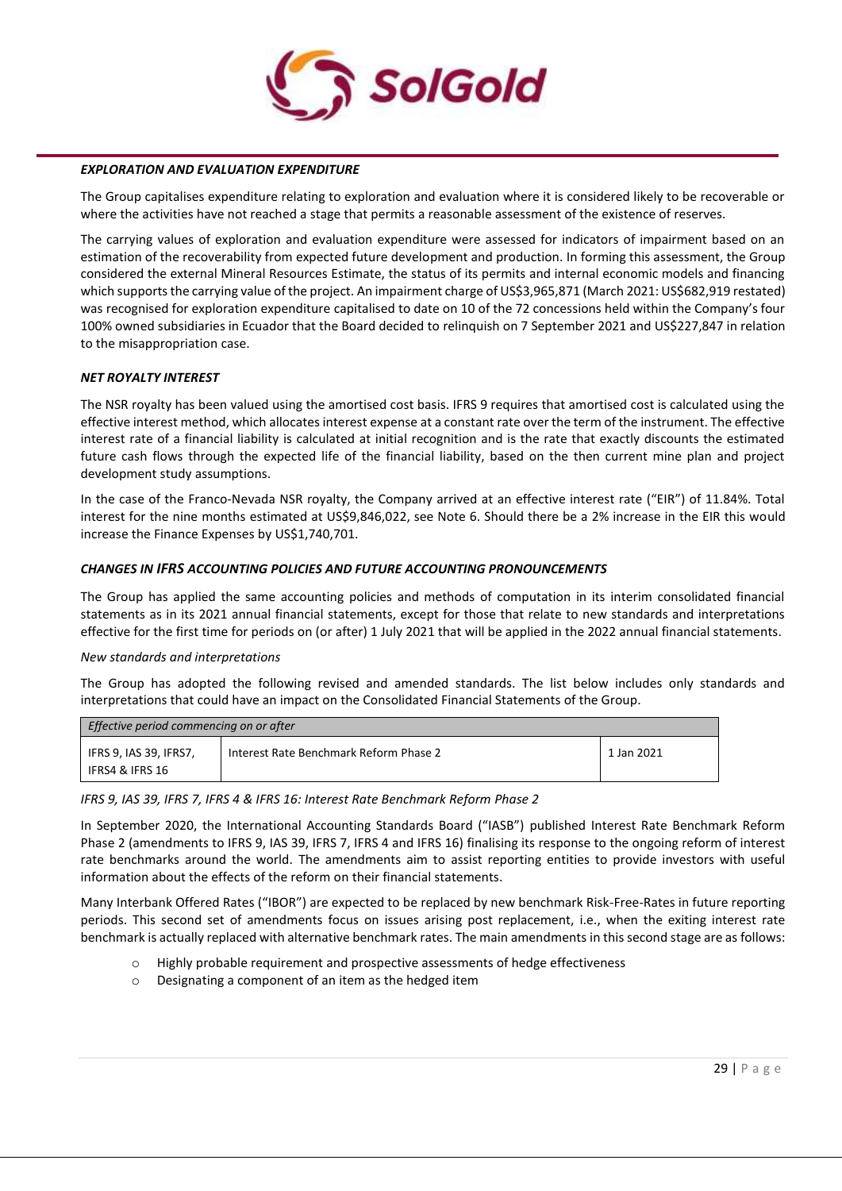

#### *EXPLORATION AND EVALUATION EXPENDITURE*

The Group capitalises expenditure relating to exploration and evaluation where it is considered likely to be recoverable or where the activities have not reached a stage that permits a reasonable assessment of the existence of reserves.

The carrying values of exploration and evaluation expenditure were assessed for indicators of impairment based on an estimation of the recoverability from expected future development and production. In forming this assessment, the Group considered the external Mineral Resources Estimate, the status of its permits and internal economic models and financing which supports the carrying value of the project. An impairment charge of US\$3,965,871 (March 2021: US\$682,919 restated) was recognised for exploration expenditure capitalised to date on 10 of the 72 concessions held within the Company's four 100% owned subsidiaries in Ecuador that the Board decided to relinquish on 7 September 2021 and US\$227,847 in relation to the misappropriation case.

#### *NET ROYALTY INTEREST*

The NSR royalty has been valued using the amortised cost basis. IFRS 9 requires that amortised cost is calculated using the effective interest method, which allocates interest expense at a constant rate over the term of the instrument. The effective interest rate of a financial liability is calculated at initial recognition and is the rate that exactly discounts the estimated future cash flows through the expected life of the financial liability, based on the then current mine plan and project development study assumptions.

In the case of the Franco-Nevada NSR royalty, the Company arrived at an effective interest rate ("EIR") of 11.84%. Total interest for the nine months estimated at US\$9,846,022, see Note 6. Should there be a 2% increase in the EIR this would increase the Finance Expenses by US\$1,740,701.

#### *CHANGES IN IFRS ACCOUNTING POLICIES AND FUTURE ACCOUNTING PRONOUNCEMENTS*

The Group has applied the same accounting policies and methods of computation in its interim consolidated financial statements as in its 2021 annual financial statements, except for those that relate to new standards and interpretations effective for the first time for periods on (or after) 1 July 2021 that will be applied in the 2022 annual financial statements.

#### *New standards and interpretations*

The Group has adopted the following revised and amended standards. The list below includes only standards and interpretations that could have an impact on the Consolidated Financial Statements of the Group.

| Effective period commencing on or after   |                                        |            |  |  |  |
|-------------------------------------------|----------------------------------------|------------|--|--|--|
| IFRS 9, IAS 39, IFRS7,<br>IFRS4 & IFRS 16 | Interest Rate Benchmark Reform Phase 2 | 1 Jan 2021 |  |  |  |

#### *IFRS 9, IAS 39, IFRS 7, IFRS 4 & IFRS 16: Interest Rate Benchmark Reform Phase 2*

In September 2020, the International Accounting Standards Board ("IASB") published Interest Rate Benchmark Reform Phase 2 (amendments to IFRS 9, IAS 39, IFRS 7, IFRS 4 and IFRS 16) finalising its response to the ongoing reform of interest rate benchmarks around the world. The amendments aim to assist reporting entities to provide investors with useful information about the effects of the reform on their financial statements.

Many Interbank Offered Rates ("IBOR") are expected to be replaced by new benchmark Risk-Free-Rates in future reporting periods. This second set of amendments focus on issues arising post replacement, i.e., when the exiting interest rate benchmark is actually replaced with alternative benchmark rates. The main amendments in this second stage are as follows:

- o Highly probable requirement and prospective assessments of hedge effectiveness
- o Designating a component of an item as the hedged item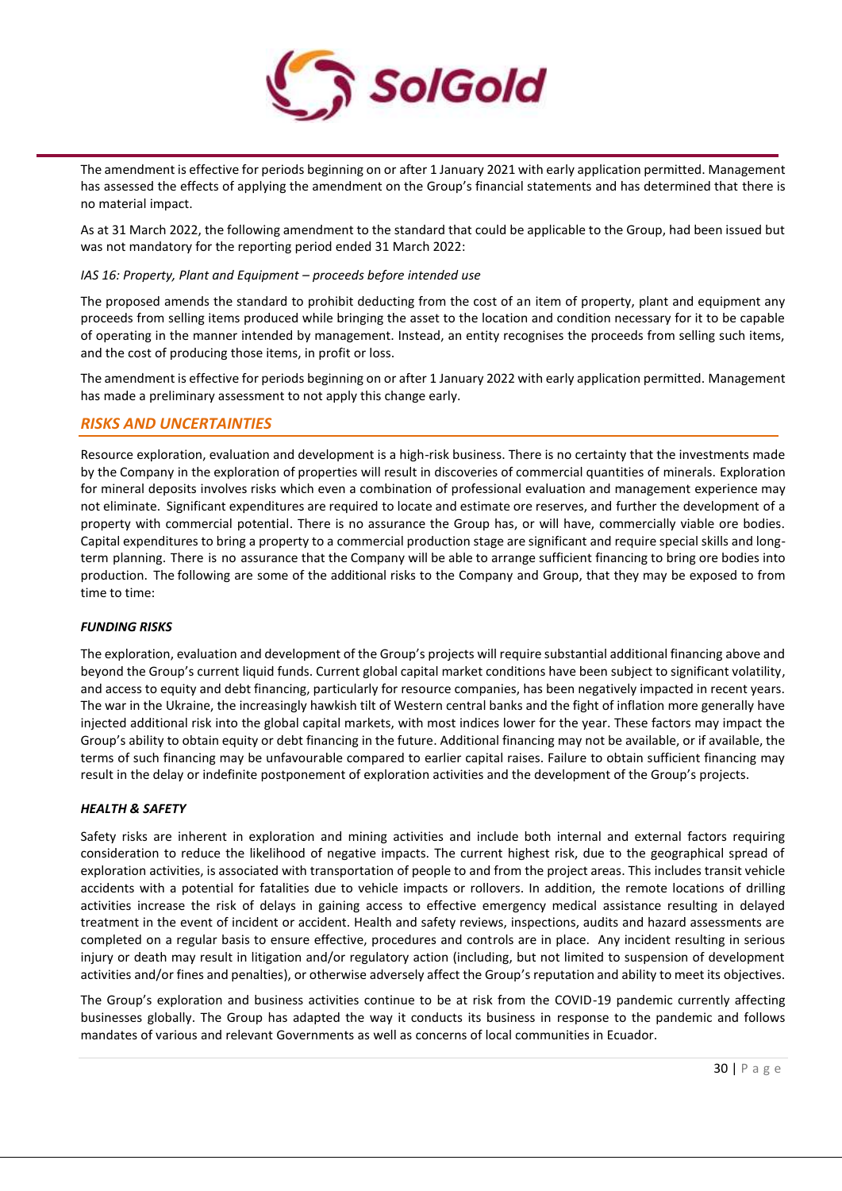

The amendment is effective for periods beginning on or after 1 January 2021 with early application permitted. Management has assessed the effects of applying the amendment on the Group's financial statements and has determined that there is no material impact.

As at 31 March 2022, the following amendment to the standard that could be applicable to the Group, had been issued but was not mandatory for the reporting period ended 31 March 2022:

## *IAS 16: Property, Plant and Equipment – proceeds before intended use*

The proposed amends the standard to prohibit deducting from the cost of an item of property, plant and equipment any proceeds from selling items produced while bringing the asset to the location and condition necessary for it to be capable of operating in the manner intended by management. Instead, an entity recognises the proceeds from selling such items, and the cost of producing those items, in profit or loss.

The amendment is effective for periods beginning on or after 1 January 2022 with early application permitted. Management has made a preliminary assessment to not apply this change early.

# *RISKS AND UNCERTAINTIES*

Resource exploration, evaluation and development is a high-risk business. There is no certainty that the investments made by the Company in the exploration of properties will result in discoveries of commercial quantities of minerals. Exploration for mineral deposits involves risks which even a combination of professional evaluation and management experience may not eliminate. Significant expenditures are required to locate and estimate ore reserves, and further the development of a property with commercial potential. There is no assurance the Group has, or will have, commercially viable ore bodies. Capital expenditures to bring a property to a commercial production stage are significant and require special skills and longterm planning. There is no assurance that the Company will be able to arrange sufficient financing to bring ore bodies into production. The following are some of the additional risks to the Company and Group, that they may be exposed to from time to time:

# *FUNDING RISKS*

The exploration, evaluation and development of the Group's projects will require substantial additional financing above and beyond the Group's current liquid funds. Current global capital market conditions have been subject to significant volatility, and access to equity and debt financing, particularly for resource companies, has been negatively impacted in recent years. The war in the Ukraine, the increasingly hawkish tilt of Western central banks and the fight of inflation more generally have injected additional risk into the global capital markets, with most indices lower for the year. These factors may impact the Group's ability to obtain equity or debt financing in the future. Additional financing may not be available, or if available, the terms of such financing may be unfavourable compared to earlier capital raises. Failure to obtain sufficient financing may result in the delay or indefinite postponement of exploration activities and the development of the Group's projects.

#### *HEALTH & SAFETY*

Safety risks are inherent in exploration and mining activities and include both internal and external factors requiring consideration to reduce the likelihood of negative impacts. The current highest risk, due to the geographical spread of exploration activities, is associated with transportation of people to and from the project areas. This includes transit vehicle accidents with a potential for fatalities due to vehicle impacts or rollovers. In addition, the remote locations of drilling activities increase the risk of delays in gaining access to effective emergency medical assistance resulting in delayed treatment in the event of incident or accident. Health and safety reviews, inspections, audits and hazard assessments are completed on a regular basis to ensure effective, procedures and controls are in place. Any incident resulting in serious injury or death may result in litigation and/or regulatory action (including, but not limited to suspension of development activities and/or fines and penalties), or otherwise adversely affect the Group's reputation and ability to meet its objectives.

The Group's exploration and business activities continue to be at risk from the COVID-19 pandemic currently affecting businesses globally. The Group has adapted the way it conducts its business in response to the pandemic and follows mandates of various and relevant Governments as well as concerns of local communities in Ecuador.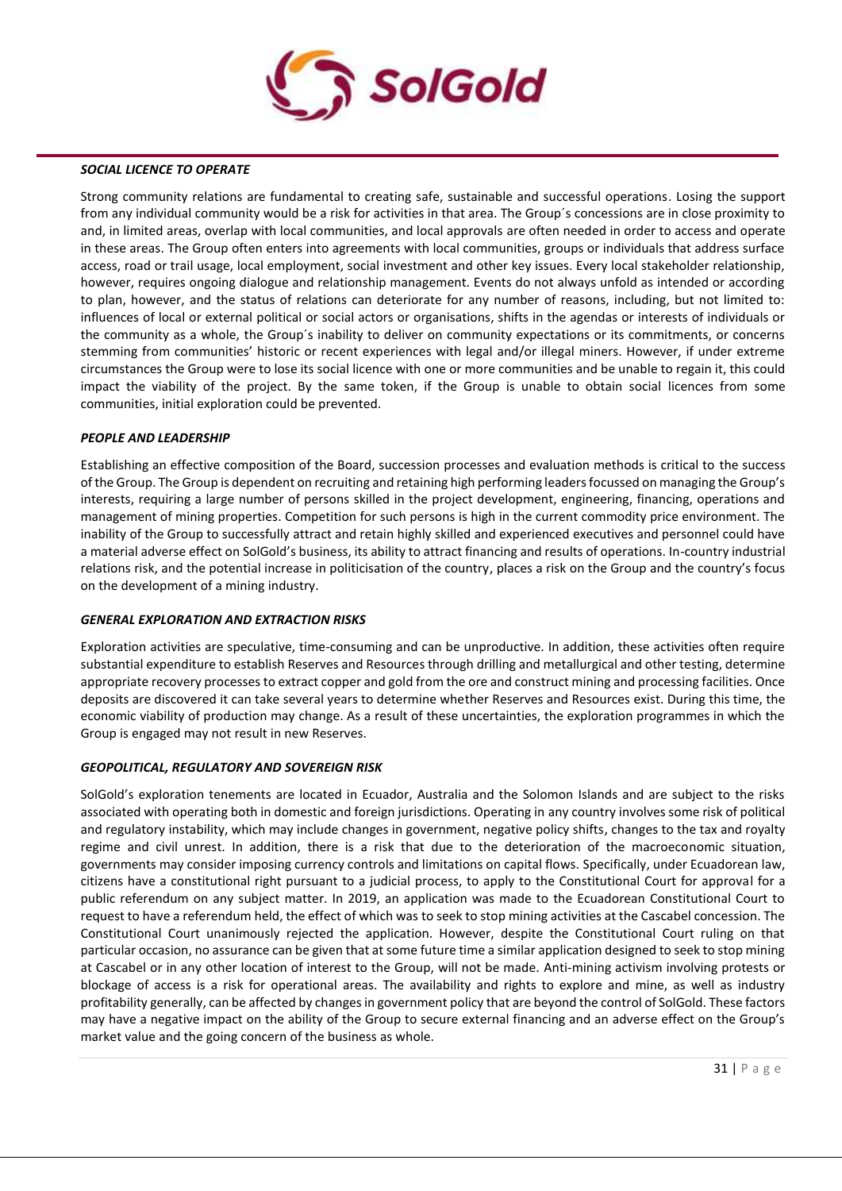

#### *SOCIAL LICENCE TO OPERATE*

Strong community relations are fundamental to creating safe, sustainable and successful operations. Losing the support from any individual community would be a risk for activities in that area. The Group´s concessions are in close proximity to and, in limited areas, overlap with local communities, and local approvals are often needed in order to access and operate in these areas. The Group often enters into agreements with local communities, groups or individuals that address surface access, road or trail usage, local employment, social investment and other key issues. Every local stakeholder relationship, however, requires ongoing dialogue and relationship management. Events do not always unfold as intended or according to plan, however, and the status of relations can deteriorate for any number of reasons, including, but not limited to: influences of local or external political or social actors or organisations, shifts in the agendas or interests of individuals or the community as a whole, the Group´s inability to deliver on community expectations or its commitments, or concerns stemming from communities' historic or recent experiences with legal and/or illegal miners. However, if under extreme circumstances the Group were to lose its social licence with one or more communities and be unable to regain it, this could impact the viability of the project. By the same token, if the Group is unable to obtain social licences from some communities, initial exploration could be prevented.

#### *PEOPLE AND LEADERSHIP*

Establishing an effective composition of the Board, succession processes and evaluation methods is critical to the success of the Group. The Group is dependent on recruiting and retaining high performing leaders focussed on managing the Group's interests, requiring a large number of persons skilled in the project development, engineering, financing, operations and management of mining properties. Competition for such persons is high in the current commodity price environment. The inability of the Group to successfully attract and retain highly skilled and experienced executives and personnel could have a material adverse effect on SolGold's business, its ability to attract financing and results of operations. In-country industrial relations risk, and the potential increase in politicisation of the country, places a risk on the Group and the country's focus on the development of a mining industry.

# *GENERAL EXPLORATION AND EXTRACTION RISKS*

Exploration activities are speculative, time-consuming and can be unproductive. In addition, these activities often require substantial expenditure to establish Reserves and Resources through drilling and metallurgical and other testing, determine appropriate recovery processes to extract copper and gold from the ore and construct mining and processing facilities. Once deposits are discovered it can take several years to determine whether Reserves and Resources exist. During this time, the economic viability of production may change. As a result of these uncertainties, the exploration programmes in which the Group is engaged may not result in new Reserves.

# *GEOPOLITICAL, REGULATORY AND SOVEREIGN RISK*

SolGold's exploration tenements are located in Ecuador, Australia and the Solomon Islands and are subject to the risks associated with operating both in domestic and foreign jurisdictions. Operating in any country involves some risk of political and regulatory instability, which may include changes in government, negative policy shifts, changes to the tax and royalty regime and civil unrest. In addition, there is a risk that due to the deterioration of the macroeconomic situation, governments may consider imposing currency controls and limitations on capital flows. Specifically, under Ecuadorean law, citizens have a constitutional right pursuant to a judicial process, to apply to the Constitutional Court for approval for a public referendum on any subject matter. In 2019, an application was made to the Ecuadorean Constitutional Court to request to have a referendum held, the effect of which was to seek to stop mining activities at the Cascabel concession. The Constitutional Court unanimously rejected the application. However, despite the Constitutional Court ruling on that particular occasion, no assurance can be given that at some future time a similar application designed to seek to stop mining at Cascabel or in any other location of interest to the Group, will not be made. Anti-mining activism involving protests or blockage of access is a risk for operational areas. The availability and rights to explore and mine, as well as industry profitability generally, can be affected by changes in government policy that are beyond the control of SolGold. These factors may have a negative impact on the ability of the Group to secure external financing and an adverse effect on the Group's market value and the going concern of the business as whole.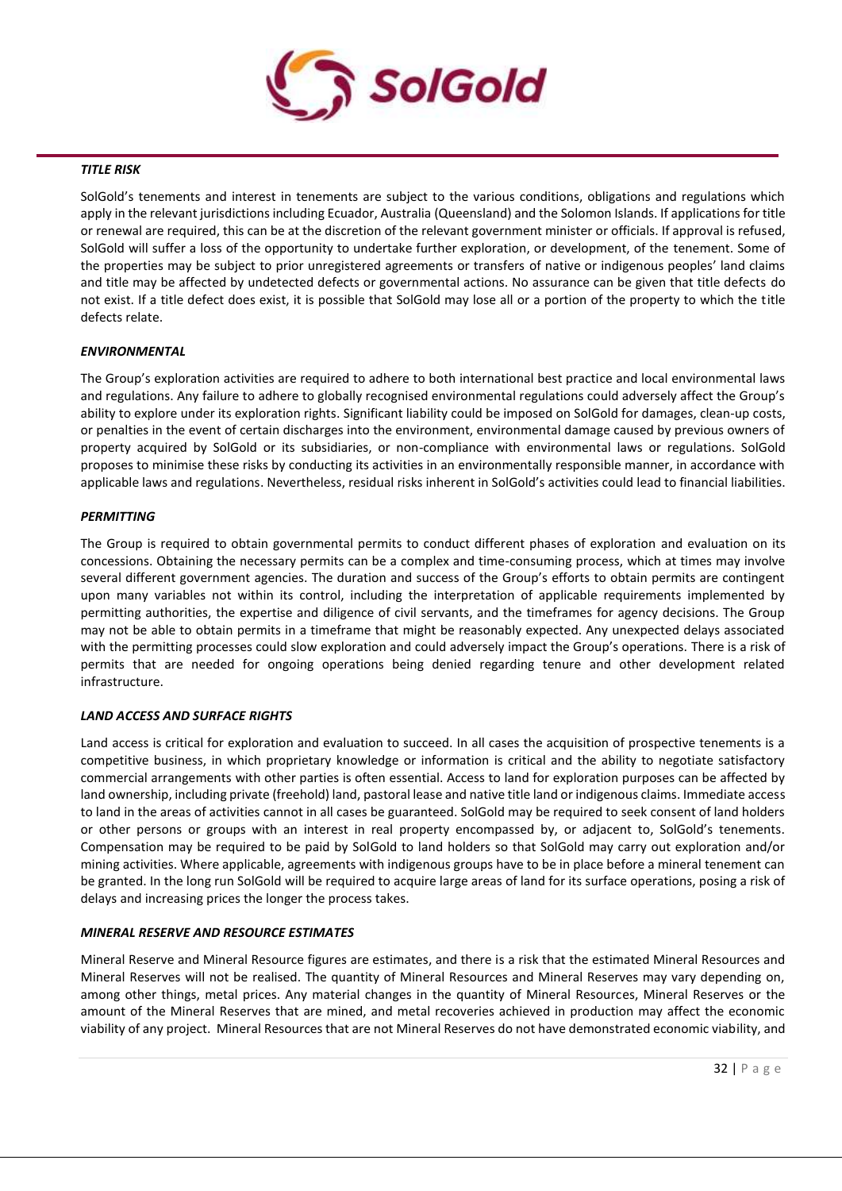

#### *TITLE RISK*

SolGold's tenements and interest in tenements are subject to the various conditions, obligations and regulations which apply in the relevant jurisdictions including Ecuador, Australia (Queensland) and the Solomon Islands. If applications for title or renewal are required, this can be at the discretion of the relevant government minister or officials. If approval is refused, SolGold will suffer a loss of the opportunity to undertake further exploration, or development, of the tenement. Some of the properties may be subject to prior unregistered agreements or transfers of native or indigenous peoples' land claims and title may be affected by undetected defects or governmental actions. No assurance can be given that title defects do not exist. If a title defect does exist, it is possible that SolGold may lose all or a portion of the property to which the title defects relate.

#### *ENVIRONMENTAL*

The Group's exploration activities are required to adhere to both international best practice and local environmental laws and regulations. Any failure to adhere to globally recognised environmental regulations could adversely affect the Group's ability to explore under its exploration rights. Significant liability could be imposed on SolGold for damages, clean-up costs, or penalties in the event of certain discharges into the environment, environmental damage caused by previous owners of property acquired by SolGold or its subsidiaries, or non-compliance with environmental laws or regulations. SolGold proposes to minimise these risks by conducting its activities in an environmentally responsible manner, in accordance with applicable laws and regulations. Nevertheless, residual risks inherent in SolGold's activities could lead to financial liabilities.

#### *PERMITTING*

The Group is required to obtain governmental permits to conduct different phases of exploration and evaluation on its concessions. Obtaining the necessary permits can be a complex and time-consuming process, which at times may involve several different government agencies. The duration and success of the Group's efforts to obtain permits are contingent upon many variables not within its control, including the interpretation of applicable requirements implemented by permitting authorities, the expertise and diligence of civil servants, and the timeframes for agency decisions. The Group may not be able to obtain permits in a timeframe that might be reasonably expected. Any unexpected delays associated with the permitting processes could slow exploration and could adversely impact the Group's operations. There is a risk of permits that are needed for ongoing operations being denied regarding tenure and other development related infrastructure.

#### *LAND ACCESS AND SURFACE RIGHTS*

Land access is critical for exploration and evaluation to succeed. In all cases the acquisition of prospective tenements is a competitive business, in which proprietary knowledge or information is critical and the ability to negotiate satisfactory commercial arrangements with other parties is often essential. Access to land for exploration purposes can be affected by land ownership, including private (freehold) land, pastoral lease and native title land or indigenous claims. Immediate access to land in the areas of activities cannot in all cases be guaranteed. SolGold may be required to seek consent of land holders or other persons or groups with an interest in real property encompassed by, or adjacent to, SolGold's tenements. Compensation may be required to be paid by SolGold to land holders so that SolGold may carry out exploration and/or mining activities. Where applicable, agreements with indigenous groups have to be in place before a mineral tenement can be granted. In the long run SolGold will be required to acquire large areas of land for its surface operations, posing a risk of delays and increasing prices the longer the process takes.

#### *MINERAL RESERVE AND RESOURCE ESTIMATES*

Mineral Reserve and Mineral Resource figures are estimates, and there is a risk that the estimated Mineral Resources and Mineral Reserves will not be realised. The quantity of Mineral Resources and Mineral Reserves may vary depending on, among other things, metal prices. Any material changes in the quantity of Mineral Resources, Mineral Reserves or the amount of the Mineral Reserves that are mined, and metal recoveries achieved in production may affect the economic viability of any project. Mineral Resources that are not Mineral Reserves do not have demonstrated economic viability, and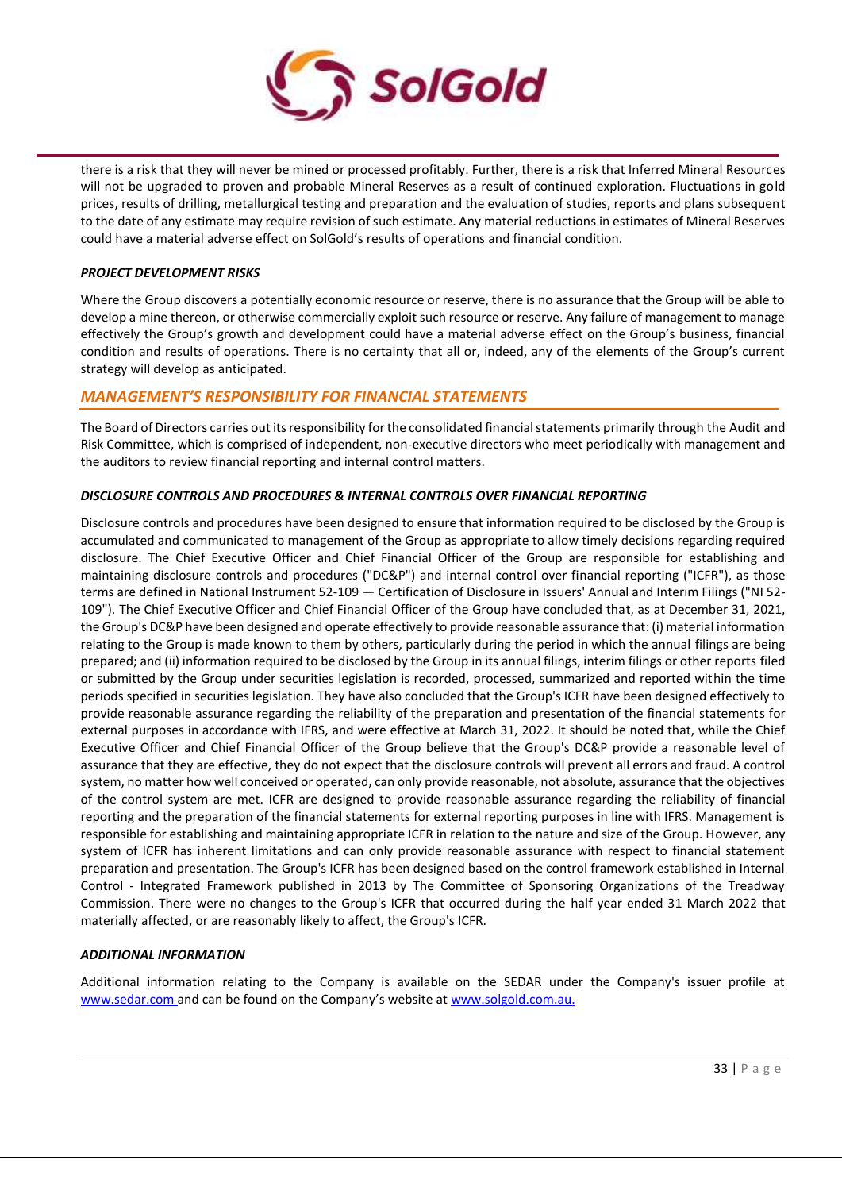

there is a risk that they will never be mined or processed profitably. Further, there is a risk that Inferred Mineral Resources will not be upgraded to proven and probable Mineral Reserves as a result of continued exploration. Fluctuations in gold prices, results of drilling, metallurgical testing and preparation and the evaluation of studies, reports and plans subsequent to the date of any estimate may require revision of such estimate. Any material reductions in estimates of Mineral Reserves could have a material adverse effect on SolGold's results of operations and financial condition.

## *PROJECT DEVELOPMENT RISKS*

Where the Group discovers a potentially economic resource or reserve, there is no assurance that the Group will be able to develop a mine thereon, or otherwise commercially exploit such resource or reserve. Any failure of management to manage effectively the Group's growth and development could have a material adverse effect on the Group's business, financial condition and results of operations. There is no certainty that all or, indeed, any of the elements of the Group's current strategy will develop as anticipated.

# *MANAGEMENT'S RESPONSIBILITY FOR FINANCIAL STATEMENTS*

The Board of Directors carries out its responsibility for the consolidated financial statements primarily through the Audit and Risk Committee, which is comprised of independent, non-executive directors who meet periodically with management and the auditors to review financial reporting and internal control matters.

# *DISCLOSURE CONTROLS AND PROCEDURES & INTERNAL CONTROLS OVER FINANCIAL REPORTING*

Disclosure controls and procedures have been designed to ensure that information required to be disclosed by the Group is accumulated and communicated to management of the Group as appropriate to allow timely decisions regarding required disclosure. The Chief Executive Officer and Chief Financial Officer of the Group are responsible for establishing and maintaining disclosure controls and procedures ("DC&P") and internal control over financial reporting ("ICFR"), as those terms are defined in National Instrument 52-109 — Certification of Disclosure in Issuers' Annual and Interim Filings ("NI 52- 109"). The Chief Executive Officer and Chief Financial Officer of the Group have concluded that, as at December 31, 2021, the Group's DC&P have been designed and operate effectively to provide reasonable assurance that: (i) material information relating to the Group is made known to them by others, particularly during the period in which the annual filings are being prepared; and (ii) information required to be disclosed by the Group in its annual filings, interim filings or other reports filed or submitted by the Group under securities legislation is recorded, processed, summarized and reported within the time periods specified in securities legislation. They have also concluded that the Group's ICFR have been designed effectively to provide reasonable assurance regarding the reliability of the preparation and presentation of the financial statements for external purposes in accordance with IFRS, and were effective at March 31, 2022. It should be noted that, while the Chief Executive Officer and Chief Financial Officer of the Group believe that the Group's DC&P provide a reasonable level of assurance that they are effective, they do not expect that the disclosure controls will prevent all errors and fraud. A control system, no matter how well conceived or operated, can only provide reasonable, not absolute, assurance that the objectives of the control system are met. ICFR are designed to provide reasonable assurance regarding the reliability of financial reporting and the preparation of the financial statements for external reporting purposes in line with IFRS. Management is responsible for establishing and maintaining appropriate ICFR in relation to the nature and size of the Group. However, any system of ICFR has inherent limitations and can only provide reasonable assurance with respect to financial statement preparation and presentation. The Group's ICFR has been designed based on the control framework established in Internal Control - Integrated Framework published in 2013 by The Committee of Sponsoring Organizations of the Treadway Commission. There were no changes to the Group's ICFR that occurred during the half year ended 31 March 2022 that materially affected, or are reasonably likely to affect, the Group's ICFR.

# *ADDITIONAL INFORMATION*

Additional information relating to the Company is available on the SEDAR under the Company's issuer profile at [www.sedar.com a](http://www.sedar.com/)nd can be found on the Company's website at [www.solgold.com.au.](http://www.solgold.com.au/)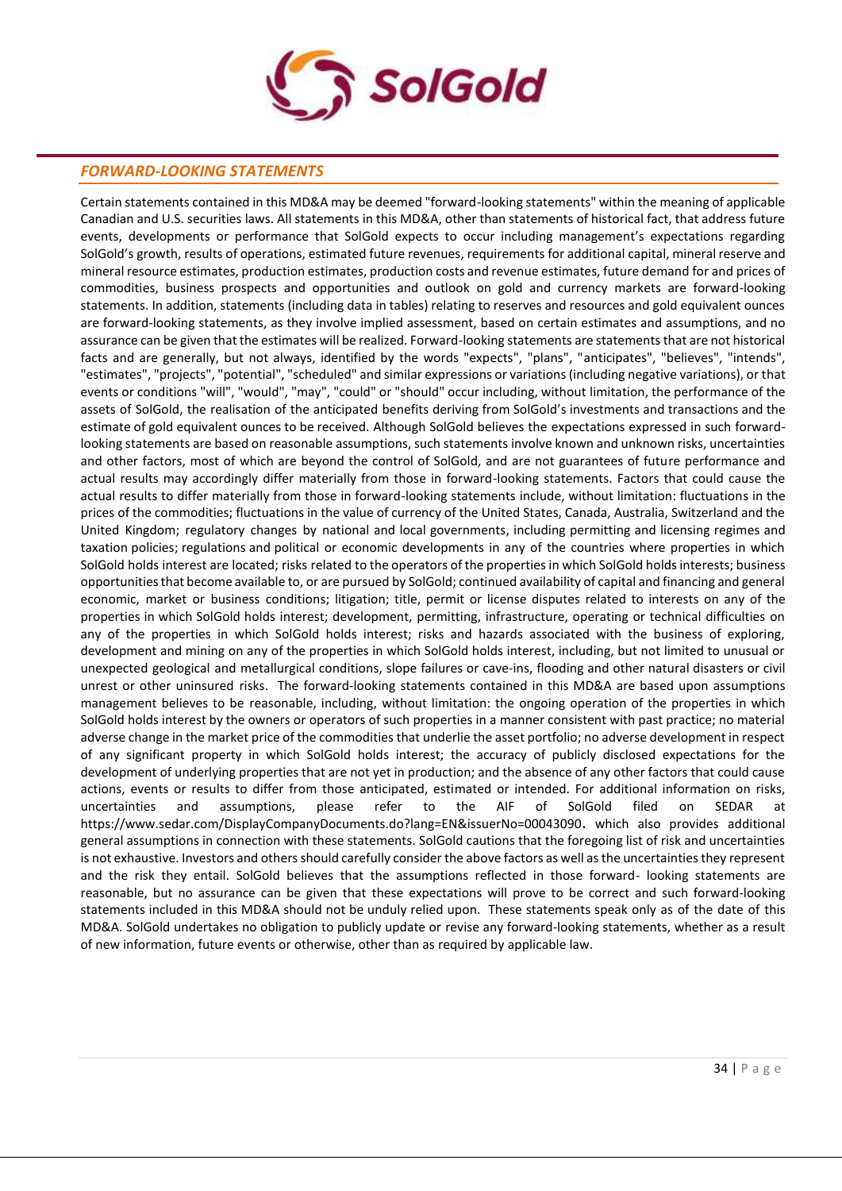

# *FORWARD-LOOKING STATEMENTS*

Certain statements contained in this MD&A may be deemed "forward-looking statements" within the meaning of applicable Canadian and U.S. securities laws. All statements in this MD&A, other than statements of historical fact, that address future events, developments or performance that SolGold expects to occur including management's expectations regarding SolGold's growth, results of operations, estimated future revenues, requirements for additional capital, mineral reserve and mineral resource estimates, production estimates, production costs and revenue estimates, future demand for and prices of commodities, business prospects and opportunities and outlook on gold and currency markets are forward-looking statements. In addition, statements (including data in tables) relating to reserves and resources and gold equivalent ounces are forward-looking statements, as they involve implied assessment, based on certain estimates and assumptions, and no assurance can be given that the estimates will be realized. Forward-looking statements are statements that are not historical facts and are generally, but not always, identified by the words "expects", "plans", "anticipates", "believes", "intends", "estimates", "projects", "potential", "scheduled" and similar expressions or variations (including negative variations), or that events or conditions "will", "would", "may", "could" or "should" occur including, without limitation, the performance of the assets of SolGold, the realisation of the anticipated benefits deriving from SolGold's investments and transactions and the estimate of gold equivalent ounces to be received. Although SolGold believes the expectations expressed in such forwardlooking statements are based on reasonable assumptions, such statements involve known and unknown risks, uncertainties and other factors, most of which are beyond the control of SolGold, and are not guarantees of future performance and actual results may accordingly differ materially from those in forward-looking statements. Factors that could cause the actual results to differ materially from those in forward-looking statements include, without limitation: fluctuations in the prices of the commodities; fluctuations in the value of currency of the United States, Canada, Australia, Switzerland and the United Kingdom; regulatory changes by national and local governments, including permitting and licensing regimes and taxation policies; regulations and political or economic developments in any of the countries where properties in which SolGold holds interest are located; risks related to the operators of the propertiesin which SolGold holdsinterests; business opportunitiesthat become available to, or are pursued by SolGold; continued availability of capital and financing and general economic, market or business conditions; litigation; title, permit or license disputes related to interests on any of the properties in which SolGold holds interest; development, permitting, infrastructure, operating or technical difficulties on any of the properties in which SolGold holds interest; risks and hazards associated with the business of exploring, development and mining on any of the properties in which SolGold holds interest, including, but not limited to unusual or unexpected geological and metallurgical conditions, slope failures or cave-ins, flooding and other natural disasters or civil unrest or other uninsured risks. The forward-looking statements contained in this MD&A are based upon assumptions management believes to be reasonable, including, without limitation: the ongoing operation of the properties in which SolGold holds interest by the owners or operators of such properties in a manner consistent with past practice; no material adverse change in the market price of the commodities that underlie the asset portfolio; no adverse development in respect of any significant property in which SolGold holds interest; the accuracy of publicly disclosed expectations for the development of underlying properties that are not yet in production; and the absence of any other factors that could cause actions, events or results to differ from those anticipated, estimated or intended. For additional information on risks, uncertainties and assumptions, please refer to the AIF of SolGold filed on SEDAR at https://www.sedar.com/DisplayCompanyDocuments.do?lang=EN&issuerNo=00043090**.** which also provides additional general assumptions in connection with these statements. SolGold cautions that the foregoing list of risk and uncertainties is not exhaustive. Investors and others should carefully consider the above factors as well as the uncertainties they represent and the risk they entail. SolGold believes that the assumptions reflected in those forward- looking statements are reasonable, but no assurance can be given that these expectations will prove to be correct and such forward-looking statements included in this MD&A should not be unduly relied upon. These statements speak only as of the date of this MD&A. SolGold undertakes no obligation to publicly update or revise any forward-looking statements, whether as a result of new information, future events or otherwise, other than as required by applicable law.